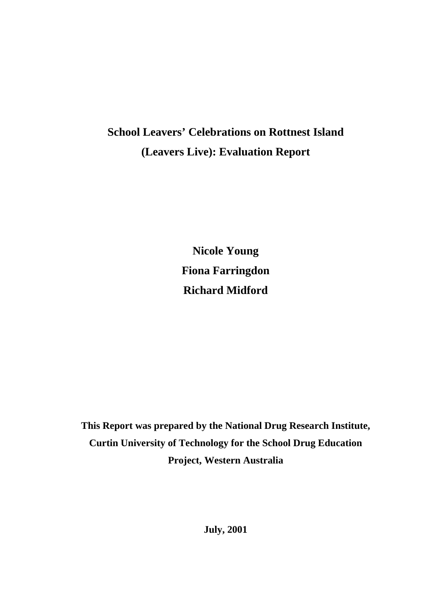# **School Leavers' Celebrations on Rottnest Island (Leavers Live): Evaluation Report**

**Nicole Young Fiona Farringdon Richard Midford** 

**This Report was prepared by the National Drug Research Institute, Curtin University of Technology for the School Drug Education Project, Western Australia** 

**July, 2001**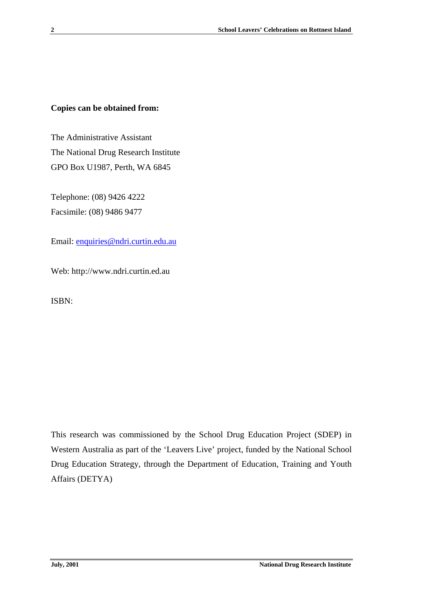# **Copies can be obtained from:**

The Administrative Assistant The National Drug Research Institute GPO Box U1987, Perth, WA 6845

Telephone: (08) 9426 4222 Facsimile: (08) 9486 9477

Email: [enquiries@ndri.curtin.edu.au](mailto:enquiries@ndri.curtin.edu.au)

Web: http://www.ndri.curtin.ed.au

ISBN:

This research was commissioned by the School Drug Education Project (SDEP) in Western Australia as part of the 'Leavers Live' project, funded by the National School Drug Education Strategy, through the Department of Education, Training and Youth Affairs (DETYA)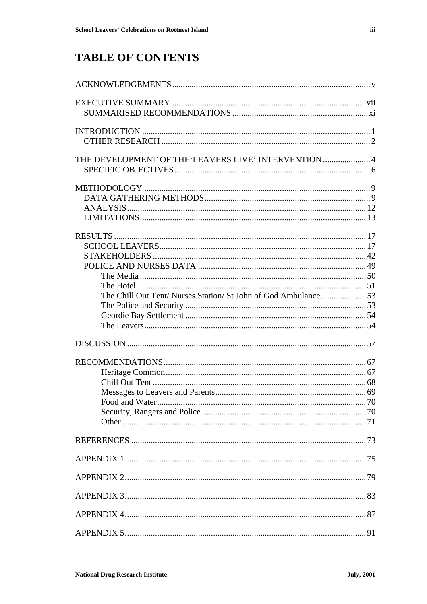# **TABLE OF CONTENTS**

| THE DEVELOPMENT OF THE 'LEAVERS LIVE' INTERVENTION  4 |  |
|-------------------------------------------------------|--|
|                                                       |  |
|                                                       |  |
|                                                       |  |
|                                                       |  |
|                                                       |  |
|                                                       |  |
|                                                       |  |
|                                                       |  |
|                                                       |  |
|                                                       |  |
|                                                       |  |
|                                                       |  |
|                                                       |  |
|                                                       |  |
|                                                       |  |
|                                                       |  |
|                                                       |  |
|                                                       |  |
|                                                       |  |
|                                                       |  |
|                                                       |  |
|                                                       |  |
|                                                       |  |
|                                                       |  |
|                                                       |  |
|                                                       |  |
|                                                       |  |
|                                                       |  |
|                                                       |  |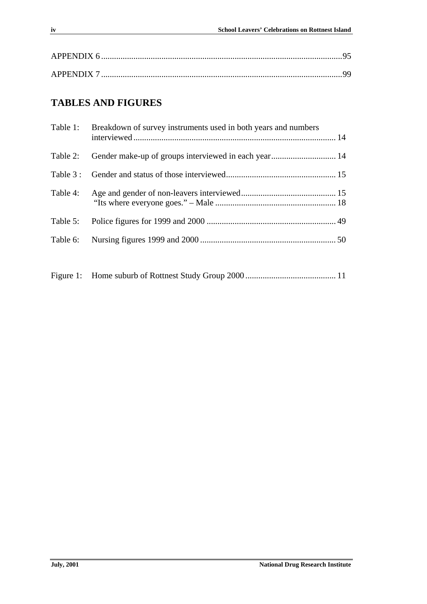| APPENDIX 7 |  |
|------------|--|

# **TABLES AND FIGURES**

| Table 1: Breakdown of survey instruments used in both years and numbers |  |
|-------------------------------------------------------------------------|--|
|                                                                         |  |
|                                                                         |  |
|                                                                         |  |
|                                                                         |  |
|                                                                         |  |
|                                                                         |  |

|--|--|--|--|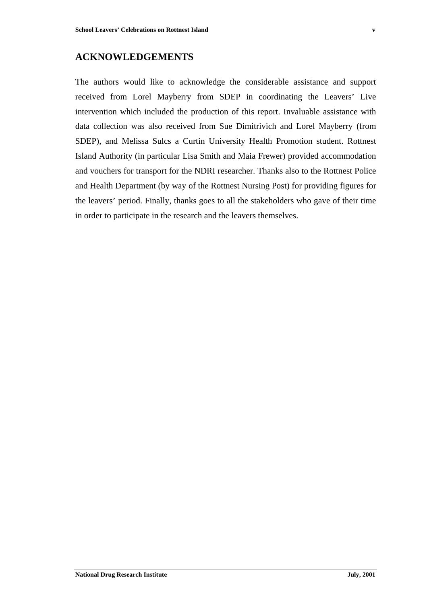# <span id="page-4-0"></span>**ACKNOWLEDGEMENTS**

The authors would like to acknowledge the considerable assistance and support received from Lorel Mayberry from SDEP in coordinating the Leavers' Live intervention which included the production of this report. Invaluable assistance with data collection was also received from Sue Dimitrivich and Lorel Mayberry (from SDEP), and Melissa Sulcs a Curtin University Health Promotion student. Rottnest Island Authority (in particular Lisa Smith and Maia Frewer) provided accommodation and vouchers for transport for the NDRI researcher. Thanks also to the Rottnest Police and Health Department (by way of the Rottnest Nursing Post) for providing figures for the leavers' period. Finally, thanks goes to all the stakeholders who gave of their time in order to participate in the research and the leavers themselves.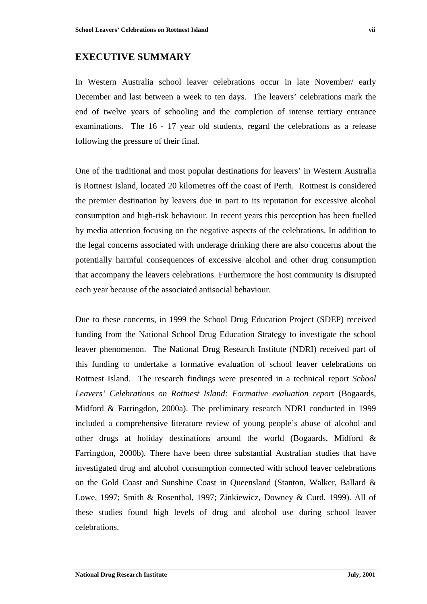# <span id="page-6-0"></span>**EXECUTIVE SUMMARY**

In Western Australia school leaver celebrations occur in late November/ early December and last between a week to ten days. The leavers' celebrations mark the end of twelve years of schooling and the completion of intense tertiary entrance examinations. The 16 - 17 year old students, regard the celebrations as a release following the pressure of their final.

One of the traditional and most popular destinations for leavers' in Western Australia is Rottnest Island, located 20 kilometres off the coast of Perth. Rottnest is considered the premier destination by leavers due in part to its reputation for excessive alcohol consumption and high-risk behaviour. In recent years this perception has been fuelled by media attention focusing on the negative aspects of the celebrations. In addition to the legal concerns associated with underage drinking there are also concerns about the potentially harmful consequences of excessive alcohol and other drug consumption that accompany the leavers celebrations. Furthermore the host community is disrupted each year because of the associated antisocial behaviour.

Due to these concerns, in 1999 the School Drug Education Project (SDEP) received funding from the National School Drug Education Strategy to investigate the school leaver phenomenon. The National Drug Research Institute (NDRI) received part of this funding to undertake a formative evaluation of school leaver celebrations on Rottnest Island. The research findings were presented in a technical report *School Leavers' Celebrations on Rottnest Island: Formative evaluation repor*t (Bogaards, Midford & Farringdon, 2000a). The preliminary research NDRI conducted in 1999 included a comprehensive literature review of young people's abuse of alcohol and other drugs at holiday destinations around the world (Bogaards, Midford & Farringdon, 2000b)*.* There have been three substantial Australian studies that have investigated drug and alcohol consumption connected with school leaver celebrations on the Gold Coast and Sunshine Coast in Queensland (Stanton, Walker, Ballard & Lowe, 1997; Smith & Rosenthal, 1997; Zinkiewicz, Downey & Curd, 1999). All of these studies found high levels of drug and alcohol use during school leaver celebrations.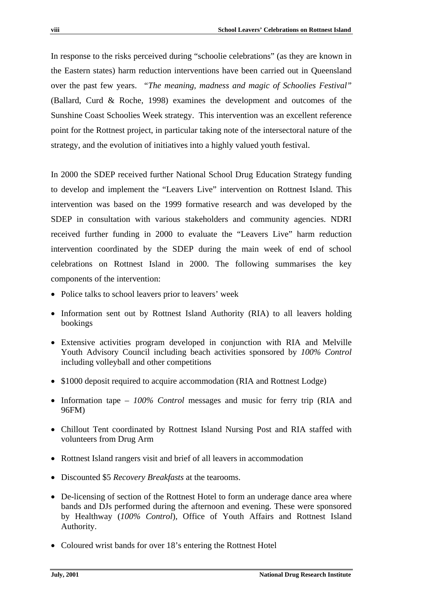In response to the risks perceived during "schoolie celebrations" (as they are known in the Eastern states) harm reduction interventions have been carried out in Queensland over the past few years. *"The meaning, madness and magic of Schoolies Festival"*  (Ballard, Curd & Roche, 1998) examines the development and outcomes of the Sunshine Coast Schoolies Week strategy. This intervention was an excellent reference point for the Rottnest project, in particular taking note of the intersectoral nature of the strategy, and the evolution of initiatives into a highly valued youth festival.

In 2000 the SDEP received further National School Drug Education Strategy funding to develop and implement the "Leavers Live" intervention on Rottnest Island. This intervention was based on the 1999 formative research and was developed by the SDEP in consultation with various stakeholders and community agencies. NDRI received further funding in 2000 to evaluate the "Leavers Live" harm reduction intervention coordinated by the SDEP during the main week of end of school celebrations on Rottnest Island in 2000. The following summarises the key components of the intervention:

- Police talks to school leavers prior to leavers' week
- Information sent out by Rottnest Island Authority (RIA) to all leavers holding bookings
- Extensive activities program developed in conjunction with RIA and Melville Youth Advisory Council including beach activities sponsored by *100% Control*  including volleyball and other competitions
- \$1000 deposit required to acquire accommodation (RIA and Rottnest Lodge)
- Information tape 100% Control messages and music for ferry trip (RIA and 96FM)
- Chillout Tent coordinated by Rottnest Island Nursing Post and RIA staffed with volunteers from Drug Arm
- Rottnest Island rangers visit and brief of all leavers in accommodation
- Discounted \$5 *Recovery Breakfasts* at the tearooms.
- De-licensing of section of the Rottnest Hotel to form an underage dance area where bands and DJs performed during the afternoon and evening. These were sponsored by Healthway (*100% Control*), Office of Youth Affairs and Rottnest Island Authority.
- Coloured wrist bands for over 18's entering the Rottnest Hotel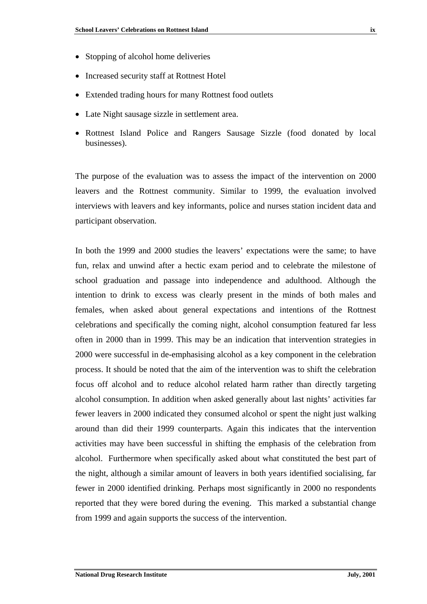- Stopping of alcohol home deliveries
- Increased security staff at Rottnest Hotel
- Extended trading hours for many Rottnest food outlets
- Late Night sausage sizzle in settlement area.
- Rottnest Island Police and Rangers Sausage Sizzle (food donated by local businesses).

The purpose of the evaluation was to assess the impact of the intervention on 2000 leavers and the Rottnest community. Similar to 1999, the evaluation involved interviews with leavers and key informants, police and nurses station incident data and participant observation.

In both the 1999 and 2000 studies the leavers' expectations were the same; to have fun, relax and unwind after a hectic exam period and to celebrate the milestone of school graduation and passage into independence and adulthood. Although the intention to drink to excess was clearly present in the minds of both males and females, when asked about general expectations and intentions of the Rottnest celebrations and specifically the coming night, alcohol consumption featured far less often in 2000 than in 1999. This may be an indication that intervention strategies in 2000 were successful in de-emphasising alcohol as a key component in the celebration process. It should be noted that the aim of the intervention was to shift the celebration focus off alcohol and to reduce alcohol related harm rather than directly targeting alcohol consumption. In addition when asked generally about last nights' activities far fewer leavers in 2000 indicated they consumed alcohol or spent the night just walking around than did their 1999 counterparts. Again this indicates that the intervention activities may have been successful in shifting the emphasis of the celebration from alcohol. Furthermore when specifically asked about what constituted the best part of the night, although a similar amount of leavers in both years identified socialising, far fewer in 2000 identified drinking. Perhaps most significantly in 2000 no respondents reported that they were bored during the evening. This marked a substantial change from 1999 and again supports the success of the intervention.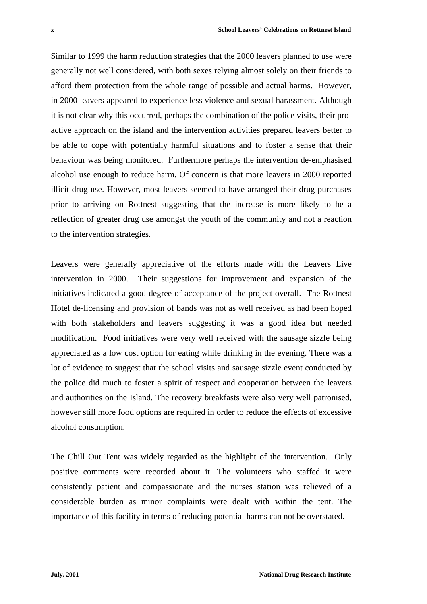Similar to 1999 the harm reduction strategies that the 2000 leavers planned to use were generally not well considered, with both sexes relying almost solely on their friends to afford them protection from the whole range of possible and actual harms. However, in 2000 leavers appeared to experience less violence and sexual harassment. Although it is not clear why this occurred, perhaps the combination of the police visits, their proactive approach on the island and the intervention activities prepared leavers better to be able to cope with potentially harmful situations and to foster a sense that their behaviour was being monitored. Furthermore perhaps the intervention de-emphasised alcohol use enough to reduce harm. Of concern is that more leavers in 2000 reported illicit drug use. However, most leavers seemed to have arranged their drug purchases prior to arriving on Rottnest suggesting that the increase is more likely to be a reflection of greater drug use amongst the youth of the community and not a reaction to the intervention strategies.

Leavers were generally appreciative of the efforts made with the Leavers Live intervention in 2000. Their suggestions for improvement and expansion of the initiatives indicated a good degree of acceptance of the project overall. The Rottnest Hotel de-licensing and provision of bands was not as well received as had been hoped with both stakeholders and leavers suggesting it was a good idea but needed modification. Food initiatives were very well received with the sausage sizzle being appreciated as a low cost option for eating while drinking in the evening. There was a lot of evidence to suggest that the school visits and sausage sizzle event conducted by the police did much to foster a spirit of respect and cooperation between the leavers and authorities on the Island. The recovery breakfasts were also very well patronised, however still more food options are required in order to reduce the effects of excessive alcohol consumption.

The Chill Out Tent was widely regarded as the highlight of the intervention. Only positive comments were recorded about it. The volunteers who staffed it were consistently patient and compassionate and the nurses station was relieved of a considerable burden as minor complaints were dealt with within the tent. The importance of this facility in terms of reducing potential harms can not be overstated.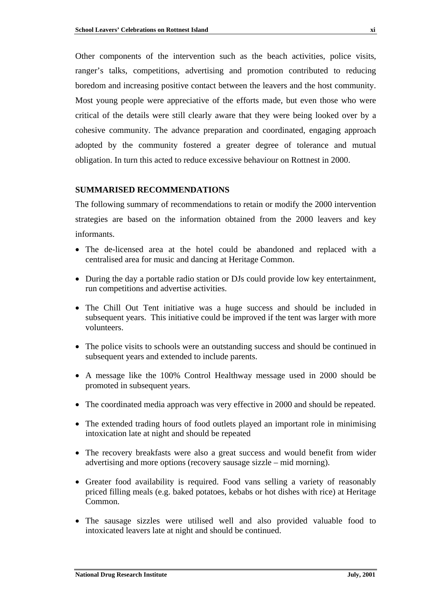<span id="page-10-0"></span>Other components of the intervention such as the beach activities, police visits, ranger's talks, competitions, advertising and promotion contributed to reducing boredom and increasing positive contact between the leavers and the host community. Most young people were appreciative of the efforts made, but even those who were critical of the details were still clearly aware that they were being looked over by a cohesive community. The advance preparation and coordinated, engaging approach adopted by the community fostered a greater degree of tolerance and mutual obligation. In turn this acted to reduce excessive behaviour on Rottnest in 2000.

#### **SUMMARISED RECOMMENDATIONS**

The following summary of recommendations to retain or modify the 2000 intervention strategies are based on the information obtained from the 2000 leavers and key informants.

- The de-licensed area at the hotel could be abandoned and replaced with a centralised area for music and dancing at Heritage Common.
- During the day a portable radio station or DJs could provide low key entertainment, run competitions and advertise activities.
- The Chill Out Tent initiative was a huge success and should be included in subsequent years. This initiative could be improved if the tent was larger with more volunteers.
- The police visits to schools were an outstanding success and should be continued in subsequent years and extended to include parents.
- A message like the 100% Control Healthway message used in 2000 should be promoted in subsequent years.
- The coordinated media approach was very effective in 2000 and should be repeated.
- The extended trading hours of food outlets played an important role in minimising intoxication late at night and should be repeated
- The recovery breakfasts were also a great success and would benefit from wider advertising and more options (recovery sausage sizzle – mid morning).
- Greater food availability is required. Food vans selling a variety of reasonably priced filling meals (e.g. baked potatoes, kebabs or hot dishes with rice) at Heritage Common.
- The sausage sizzles were utilised well and also provided valuable food to intoxicated leavers late at night and should be continued.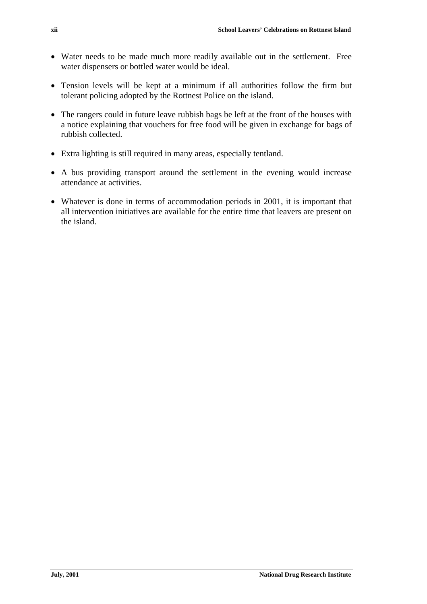- Water needs to be made much more readily available out in the settlement. Free water dispensers or bottled water would be ideal.
- Tension levels will be kept at a minimum if all authorities follow the firm but tolerant policing adopted by the Rottnest Police on the island.
- The rangers could in future leave rubbish bags be left at the front of the houses with a notice explaining that vouchers for free food will be given in exchange for bags of rubbish collected.
- Extra lighting is still required in many areas, especially tentland.
- A bus providing transport around the settlement in the evening would increase attendance at activities.
- Whatever is done in terms of accommodation periods in 2001, it is important that all intervention initiatives are available for the entire time that leavers are present on the island.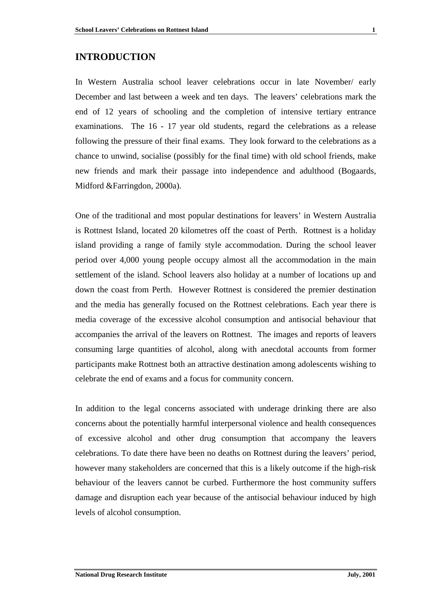### <span id="page-12-0"></span>**INTRODUCTION**

In Western Australia school leaver celebrations occur in late November/ early December and last between a week and ten days. The leavers' celebrations mark the end of 12 years of schooling and the completion of intensive tertiary entrance examinations. The 16 - 17 year old students, regard the celebrations as a release following the pressure of their final exams. They look forward to the celebrations as a chance to unwind, socialise (possibly for the final time) with old school friends, make new friends and mark their passage into independence and adulthood (Bogaards, Midford &Farringdon, 2000a).

One of the traditional and most popular destinations for leavers' in Western Australia is Rottnest Island, located 20 kilometres off the coast of Perth. Rottnest is a holiday island providing a range of family style accommodation. During the school leaver period over 4,000 young people occupy almost all the accommodation in the main settlement of the island. School leavers also holiday at a number of locations up and down the coast from Perth. However Rottnest is considered the premier destination and the media has generally focused on the Rottnest celebrations. Each year there is media coverage of the excessive alcohol consumption and antisocial behaviour that accompanies the arrival of the leavers on Rottnest. The images and reports of leavers consuming large quantities of alcohol, along with anecdotal accounts from former participants make Rottnest both an attractive destination among adolescents wishing to celebrate the end of exams and a focus for community concern.

In addition to the legal concerns associated with underage drinking there are also concerns about the potentially harmful interpersonal violence and health consequences of excessive alcohol and other drug consumption that accompany the leavers celebrations. To date there have been no deaths on Rottnest during the leavers' period, however many stakeholders are concerned that this is a likely outcome if the high-risk behaviour of the leavers cannot be curbed. Furthermore the host community suffers damage and disruption each year because of the antisocial behaviour induced by high levels of alcohol consumption.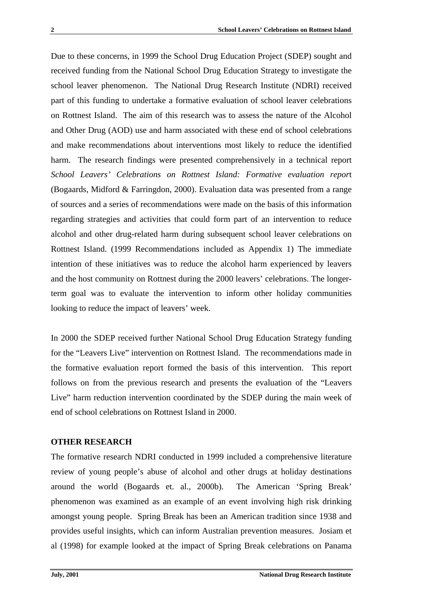<span id="page-13-0"></span>Due to these concerns, in 1999 the School Drug Education Project (SDEP) sought and received funding from the National School Drug Education Strategy to investigate the school leaver phenomenon. The National Drug Research Institute (NDRI) received part of this funding to undertake a formative evaluation of school leaver celebrations on Rottnest Island. The aim of this research was to assess the nature of the Alcohol and Other Drug (AOD) use and harm associated with these end of school celebrations and make recommendations about interventions most likely to reduce the identified harm. The research findings were presented comprehensively in a technical report *School Leavers' Celebrations on Rottnest Island: Formative evaluation repor*t (Bogaards, Midford & Farringdon, 2000). Evaluation data was presented from a range of sources and a series of recommendations were made on the basis of this information regarding strategies and activities that could form part of an intervention to reduce alcohol and other drug-related harm during subsequent school leaver celebrations on Rottnest Island. (1999 Recommendations included as Appendix 1) The immediate intention of these initiatives was to reduce the alcohol harm experienced by leavers and the host community on Rottnest during the 2000 leavers' celebrations. The longerterm goal was to evaluate the intervention to inform other holiday communities looking to reduce the impact of leavers' week.

In 2000 the SDEP received further National School Drug Education Strategy funding for the "Leavers Live" intervention on Rottnest Island. The recommendations made in the formative evaluation report formed the basis of this intervention. This report follows on from the previous research and presents the evaluation of the "Leavers Live" harm reduction intervention coordinated by the SDEP during the main week of end of school celebrations on Rottnest Island in 2000.

#### **OTHER RESEARCH**

The formative research NDRI conducted in 1999 included a comprehensive literature review of young people's abuse of alcohol and other drugs at holiday destinations around the world (Bogaards et. al., 2000b)*.* The American 'Spring Break' phenomenon was examined as an example of an event involving high risk drinking amongst young people. Spring Break has been an American tradition since 1938 and provides useful insights, which can inform Australian prevention measures. Josiam et al (1998) for example looked at the impact of Spring Break celebrations on Panama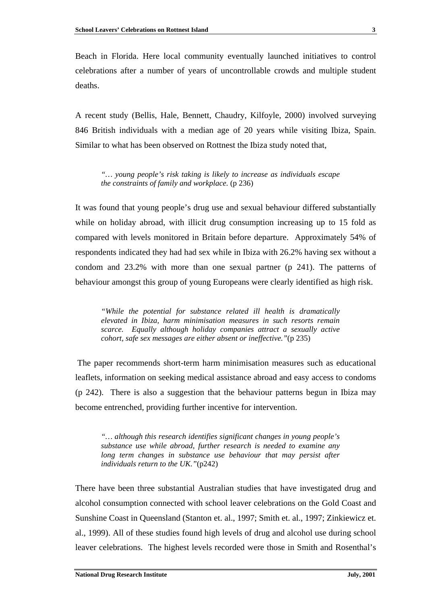Beach in Florida. Here local community eventually launched initiatives to control celebrations after a number of years of uncontrollable crowds and multiple student deaths.

A recent study (Bellis, Hale, Bennett, Chaudry, Kilfoyle, 2000) involved surveying 846 British individuals with a median age of 20 years while visiting Ibiza, Spain. Similar to what has been observed on Rottnest the Ibiza study noted that,

*"… young people's risk taking is likely to increase as individuals escape the constraints of family and workplace.* (p 236)

It was found that young people's drug use and sexual behaviour differed substantially while on holiday abroad, with illicit drug consumption increasing up to 15 fold as compared with levels monitored in Britain before departure. Approximately 54% of respondents indicated they had had sex while in Ibiza with 26.2% having sex without a condom and 23.2% with more than one sexual partner (p 241). The patterns of behaviour amongst this group of young Europeans were clearly identified as high risk.

*"While the potential for substance related ill health is dramatically elevated in Ibiza, harm minimisation measures in such resorts remain scarce. Equally although holiday companies attract a sexually active cohort, safe sex messages are either absent or ineffective."*(p 235)

The paper recommends short-term harm minimisation measures such as educational leaflets, information on seeking medical assistance abroad and easy access to condoms (p 242). There is also a suggestion that the behaviour patterns begun in Ibiza may become entrenched, providing further incentive for intervention.

*"… although this research identifies significant changes in young people's substance use while abroad, further research is needed to examine any long term changes in substance use behaviour that may persist after individuals return to the UK."*(p242)

There have been three substantial Australian studies that have investigated drug and alcohol consumption connected with school leaver celebrations on the Gold Coast and Sunshine Coast in Queensland (Stanton et. al., 1997; Smith et. al., 1997; Zinkiewicz et. al., 1999). All of these studies found high levels of drug and alcohol use during school leaver celebrations. The highest levels recorded were those in Smith and Rosenthal's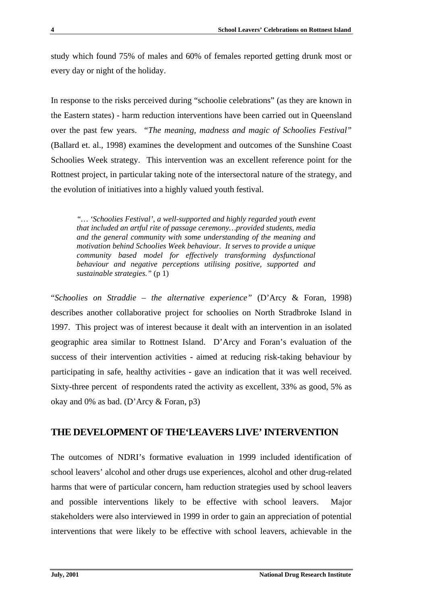<span id="page-15-0"></span>study which found 75% of males and 60% of females reported getting drunk most or every day or night of the holiday.

In response to the risks perceived during "schoolie celebrations" (as they are known in the Eastern states) - harm reduction interventions have been carried out in Queensland over the past few years. *"The meaning, madness and magic of Schoolies Festival"*  (Ballard et. al., 1998) examines the development and outcomes of the Sunshine Coast Schoolies Week strategy. This intervention was an excellent reference point for the Rottnest project, in particular taking note of the intersectoral nature of the strategy, and the evolution of initiatives into a highly valued youth festival.

*"… 'Schoolies Festival', a well-supported and highly regarded youth event that included an artful rite of passage ceremony…provided students, media and the general community with some understanding of the meaning and motivation behind Schoolies Week behaviour. It serves to provide a unique community based model for effectively transforming dysfunctional behaviour and negative perceptions utilising positive, supported and sustainable strategies."* (p 1)

"*Schoolies on Straddie – the alternative experience"* (D'Arcy & Foran, 1998) describes another collaborative project for schoolies on North Stradbroke Island in 1997. This project was of interest because it dealt with an intervention in an isolated geographic area similar to Rottnest Island. D'Arcy and Foran's evaluation of the success of their intervention activities - aimed at reducing risk-taking behaviour by participating in safe, healthy activities - gave an indication that it was well received. Sixty-three percent of respondents rated the activity as excellent, 33% as good, 5% as okay and 0% as bad. (D'Arcy & Foran, p3)

### **THE DEVELOPMENT OF THE'LEAVERS LIVE' INTERVENTION**

The outcomes of NDRI's formative evaluation in 1999 included identification of school leavers' alcohol and other drugs use experiences, alcohol and other drug-related harms that were of particular concern, ham reduction strategies used by school leavers and possible interventions likely to be effective with school leavers. Major stakeholders were also interviewed in 1999 in order to gain an appreciation of potential interventions that were likely to be effective with school leavers, achievable in the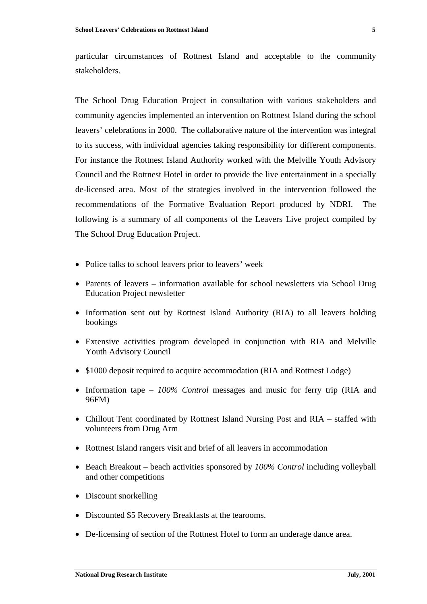particular circumstances of Rottnest Island and acceptable to the community stakeholders.

The School Drug Education Project in consultation with various stakeholders and community agencies implemented an intervention on Rottnest Island during the school leavers' celebrations in 2000. The collaborative nature of the intervention was integral to its success, with individual agencies taking responsibility for different components. For instance the Rottnest Island Authority worked with the Melville Youth Advisory Council and the Rottnest Hotel in order to provide the live entertainment in a specially de-licensed area. Most of the strategies involved in the intervention followed the recommendations of the Formative Evaluation Report produced by NDRI. The following is a summary of all components of the Leavers Live project compiled by The School Drug Education Project.

- Police talks to school leavers prior to leavers' week
- Parents of leavers information available for school newsletters via School Drug Education Project newsletter
- Information sent out by Rottnest Island Authority (RIA) to all leavers holding bookings
- Extensive activities program developed in conjunction with RIA and Melville Youth Advisory Council
- \$1000 deposit required to acquire accommodation (RIA and Rottnest Lodge)
- Information tape 100% Control messages and music for ferry trip (RIA and 96FM)
- Chillout Tent coordinated by Rottnest Island Nursing Post and RIA staffed with volunteers from Drug Arm
- Rottnest Island rangers visit and brief of all leavers in accommodation
- Beach Breakout beach activities sponsored by 100% Control including volleyball and other competitions
- Discount snorkelling
- Discounted \$5 Recovery Breakfasts at the tearooms.
- De-licensing of section of the Rottnest Hotel to form an underage dance area.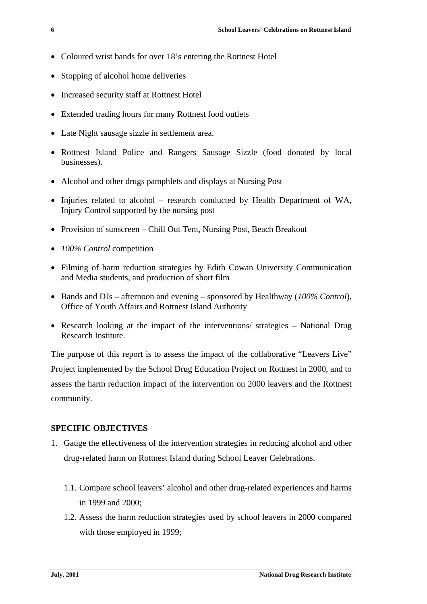- <span id="page-17-0"></span>• Coloured wrist bands for over 18's entering the Rottnest Hotel
- Stopping of alcohol home deliveries
- Increased security staff at Rottnest Hotel
- Extended trading hours for many Rottnest food outlets
- Late Night sausage sizzle in settlement area.
- Rottnest Island Police and Rangers Sausage Sizzle (food donated by local businesses).
- Alcohol and other drugs pamphlets and displays at Nursing Post
- Injuries related to alcohol research conducted by Health Department of WA, Injury Control supported by the nursing post
- Provision of sunscreen Chill Out Tent, Nursing Post, Beach Breakout
- *100% Control* competition
- Filming of harm reduction strategies by Edith Cowan University Communication and Media students, and production of short film
- Bands and DJs afternoon and evening sponsored by Healthway (*100% Control*), Office of Youth Affairs and Rottnest Island Authority
- Research looking at the impact of the interventions/ strategies National Drug Research Institute.

The purpose of this report is to assess the impact of the collaborative "Leavers Live" Project implemented by the School Drug Education Project on Rottnest in 2000, and to assess the harm reduction impact of the intervention on 2000 leavers and the Rottnest community.

# **SPECIFIC OBJECTIVES**

- 1. Gauge the effectiveness of the intervention strategies in reducing alcohol and other drug-related harm on Rottnest Island during School Leaver Celebrations.
	- 1.1. Compare school leavers' alcohol and other drug-related experiences and harms in 1999 and 2000;
	- 1.2. Assess the harm reduction strategies used by school leavers in 2000 compared with those employed in 1999;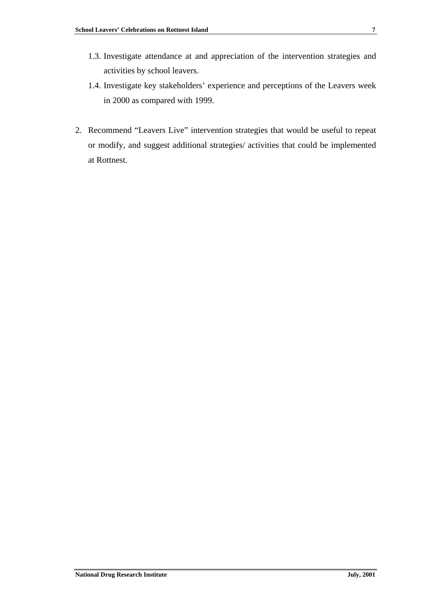- 1.3. Investigate attendance at and appreciation of the intervention strategies and activities by school leavers.
- 1.4. Investigate key stakeholders' experience and perceptions of the Leavers week in 2000 as compared with 1999.
- 2. Recommend "Leavers Live" intervention strategies that would be useful to repeat or modify, and suggest additional strategies/ activities that could be implemented at Rottnest.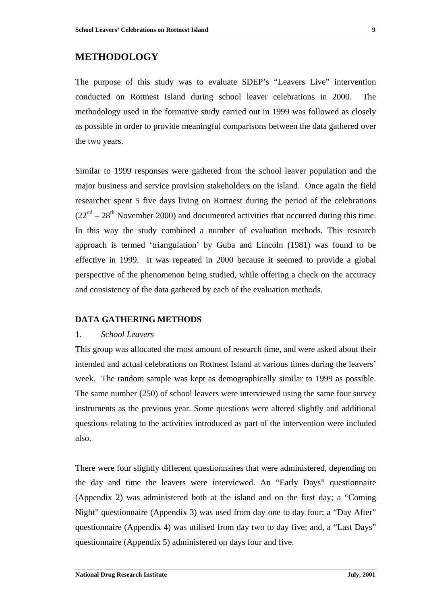#### <span id="page-20-0"></span>**METHODOLOGY**

The purpose of this study was to evaluate SDEP's "Leavers Live" intervention conducted on Rottnest Island during school leaver celebrations in 2000. The methodology used in the formative study carried out in 1999 was followed as closely as possible in order to provide meaningful comparisons between the data gathered over the two years.

Similar to 1999 responses were gathered from the school leaver population and the major business and service provision stakeholders on the island. Once again the field researcher spent 5 five days living on Rottnest during the period of the celebrations  $(22<sup>nd</sup> – 28<sup>th</sup>$  November 2000) and documented activities that occurred during this time. In this way the study combined a number of evaluation methods. This research approach is termed 'triangulation' by Guba and Lincoln (1981) was found to be effective in 1999. It was repeated in 2000 because it seemed to provide a global perspective of the phenomenon being studied, while offering a check on the accuracy and consistency of the data gathered by each of the evaluation methods.

#### **DATA GATHERING METHODS**

#### 1. *School Leavers*

This group was allocated the most amount of research time, and were asked about their intended and actual celebrations on Rottnest Island at various times during the leavers' week. The random sample was kept as demographically similar to 1999 as possible. The same number (250) of school leavers were interviewed using the same four survey instruments as the previous year. Some questions were altered slightly and additional questions relating to the activities introduced as part of the intervention were included also.

There were four slightly different questionnaires that were administered, depending on the day and time the leavers were interviewed. An "Early Days" questionnaire (Appendix 2) was administered both at the island and on the first day; a "Coming Night" questionnaire (Appendix 3) was used from day one to day four; a "Day After" questionnaire (Appendix 4) was utilised from day two to day five; and, a "Last Days" questionnaire (Appendix 5) administered on days four and five.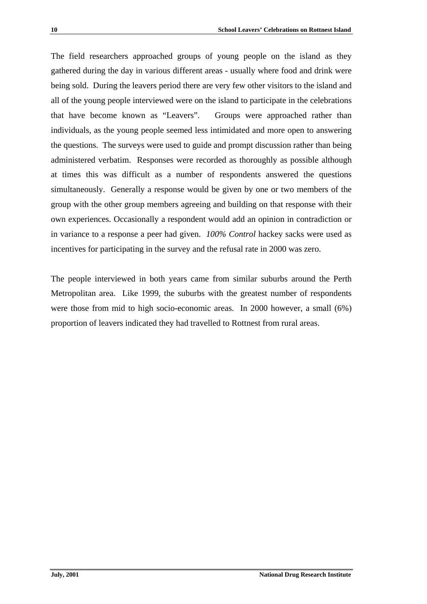The field researchers approached groups of young people on the island as they gathered during the day in various different areas - usually where food and drink were being sold. During the leavers period there are very few other visitors to the island and all of the young people interviewed were on the island to participate in the celebrations that have become known as "Leavers". Groups were approached rather than individuals, as the young people seemed less intimidated and more open to answering the questions. The surveys were used to guide and prompt discussion rather than being administered verbatim. Responses were recorded as thoroughly as possible although at times this was difficult as a number of respondents answered the questions simultaneously. Generally a response would be given by one or two members of the group with the other group members agreeing and building on that response with their own experiences. Occasionally a respondent would add an opinion in contradiction or in variance to a response a peer had given. *100% Control* hackey sacks were used as incentives for participating in the survey and the refusal rate in 2000 was zero.

The people interviewed in both years came from similar suburbs around the Perth Metropolitan area. Like 1999, the suburbs with the greatest number of respondents were those from mid to high socio-economic areas. In 2000 however, a small (6%) proportion of leavers indicated they had travelled to Rottnest from rural areas.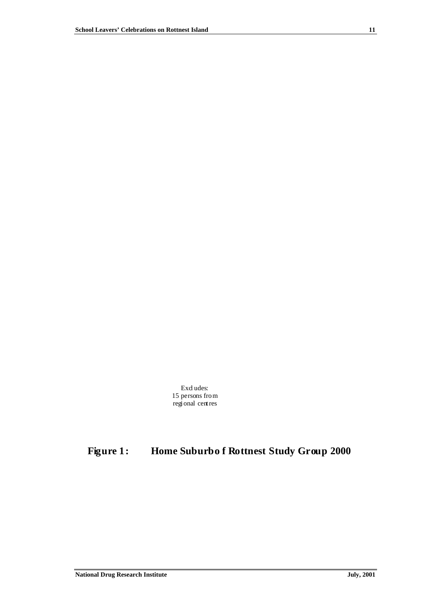Excl udes: 15 persons from regional centres

# **Figure 1: Home Suburb o f Rottnest Study Group 2000**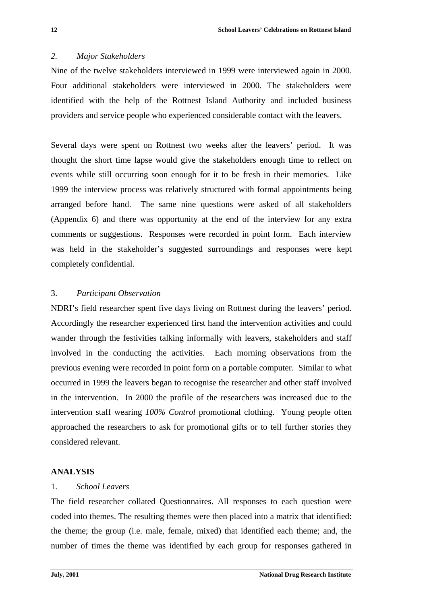### <span id="page-23-0"></span>*2. Major Stakeholders*

Nine of the twelve stakeholders interviewed in 1999 were interviewed again in 2000. Four additional stakeholders were interviewed in 2000. The stakeholders were identified with the help of the Rottnest Island Authority and included business providers and service people who experienced considerable contact with the leavers.

Several days were spent on Rottnest two weeks after the leavers' period. It was thought the short time lapse would give the stakeholders enough time to reflect on events while still occurring soon enough for it to be fresh in their memories. Like 1999 the interview process was relatively structured with formal appointments being arranged before hand. The same nine questions were asked of all stakeholders (Appendix 6) and there was opportunity at the end of the interview for any extra comments or suggestions. Responses were recorded in point form. Each interview was held in the stakeholder's suggested surroundings and responses were kept completely confidential.

# 3. *Participant Observation*

NDRI's field researcher spent five days living on Rottnest during the leavers' period. Accordingly the researcher experienced first hand the intervention activities and could wander through the festivities talking informally with leavers, stakeholders and staff involved in the conducting the activities. Each morning observations from the previous evening were recorded in point form on a portable computer. Similar to what occurred in 1999 the leavers began to recognise the researcher and other staff involved in the intervention. In 2000 the profile of the researchers was increased due to the intervention staff wearing *100% Control* promotional clothing. Young people often approached the researchers to ask for promotional gifts or to tell further stories they considered relevant.

#### **ANALYSIS**

### 1. *School Leavers*

The field researcher collated Questionnaires. All responses to each question were coded into themes. The resulting themes were then placed into a matrix that identified: the theme; the group (i.e. male, female, mixed) that identified each theme; and, the number of times the theme was identified by each group for responses gathered in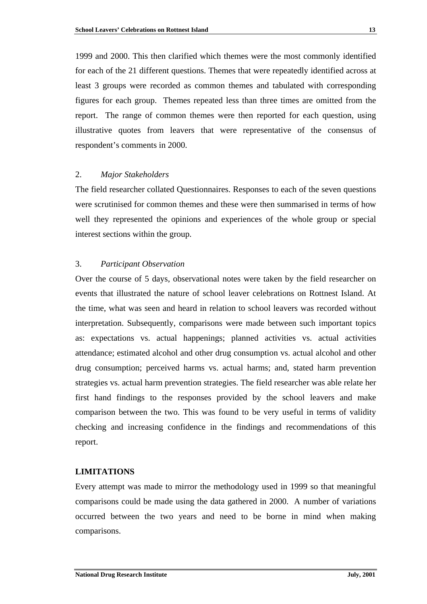<span id="page-24-0"></span>1999 and 2000. This then clarified which themes were the most commonly identified for each of the 21 different questions. Themes that were repeatedly identified across at least 3 groups were recorded as common themes and tabulated with corresponding figures for each group. Themes repeated less than three times are omitted from the report. The range of common themes were then reported for each question, using illustrative quotes from leavers that were representative of the consensus of respondent's comments in 2000.

#### 2. *Major Stakeholders*

The field researcher collated Questionnaires. Responses to each of the seven questions were scrutinised for common themes and these were then summarised in terms of how well they represented the opinions and experiences of the whole group or special interest sections within the group.

#### 3. *Participant Observation*

Over the course of 5 days, observational notes were taken by the field researcher on events that illustrated the nature of school leaver celebrations on Rottnest Island. At the time, what was seen and heard in relation to school leavers was recorded without interpretation. Subsequently, comparisons were made between such important topics as: expectations vs. actual happenings; planned activities vs. actual activities attendance; estimated alcohol and other drug consumption vs. actual alcohol and other drug consumption; perceived harms vs. actual harms; and, stated harm prevention strategies vs. actual harm prevention strategies. The field researcher was able relate her first hand findings to the responses provided by the school leavers and make comparison between the two. This was found to be very useful in terms of validity checking and increasing confidence in the findings and recommendations of this report.

#### **LIMITATIONS**

Every attempt was made to mirror the methodology used in 1999 so that meaningful comparisons could be made using the data gathered in 2000. A number of variations occurred between the two years and need to be borne in mind when making comparisons.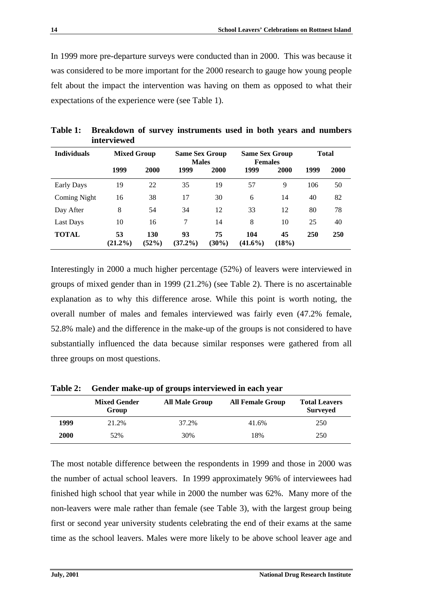<span id="page-25-0"></span>In 1999 more pre-departure surveys were conducted than in 2000. This was because it was considered to be more important for the 2000 research to gauge how young people felt about the impact the intervention was having on them as opposed to what their expectations of the experience were (see Table 1).

| <b>Individuals</b> | <b>Mixed Group</b> |              | <b>Same Sex Group</b><br><b>Males</b> |                | <b>Same Sex Group</b><br><b>Females</b> |             | <b>Total</b> |      |
|--------------------|--------------------|--------------|---------------------------------------|----------------|-----------------------------------------|-------------|--------------|------|
|                    | 1999               | 2000         | 1999                                  | 2000           | 1999                                    | <b>2000</b> | 1999         | 2000 |
| Early Days         | 19                 | 22           | 35                                    | 19             | 57                                      | 9           | 106          | 50   |
| Coming Night       | 16                 | 38           | 17                                    | 30             | 6                                       | 14          | 40           | 82   |
| Day After          | 8                  | 54           | 34                                    | 12             | 33                                      | 12          | 80           | 78   |
| Last Days          | 10                 | 16           | 7                                     | 14             | 8                                       | 10          | 25           | 40   |
| TOTAL              | 53<br>$(21.2\%)$   | 130<br>(52%) | 93<br>$(37.2\%)$                      | 75<br>$(30\%)$ | 104<br>$(41.6\%)$                       | 45<br>(18%) | 250          | 250  |

**Table 1: Breakdown of survey instruments used in both years and numbers interviewed** 

Interestingly in 2000 a much higher percentage (52%) of leavers were interviewed in groups of mixed gender than in 1999 (21.2%) (see Table 2). There is no ascertainable explanation as to why this difference arose. While this point is worth noting, the overall number of males and females interviewed was fairly even (47.2% female, 52.8% male) and the difference in the make-up of the groups is not considered to have substantially influenced the data because similar responses were gathered from all three groups on most questions.

|      | <b>Mixed Gender</b><br>Group | <b>All Male Group</b> | <b>All Female Group</b> | <b>Total Leavers</b><br><b>Surveyed</b> |
|------|------------------------------|-----------------------|-------------------------|-----------------------------------------|
| 1999 | 21.2%                        | 37.2%                 | 41.6%                   | 250                                     |
| 2000 | 52%                          | 30%                   | 18%                     | 250                                     |

**Table 2: Gender make-up of groups interviewed in each year** 

The most notable difference between the respondents in 1999 and those in 2000 was the number of actual school leavers. In 1999 approximately 96% of interviewees had finished high school that year while in 2000 the number was 62%. Many more of the non-leavers were male rather than female (see Table 3), with the largest group being first or second year university students celebrating the end of their exams at the same time as the school leavers. Males were more likely to be above school leaver age and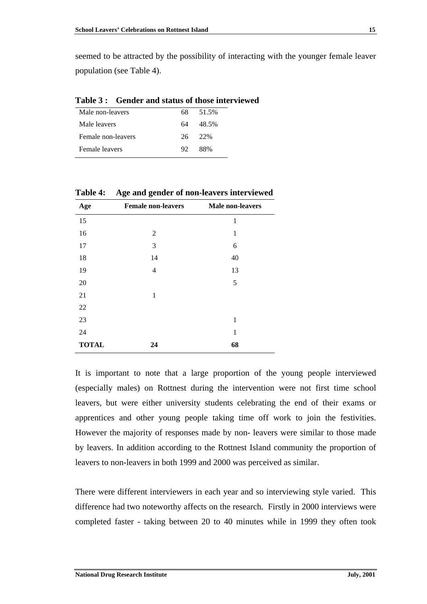<span id="page-26-0"></span>seemed to be attracted by the possibility of interacting with the younger female leaver population (see Table 4).

|  | Table 3: Gender and status of those interviewed |
|--|-------------------------------------------------|
|--|-------------------------------------------------|

| Male non-leavers   | 68  | 51.5%   |
|--------------------|-----|---------|
| Male leavers       | 64  | 48.5%   |
| Female non-leavers |     | 26 22\% |
| Female leavers     | 92. | 88%     |
|                    |     |         |

| Age          | <b>Female non-leavers</b> | <b>Male non-leavers</b> |
|--------------|---------------------------|-------------------------|
| 15           |                           | 1                       |
| 16           | $\overline{c}$            | 1                       |
| 17           | 3                         | 6                       |
| 18           | 14                        | 40                      |
| 19           | 4                         | 13                      |
| 20           |                           | 5                       |
| 21           | 1                         |                         |
| 22           |                           |                         |
| 23           |                           | $\mathbf{1}$            |
| 24           |                           | 1                       |
| <b>TOTAL</b> | 24                        | 68                      |

**Table 4: Age and gender of non-leavers interviewed** 

It is important to note that a large proportion of the young people interviewed (especially males) on Rottnest during the intervention were not first time school leavers, but were either university students celebrating the end of their exams or apprentices and other young people taking time off work to join the festivities. However the majority of responses made by non- leavers were similar to those made by leavers. In addition according to the Rottnest Island community the proportion of leavers to non-leavers in both 1999 and 2000 was perceived as similar.

There were different interviewers in each year and so interviewing style varied. This difference had two noteworthy affects on the research. Firstly in 2000 interviews were completed faster - taking between 20 to 40 minutes while in 1999 they often took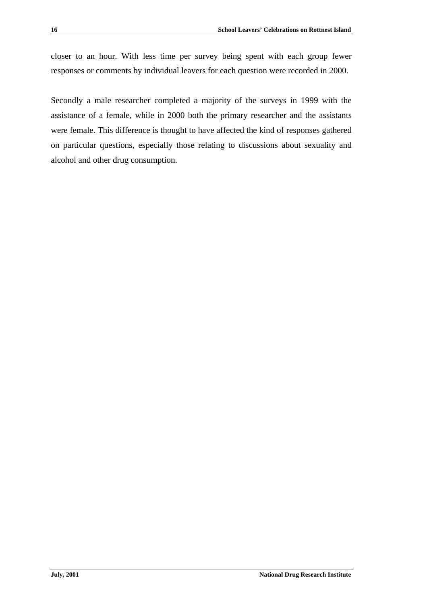closer to an hour. With less time per survey being spent with each group fewer responses or comments by individual leavers for each question were recorded in 2000.

Secondly a male researcher completed a majority of the surveys in 1999 with the assistance of a female, while in 2000 both the primary researcher and the assistants were female. This difference is thought to have affected the kind of responses gathered on particular questions, especially those relating to discussions about sexuality and alcohol and other drug consumption.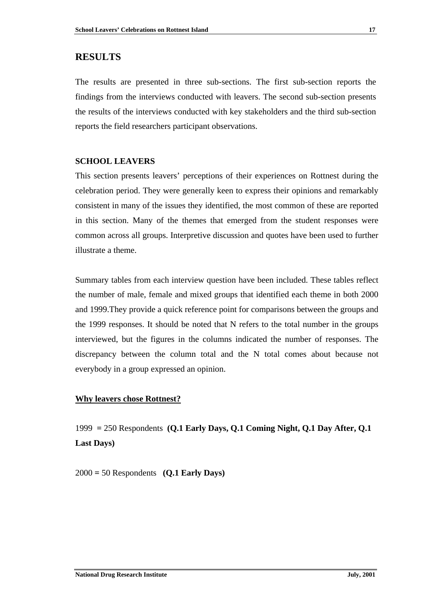# <span id="page-28-0"></span>**RESULTS**

The results are presented in three sub-sections. The first sub-section reports the findings from the interviews conducted with leavers. The second sub-section presents the results of the interviews conducted with key stakeholders and the third sub-section reports the field researchers participant observations.

### **SCHOOL LEAVERS**

This section presents leavers' perceptions of their experiences on Rottnest during the celebration period. They were generally keen to express their opinions and remarkably consistent in many of the issues they identified, the most common of these are reported in this section. Many of the themes that emerged from the student responses were common across all groups. Interpretive discussion and quotes have been used to further illustrate a theme.

Summary tables from each interview question have been included. These tables reflect the number of male, female and mixed groups that identified each theme in both 2000 and 1999.They provide a quick reference point for comparisons between the groups and the 1999 responses. It should be noted that N refers to the total number in the groups interviewed, but the figures in the columns indicated the number of responses. The discrepancy between the column total and the N total comes about because not everybody in a group expressed an opinion.

#### **Why leavers chose Rottnest?**

1999 **=** 250 Respondents **(Q.1 Early Days, Q.1 Coming Night, Q.1 Day After, Q.1 Last Days)**

2000 **=** 50 Respondents **(Q.1 Early Days)**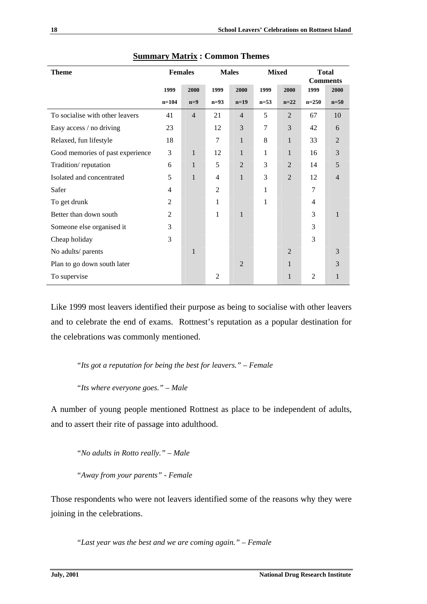<span id="page-29-0"></span>

| <b>Theme</b>                     | <b>Females</b> |                | <b>Males</b>   |                | <b>Mixed</b> |                | <b>Total</b><br><b>Comments</b> |                |
|----------------------------------|----------------|----------------|----------------|----------------|--------------|----------------|---------------------------------|----------------|
|                                  | 1999           | 2000           | 1999           | 2000           | 1999         | 2000           | 1999                            | 2000           |
|                                  | $n = 104$      | $n=9$          | $n=93$         | $n=19$         | $n=53$       | $n=22$         | $n = 250$                       | $n=50$         |
| To socialise with other leavers  | 41             | $\overline{4}$ | 21             | $\overline{4}$ | 5            | $\overline{2}$ | 67                              | 10             |
| Easy access / no driving         | 23             |                | 12             | 3              | 7            | 3              | 42                              | 6              |
| Relaxed, fun lifestyle           | 18             |                | 7              | $\mathbf{1}$   | 8            | $\mathbf{1}$   | 33                              | $\overline{2}$ |
| Good memories of past experience | 3              | $\mathbf{1}$   | 12             | $\mathbf{1}$   | 1            | $\mathbf{1}$   | 16                              | 3              |
| Tradition/reputation             | 6              | $\mathbf{1}$   | 5              | $\overline{2}$ | 3            | $\overline{2}$ | 14                              | 5              |
| Isolated and concentrated        | 5              | $\mathbf{1}$   | 4              | $\mathbf{1}$   | 3            | $\overline{2}$ | 12                              | $\overline{4}$ |
| Safer                            | 4              |                | $\overline{2}$ |                | 1            |                | 7                               |                |
| To get drunk                     | 2              |                | 1              |                | 1            |                | 4                               |                |
| Better than down south           | 2              |                | 1              | $\mathbf{1}$   |              |                | 3                               | 1              |
| Someone else organised it        | 3              |                |                |                |              |                | 3                               |                |
| Cheap holiday                    | 3              |                |                |                |              |                | 3                               |                |
| No adults/ parents               |                | 1              |                |                |              | $\overline{2}$ |                                 | 3              |
| Plan to go down south later      |                |                |                | $\overline{2}$ |              | 1              |                                 | 3              |
| To supervise                     |                |                | 2              |                |              | 1              | 2                               |                |

**Summary Matrix : Common Themes** 

Like 1999 most leavers identified their purpose as being to socialise with other leavers and to celebrate the end of exams. Rottnest's reputation as a popular destination for the celebrations was commonly mentioned.

*"Its got a reputation for being the best for leavers." – Female* 

*"Its where everyone goes." – Male* 

A number of young people mentioned Rottnest as place to be independent of adults, and to assert their rite of passage into adulthood.

*"No adults in Rotto really." – Male* 

*"Away from your parents" - Female* 

Those respondents who were not leavers identified some of the reasons why they were joining in the celebrations.

*"Last year was the best and we are coming again." – Female*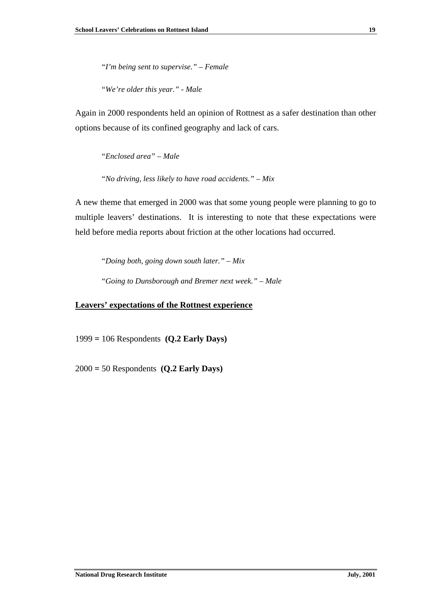*"I'm being sent to supervise." – Female* 

*"We're older this year." - Male* 

Again in 2000 respondents held an opinion of Rottnest as a safer destination than other options because of its confined geography and lack of cars.

*"Enclosed area" – Male* 

*"No driving, less likely to have road accidents." – Mix* 

A new theme that emerged in 2000 was that some young people were planning to go to multiple leavers' destinations. It is interesting to note that these expectations were held before media reports about friction at the other locations had occurred.

*"Doing both, going down south later." – Mix* 

*"Going to Dunsborough and Bremer next week." – Male* 

#### **Leavers' expectations of the Rottnest experience**

1999 **=** 106 Respondents **(Q.2 Early Days)**

2000 **=** 50 Respondents **(Q.2 Early Days)**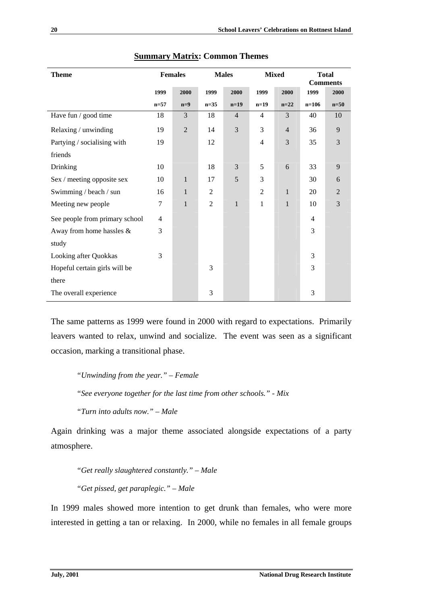| <b>Theme</b>                   |                | <b>Females</b><br><b>Males</b> |                |                | <b>Mixed</b>   | <b>Total</b><br><b>Comments</b> |                |                |
|--------------------------------|----------------|--------------------------------|----------------|----------------|----------------|---------------------------------|----------------|----------------|
|                                | 1999           | 2000                           | 1999           | 2000           | 1999           | 2000                            | 1999           | 2000           |
|                                | $n=57$         | $n=9$                          | $n = 35$       | $n=19$         | $n=19$         | $n=22$                          | $n = 106$      | $n=50$         |
| Have fun / good time           | 18             | $\overline{3}$                 | 18             | $\overline{4}$ | $\overline{4}$ | 3                               | 40             | 10             |
| Relaxing / unwinding           | 19             | $\overline{2}$                 | 14             | 3              | 3              | $\overline{4}$                  | 36             | 9              |
| Partying / socialising with    | 19             |                                | 12             |                | $\overline{4}$ | 3                               | 35             | 3              |
| friends                        |                |                                |                |                |                |                                 |                |                |
| Drinking                       | 10             |                                | 18             | 3              | 5              | 6                               | 33             | 9              |
| Sex / meeting opposite sex     | 10             | $\mathbf{1}$                   | 17             | 5              | 3              |                                 | 30             | 6              |
| Swimming / beach / sun         | 16             | 1                              | $\mathfrak{2}$ |                | $\mathfrak{2}$ | $\mathbf{1}$                    | 20             | $\overline{2}$ |
| Meeting new people             | 7              | $\mathbf{1}$                   | $\mathfrak{2}$ | $\mathbf{1}$   | 1              | $\mathbf{1}$                    | 10             | 3              |
| See people from primary school | $\overline{4}$ |                                |                |                |                |                                 | $\overline{4}$ |                |
| Away from home hassles &       | 3              |                                |                |                |                |                                 | 3              |                |
| study                          |                |                                |                |                |                |                                 |                |                |
| Looking after Quokkas          | 3              |                                |                |                |                |                                 | 3              |                |
| Hopeful certain girls will be  |                |                                | 3              |                |                |                                 | 3              |                |
| there                          |                |                                |                |                |                |                                 |                |                |
| The overall experience         |                |                                | 3              |                |                |                                 | 3              |                |

# **Summary Matrix: Common Themes**

The same patterns as 1999 were found in 2000 with regard to expectations. Primarily leavers wanted to relax, unwind and socialize. The event was seen as a significant occasion, marking a transitional phase.

*"Unwinding from the year." – Female "See everyone together for the last time from other schools." - Mix* 

*"Turn into adults now." – Male* 

Again drinking was a major theme associated alongside expectations of a party atmosphere.

*"Get really slaughtered constantly." – Male "Get pissed, get paraplegic." – Male* 

In 1999 males showed more intention to get drunk than females, who were more interested in getting a tan or relaxing. In 2000, while no females in all female groups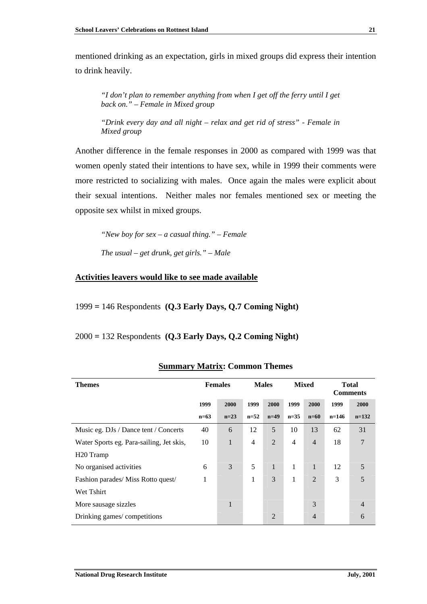mentioned drinking as an expectation, girls in mixed groups did express their intention to drink heavily.

*"I don't plan to remember anything from when I get off the ferry until I get back on." – Female in Mixed group* 

*"Drink every day and all night – relax and get rid of stress" - Female in Mixed group* 

Another difference in the female responses in 2000 as compared with 1999 was that women openly stated their intentions to have sex, while in 1999 their comments were more restricted to socializing with males. Once again the males were explicit about their sexual intentions. Neither males nor females mentioned sex or meeting the opposite sex whilst in mixed groups.

*"New boy for sex – a casual thing." – Female The usual – get drunk, get girls." – Male* 

#### **Activities leavers would like to see made available**

1999 **=** 146 Respondents **(Q.3 Early Days, Q.7 Coming Night)**

2000 **=** 132 Respondents **(Q.3 Early Days, Q.2 Coming Night)**

| <b>Themes</b>                            | <b>Females</b> |              | <b>Males</b> |                | <b>Mixed</b>   |                | <b>Total</b><br><b>Comments</b> |                |
|------------------------------------------|----------------|--------------|--------------|----------------|----------------|----------------|---------------------------------|----------------|
|                                          | 1999           | 2000         | 1999         | 2000           | 1999           | 2000           | 1999                            | 2000           |
|                                          | $n=63$         | $n=23$       | $n=52$       | $n=49$         | $n=35$         | $n=60$         | $n=146$                         | $n=132$        |
| Music eg. DJs / Dance tent / Concerts    | 40             | 6            | 12           | 5              | 10             | 13             | 62                              | 31             |
| Water Sports eg. Para-sailing, Jet skis, | 10             | $\mathbf{1}$ | 4            | 2              | $\overline{4}$ | $\overline{4}$ | 18                              | $\overline{7}$ |
| H <sub>20</sub> Tramp                    |                |              |              |                |                |                |                                 |                |
| No organised activities                  | 6              | 3            | 5            | $\mathbf{1}$   | 1              | 1              | 12                              | 5              |
| Fashion parades/ Miss Rotto quest/       | 1              |              | 1            | 3              | 1              | $\overline{2}$ | 3                               | 5              |
| Wet Tshirt                               |                |              |              |                |                |                |                                 |                |
| More sausage sizzles                     |                | 1            |              |                |                | 3              |                                 | $\overline{4}$ |
| Drinking games/competitions              |                |              |              | $\overline{2}$ |                | $\overline{4}$ |                                 | 6              |

#### **Summary Matrix: Common Themes**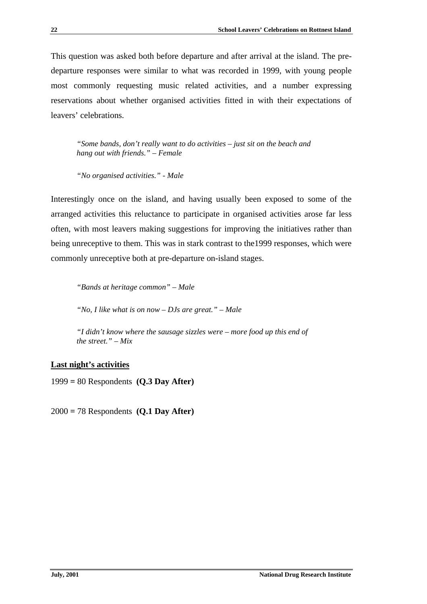This question was asked both before departure and after arrival at the island. The predeparture responses were similar to what was recorded in 1999, with young people most commonly requesting music related activities, and a number expressing reservations about whether organised activities fitted in with their expectations of leavers' celebrations.

*"Some bands, don't really want to do activities – just sit on the beach and hang out with friends." – Female* 

*"No organised activities." - Male* 

Interestingly once on the island, and having usually been exposed to some of the arranged activities this reluctance to participate in organised activities arose far less often, with most leavers making suggestions for improving the initiatives rather than being unreceptive to them. This was in stark contrast to the1999 responses, which were commonly unreceptive both at pre-departure on-island stages.

*"Bands at heritage common" – Male* 

*"No, I like what is on now – DJs are great." – Male* 

*"I didn't know where the sausage sizzles were – more food up this end of the street." – Mix*

#### **Last night's activities**

1999 **=** 80 Respondents **(Q.3 Day After)**

2000 **=** 78 Respondents **(Q.1 Day After)**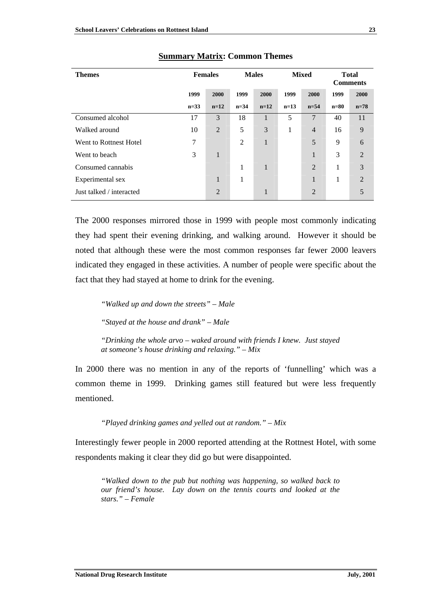| <b>Themes</b>            | <b>Females</b> |                | <b>Males</b>   |              | <b>Mixed</b> |                | <b>Total</b><br><b>Comments</b> |                |
|--------------------------|----------------|----------------|----------------|--------------|--------------|----------------|---------------------------------|----------------|
|                          | 1999           | 2000           | 1999           | 2000         | 1999         | 2000           | 1999                            | 2000           |
|                          | $n=33$         | $n=12$         | $n = 34$       | $n=12$       | $n=13$       | $n=54$         | $n=80$                          | $n=78$         |
| Consumed alcohol         | 17             | 3              | 18             | 1            | 5            | $\overline{7}$ | 40                              | 11             |
| Walked around            | 10             | 2              | 5              | 3            | 1            | $\overline{4}$ | 16                              | 9              |
| Went to Rottnest Hotel   | 7              |                | $\overline{2}$ | $\mathbf{1}$ |              | 5              | 9                               | 6              |
| Went to beach            | 3              | $\mathbf{1}$   |                |              |              | 1              | 3                               | $\overline{2}$ |
| Consumed cannabis        |                |                | 1              | 1            |              | 2              | 1                               | 3              |
| Experimental sex         |                | 1              | 1              |              |              | $\mathbf{1}$   | 1                               | $\overline{2}$ |
| Just talked / interacted |                | $\overline{2}$ |                | 1            |              | 2              |                                 | 5              |

#### **Summary Matrix: Common Themes**

The 2000 responses mirrored those in 1999 with people most commonly indicating they had spent their evening drinking, and walking around. However it should be noted that although these were the most common responses far fewer 2000 leavers indicated they engaged in these activities. A number of people were specific about the fact that they had stayed at home to drink for the evening.

*"Walked up and down the streets" – Male*

*"Stayed at the house and drank" – Male* 

*"Drinking the whole arvo – waked around with friends I knew. Just stayed at someone's house drinking and relaxing." – Mix* 

In 2000 there was no mention in any of the reports of 'funnelling' which was a common theme in 1999. Drinking games still featured but were less frequently mentioned.

*"Played drinking games and yelled out at random." – Mix*

Interestingly fewer people in 2000 reported attending at the Rottnest Hotel, with some respondents making it clear they did go but were disappointed.

*"Walked down to the pub but nothing was happening, so walked back to our friend's house. Lay down on the tennis courts and looked at the stars." – Female*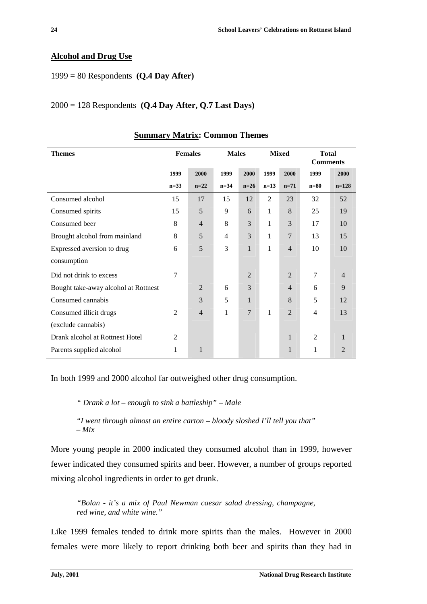#### **Alcohol and Drug Use**

1999 **=** 80 Respondents **(Q.4 Day After)**

#### 2000 **=** 128 Respondents **(Q.4 Day After, Q.7 Last Days)**

| <b>Themes</b>                        | <b>Females</b> |                | <b>Males</b>   |                | <b>Mixed</b> |                | <b>Total</b><br><b>Comments</b> |                |
|--------------------------------------|----------------|----------------|----------------|----------------|--------------|----------------|---------------------------------|----------------|
|                                      | 1999           | 2000           | 1999           | 2000           | 1999         | 2000           | 1999                            | 2000           |
|                                      | $n=33$         | $n=22$         | $n = 34$       | $n=26$         | $n=13$       | $n=71$         | $n=80$                          | $n=128$        |
| Consumed alcohol                     | 15             | 17             | 15             | 12             | 2            | 23             | 32                              | 52             |
| Consumed spirits                     | 15             | 5              | 9              | 6              | 1            | 8              | 25                              | 19             |
| Consumed beer                        | 8              | $\overline{4}$ | 8              | 3              | 1            | 3              | 17                              | 10             |
| Brought alcohol from mainland        | 8              | 5              | $\overline{4}$ | 3              | 1            | $\overline{7}$ | 13                              | 15             |
| Expressed aversion to drug           | 6              | 5              | 3              | $\mathbf{1}$   | 1            | $\overline{4}$ | 10                              | 10             |
| consumption                          |                |                |                |                |              |                |                                 |                |
| Did not drink to excess              | 7              |                |                | $\overline{2}$ |              | $\overline{2}$ | 7                               | $\overline{4}$ |
| Bought take-away alcohol at Rottnest |                | $\overline{2}$ | 6              | 3              |              | $\overline{4}$ | 6                               | 9              |
| Consumed cannabis                    |                | 3              | 5              | 1              |              | 8              | 5                               | 12             |
| Consumed illicit drugs               | 2              | $\overline{4}$ | 1              | 7              | 1            | $\overline{2}$ | 4                               | 13             |
| (exclude cannabis)                   |                |                |                |                |              |                |                                 |                |
| Drank alcohol at Rottnest Hotel      | 2              |                |                |                |              | $\mathbf{1}$   | $\overline{2}$                  | $\mathbf{1}$   |
| Parents supplied alcohol             | 1              | 1              |                |                |              | 1              | 1                               | $\overline{2}$ |

#### **Summary Matrix: Common Themes**

In both 1999 and 2000 alcohol far outweighed other drug consumption.

*" Drank a lot – enough to sink a battleship" – Male* 

*"I went through almost an entire carton – bloody sloshed I'll tell you that" – Mix* 

More young people in 2000 indicated they consumed alcohol than in 1999, however fewer indicated they consumed spirits and beer. However, a number of groups reported mixing alcohol ingredients in order to get drunk.

*"Bolan - it's a mix of Paul Newman caesar salad dressing, champagne, red wine, and white wine."* 

Like 1999 females tended to drink more spirits than the males. However in 2000 females were more likely to report drinking both beer and spirits than they had in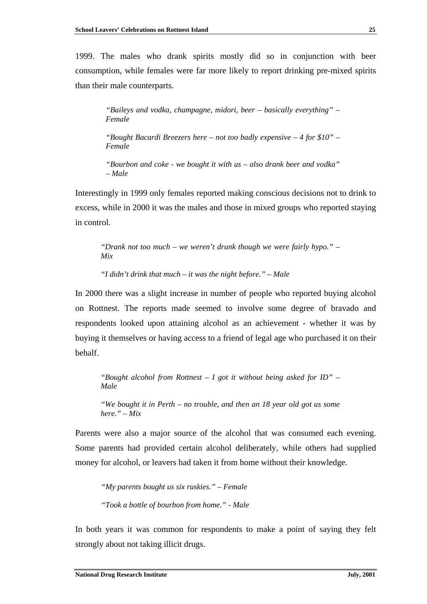1999. The males who drank spirits mostly did so in conjunction with beer consumption, while females were far more likely to report drinking pre-mixed spirits than their male counterparts.

> *"Baileys and vodka, champagne, midori, beer – basically everything" – Female*

> *"Bought Bacardi Breezers here – not too badly expensive – 4 for \$10" – Female*

> *"Bourbon and coke - we bought it with us – also drank beer and vodka" – Male*

Interestingly in 1999 only females reported making conscious decisions not to drink to excess, while in 2000 it was the males and those in mixed groups who reported staying in control.

*"Drank not too much – we weren't drunk though we were fairly hypo." – Mix* 

*"I didn't drink that much – it was the night before." – Male*

In 2000 there was a slight increase in number of people who reported buying alcohol on Rottnest. The reports made seemed to involve some degree of bravado and respondents looked upon attaining alcohol as an achievement - whether it was by buying it themselves or having access to a friend of legal age who purchased it on their behalf.

*"Bought alcohol from Rottnest – I got it without being asked for ID" – Male* 

*"We bought it in Perth – no trouble, and then an 18 year old got us some here." – Mix*

Parents were also a major source of the alcohol that was consumed each evening. Some parents had provided certain alcohol deliberately, while others had supplied money for alcohol, or leavers had taken it from home without their knowledge.

*"My parents bought us six ruskies." – Female "Took a bottle of bourbon from home." - Male* 

In both years it was common for respondents to make a point of saying they felt strongly about not taking illicit drugs.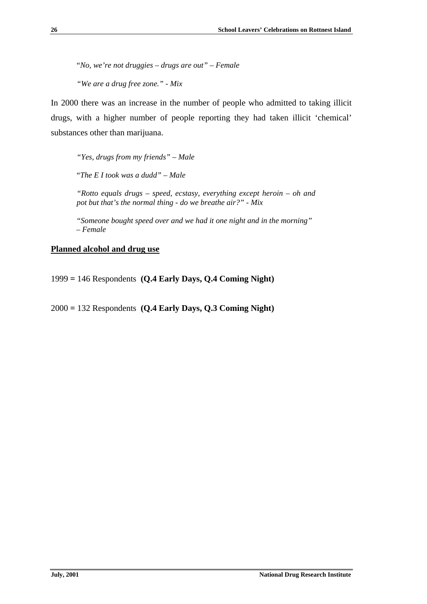"*No, we're not druggies – drugs are out" – Female "We are a drug free zone." - Mix* 

In 2000 there was an increase in the number of people who admitted to taking illicit drugs, with a higher number of people reporting they had taken illicit 'chemical' substances other than marijuana.

*"Yes, drugs from my friends" – Male* 

"*The E I took was a dudd" – Male* 

*"Rotto equals drugs – speed, ecstasy, everything except heroin – oh and pot but that's the normal thing - do we breathe air?" - Mix* 

*"Someone bought speed over and we had it one night and in the morning" – Female* 

### **Planned alcohol and drug use**

1999 **=** 146 Respondents **(Q.4 Early Days, Q.4 Coming Night)** 

2000 **=** 132 Respondents **(Q.4 Early Days, Q.3 Coming Night)**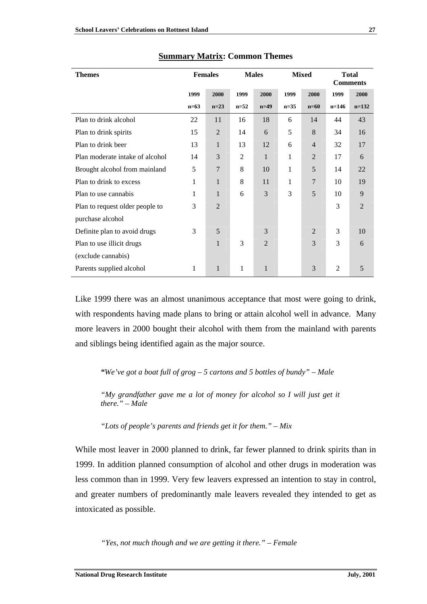| <b>Themes</b>                   | <b>Females</b> |                | <b>Males</b> |                | <b>Mixed</b> |                | <b>Total</b><br><b>Comments</b> |                |
|---------------------------------|----------------|----------------|--------------|----------------|--------------|----------------|---------------------------------|----------------|
|                                 | 1999           | 2000           | 1999         | 2000           | 1999         | 2000           | 1999                            | 2000           |
|                                 | $n=63$         | $n=23$         | $n=52$       | $n=49$         | $n=35$       | $n=60$         | $n=146$                         | $n=132$        |
| Plan to drink alcohol           | 22             | 11             | 16           | 18             | 6            | 14             | 44                              | 43             |
| Plan to drink spirits           | 15             | 2              | 14           | 6              | 5            | 8              | 34                              | 16             |
| Plan to drink beer              | 13             | $\mathbf{1}$   | 13           | 12             | 6            | $\overline{4}$ | 32                              | 17             |
| Plan moderate intake of alcohol | 14             | 3              | 2            | $\mathbf{1}$   | 1            | $\overline{2}$ | 17                              | 6              |
| Brought alcohol from mainland   | 5              | 7              | 8            | 10             | 1            | 5              | 14                              | 22             |
| Plan to drink to excess         | 1              | $\mathbf{1}$   | 8            | 11             | 1            | $\overline{7}$ | 10                              | 19             |
| Plan to use cannabis            | 1              | $\mathbf{1}$   | 6            | 3              | 3            | 5              | 10                              | 9              |
| Plan to request older people to | 3              | $\overline{2}$ |              |                |              |                | 3                               | $\overline{2}$ |
| purchase alcohol                |                |                |              |                |              |                |                                 |                |
| Definite plan to avoid drugs    | 3              | 5              |              | 3              |              | $\overline{2}$ | 3                               | 10             |
| Plan to use illicit drugs       |                | 1              | 3            | $\overline{2}$ |              | 3              | 3                               | 6              |
| (exclude cannabis)              |                |                |              |                |              |                |                                 |                |
| Parents supplied alcohol        | 1              | $\mathbf{1}$   | 1            | $\mathbf{1}$   |              | 3              | $\overline{2}$                  | 5              |

**Summary Matrix: Common Themes** 

Like 1999 there was an almost unanimous acceptance that most were going to drink, with respondents having made plans to bring or attain alcohol well in advance. Many more leavers in 2000 bought their alcohol with them from the mainland with parents and siblings being identified again as the major source.

*"We've got a boat full of grog – 5 cartons and 5 bottles of bundy" – Male* 

*"My grandfather gave me a lot of money for alcohol so I will just get it there." – Male* 

*"Lots of people's parents and friends get it for them." – Mix* 

While most leaver in 2000 planned to drink, far fewer planned to drink spirits than in 1999. In addition planned consumption of alcohol and other drugs in moderation was less common than in 1999. Very few leavers expressed an intention to stay in control, and greater numbers of predominantly male leavers revealed they intended to get as intoxicated as possible.

*"Yes, not much though and we are getting it there." – Female*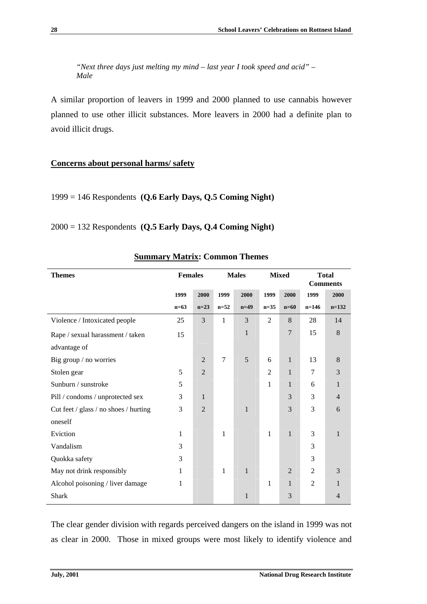*"Next three days just melting my mind – last year I took speed and acid" – Male* 

A similar proportion of leavers in 1999 and 2000 planned to use cannabis however planned to use other illicit substances. More leavers in 2000 had a definite plan to avoid illicit drugs.

# **Concerns about personal harms/ safety**

1999 = 146 Respondents **(Q.6 Early Days, Q.5 Coming Night)** 

2000 = 132 Respondents **(Q.5 Early Days, Q.4 Coming Night)** 

| <b>Themes</b>                         | <b>Females</b> |                | <b>Males</b> |              | <b>Mixed</b>   |                | <b>Total</b><br><b>Comments</b> |                |
|---------------------------------------|----------------|----------------|--------------|--------------|----------------|----------------|---------------------------------|----------------|
|                                       | 1999           | 2000           | 1999         | 2000         | 1999           | 2000           | 1999                            | 2000           |
|                                       | $n=63$         | $n=23$         | $n=52$       | $n=49$       | $n=35$         | $n=60$         | $n=146$                         | $n=132$        |
| Violence / Intoxicated people         | 25             | 3              | 1            | 3            | $\overline{2}$ | 8              | 28                              | 14             |
| Rape / sexual harassment / taken      | 15             |                |              | $\mathbf{1}$ |                | $\overline{7}$ | 15                              | 8              |
| advantage of                          |                |                |              |              |                |                |                                 |                |
| Big group / no worries                |                | $\overline{2}$ | 7            | 5            | 6              | $\mathbf{1}$   | 13                              | 8              |
| Stolen gear                           | 5              | $\overline{2}$ |              |              | $\overline{2}$ | $\mathbf{1}$   | 7                               | 3              |
| Sunburn / sunstroke                   | 5              |                |              |              | 1              | $\mathbf{1}$   | 6                               | $\mathbf{1}$   |
| Pill / condoms / unprotected sex      | 3              | $\mathbf{1}$   |              |              |                | 3              | 3                               | $\overline{4}$ |
| Cut feet / glass / no shoes / hurting | 3              | $\overline{2}$ |              | $\mathbf{1}$ |                | 3              | 3                               | 6              |
| oneself                               |                |                |              |              |                |                |                                 |                |
| Eviction                              | 1              |                | 1            |              | $\mathbf{1}$   | $\mathbf{1}$   | 3                               | 1              |
| Vandalism                             | 3              |                |              |              |                |                | 3                               |                |
| Quokka safety                         | 3              |                |              |              |                |                | 3                               |                |
| May not drink responsibly             | 1              |                | 1            | $\mathbf{1}$ |                | $\overline{2}$ | $\overline{2}$                  | 3              |
| Alcohol poisoning / liver damage      | 1              |                |              |              | 1              | $\mathbf{1}$   | $\overline{2}$                  | 1              |
| <b>Shark</b>                          |                |                |              | 1            |                | 3              |                                 | 4              |

#### **Summary Matrix: Common Themes**

The clear gender division with regards perceived dangers on the island in 1999 was not as clear in 2000. Those in mixed groups were most likely to identify violence and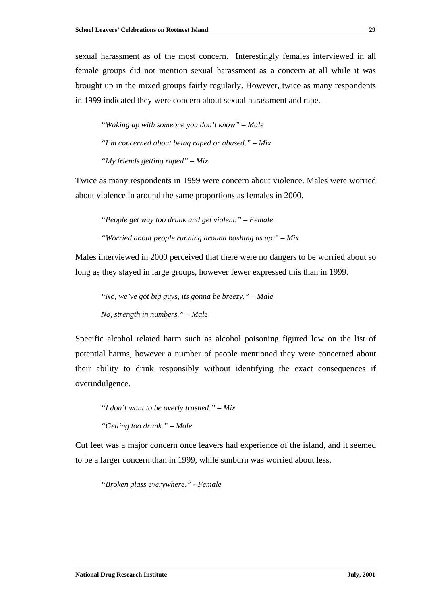sexual harassment as of the most concern. Interestingly females interviewed in all female groups did not mention sexual harassment as a concern at all while it was brought up in the mixed groups fairly regularly. However, twice as many respondents in 1999 indicated they were concern about sexual harassment and rape.

*"Waking up with someone you don't know" – Male "I'm concerned about being raped or abused." – Mix "My friends getting raped" – Mix* 

Twice as many respondents in 1999 were concern about violence. Males were worried about violence in around the same proportions as females in 2000.

*"People get way too drunk and get violent." – Female "Worried about people running around bashing us up." – Mix* 

Males interviewed in 2000 perceived that there were no dangers to be worried about so long as they stayed in large groups, however fewer expressed this than in 1999.

*"No, we've got big guys, its gonna be breezy." – Male No, strength in numbers." – Male* 

Specific alcohol related harm such as alcohol poisoning figured low on the list of potential harms, however a number of people mentioned they were concerned about their ability to drink responsibly without identifying the exact consequences if overindulgence.

*"I don't want to be overly trashed." – Mix* 

*"Getting too drunk." – Male* 

Cut feet was a major concern once leavers had experience of the island, and it seemed to be a larger concern than in 1999, while sunburn was worried about less.

*"Broken glass everywhere." - Female*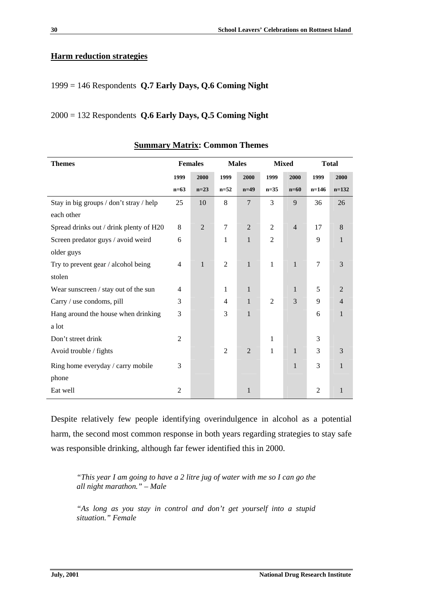# **Harm reduction strategies**

1999 = 146 Respondents **Q.7 Early Days, Q.6 Coming Night** 

# 2000 = 132 Respondents **Q.6 Early Days, Q.5 Coming Night**

| <b>Themes</b>                           |        | <b>Females</b> | <b>Males</b>   |                | <b>Mixed</b>   |                | <b>Total</b>   |                |
|-----------------------------------------|--------|----------------|----------------|----------------|----------------|----------------|----------------|----------------|
|                                         | 1999   | 2000           | 1999           | 2000           | 1999           | 2000           | 1999           | 2000           |
|                                         | $n=63$ | $n=23$         | $n=52$         | $n=49$         | $n = 35$       | $n=60$         | $n=146$        | $n=132$        |
| Stay in big groups / don't stray / help | 25     | 10             | 8              | $\overline{7}$ | 3              | 9              | 36             | 26             |
| each other                              |        |                |                |                |                |                |                |                |
| Spread drinks out / drink plenty of H20 | 8      | $\overline{2}$ | 7              | $\overline{2}$ | $\overline{2}$ | $\overline{4}$ | 17             | 8              |
| Screen predator guys / avoid weird      | 6      |                | 1              | 1              | $\overline{2}$ |                | 9              | 1              |
| older guys                              |        |                |                |                |                |                |                |                |
| Try to prevent gear / alcohol being     | 4      | $\mathbf{1}$   | $\overline{2}$ | $\mathbf{1}$   | 1              | $\mathbf{1}$   | 7              | 3              |
| stolen                                  |        |                |                |                |                |                |                |                |
| Wear sunscreen / stay out of the sun    | 4      |                | $\mathbf{1}$   | $\mathbf{1}$   |                | $\mathbf{1}$   | 5              | $\overline{2}$ |
| Carry / use condoms, pill               | 3      |                | $\overline{4}$ | $\mathbf{1}$   | $\overline{2}$ | 3              | 9              | $\overline{4}$ |
| Hang around the house when drinking     | 3      |                | 3              | $\mathbf{1}$   |                |                | 6              | $\mathbf{1}$   |
| a lot                                   |        |                |                |                |                |                |                |                |
| Don't street drink                      | 2      |                |                |                | 1              |                | 3              |                |
| Avoid trouble / fights                  |        |                | $\overline{2}$ | $\overline{2}$ | $\mathbf{1}$   | $\mathbf{1}$   | 3              | 3              |
| Ring home everyday / carry mobile       | 3      |                |                |                |                | $\mathbf{1}$   | 3              | 1              |
| phone                                   |        |                |                |                |                |                |                |                |
| Eat well                                | 2      |                |                | $\mathbf{1}$   |                |                | $\overline{2}$ | $\mathbf{1}$   |

**Summary Matrix: Common Themes** 

Despite relatively few people identifying overindulgence in alcohol as a potential harm, the second most common response in both years regarding strategies to stay safe was responsible drinking, although far fewer identified this in 2000.

*"This year I am going to have a 2 litre jug of water with me so I can go the all night marathon." – Male* 

*"As long as you stay in control and don't get yourself into a stupid situation." Female*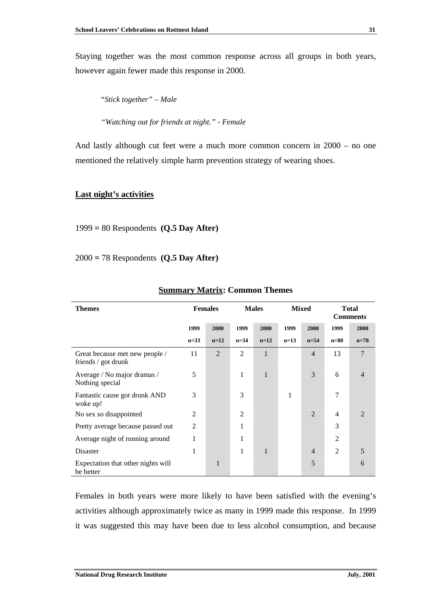Staying together was the most common response across all groups in both years, however again fewer made this response in 2000.

"*Stick together" – Male* 

*"Watching out for friends at night." - Female*

And lastly although cut feet were a much more common concern in 2000 – no one mentioned the relatively simple harm prevention strategy of wearing shoes.

## **Last night's activities**

1999 **=** 80 Respondents **(Q.5 Day After)**

2000 **=** 78 Respondents **(Q.5 Day After)** 

| <b>Themes</b>                                         | <b>Females</b><br><b>Males</b> |        | <b>Mixed</b>   |              | <b>Total</b><br><b>Comments</b> |                |                |                |
|-------------------------------------------------------|--------------------------------|--------|----------------|--------------|---------------------------------|----------------|----------------|----------------|
|                                                       | 1999                           | 2000   | 1999           | 2000         | 1999                            | 2000           | 1999           | 2000           |
|                                                       | $n=33$                         | $n=12$ | $n = 34$       | $n=12$       | $n=13$                          | $n=54$         | $n=80$         | $n=78$         |
| Great because met new people /<br>friends / got drunk | 11                             | 2      | 2              | 1            |                                 | $\overline{4}$ | 13             | 7              |
| Average / No major dramas /<br>Nothing special        | 5                              |        | 1              | $\mathbf{1}$ |                                 | 3              | 6              | $\overline{4}$ |
| Fantastic cause got drunk AND<br>woke up!             | 3                              |        | 3              |              | 1                               |                | $\overline{7}$ |                |
| No sex so disappointed                                | $\mathfrak{D}$                 |        | $\mathfrak{D}$ |              |                                 | $\mathfrak{D}$ | $\overline{4}$ | $\mathfrak{D}$ |
| Pretty average because passed out                     | $\overline{2}$                 |        |                |              |                                 |                | 3              |                |
| Average night of running around                       | 1                              |        |                |              |                                 |                | $\overline{2}$ |                |
| Disaster                                              | 1                              |        | 1              | $\mathbf{1}$ |                                 | $\overline{4}$ | $\overline{2}$ | 5              |
| Expectation that other nights will<br>be better       |                                | 1      |                |              |                                 | 5              |                | 6              |

#### **Summary Matrix: Common Themes**

Females in both years were more likely to have been satisfied with the evening's activities although approximately twice as many in 1999 made this response. In 1999 it was suggested this may have been due to less alcohol consumption, and because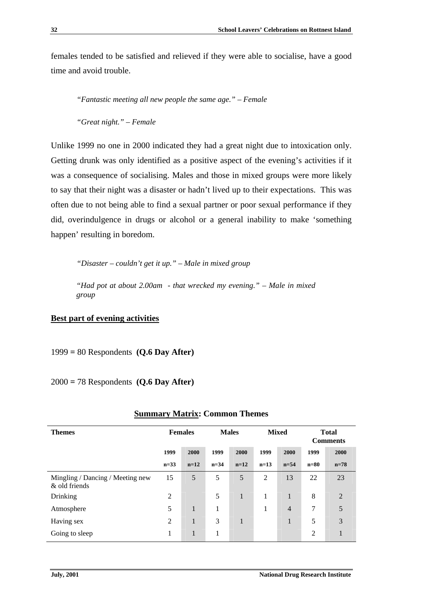females tended to be satisfied and relieved if they were able to socialise, have a good time and avoid trouble.

*"Fantastic meeting all new people the same age." – Female* 

*"Great night." – Female* 

Unlike 1999 no one in 2000 indicated they had a great night due to intoxication only. Getting drunk was only identified as a positive aspect of the evening's activities if it was a consequence of socialising. Males and those in mixed groups were more likely to say that their night was a disaster or hadn't lived up to their expectations. This was often due to not being able to find a sexual partner or poor sexual performance if they did, overindulgence in drugs or alcohol or a general inability to make 'something happen' resulting in boredom.

*"Disaster – couldn't get it up." – Male in mixed group* 

*"Had pot at about 2.00am - that wrecked my evening." – Male in mixed group* 

### **Best part of evening activities**

1999 **=** 80 Respondents **(Q.6 Day After)**

2000 **=** 78 Respondents **(Q.6 Day After)** 

| <b>Themes</b>                                     | <b>Females</b> |              | <b>Males</b><br><b>Mixed</b> |        |        | <b>Total</b><br><b>Comments</b> |        |        |
|---------------------------------------------------|----------------|--------------|------------------------------|--------|--------|---------------------------------|--------|--------|
|                                                   | 1999           | 2000         | 1999                         | 2000   | 1999   | 2000                            | 1999   | 2000   |
|                                                   | $n=33$         | $n=12$       | $n = 34$                     | $n=12$ | $n=13$ | $n=54$                          | $n=80$ | $n=78$ |
| Mingling / Dancing / Meeting new<br>& old friends | 15             | 5            | 5                            | 5      | 2      | 13                              | 22     | 23     |
| Drinking                                          | $\overline{2}$ |              | 5                            | 1      | 1      | 1                               | 8      | 2      |
| Atmosphere                                        | 5              | $\mathbf{1}$ | 1                            |        | 1      | $\overline{4}$                  | 7      | 5      |
| Having sex                                        | 2              | 1            | 3                            | 1      |        | 1                               | 5      | 3      |
| Going to sleep                                    | 1              | 1            | 1                            |        |        |                                 | 2      | 1      |

#### **Summary Matrix: Common Themes**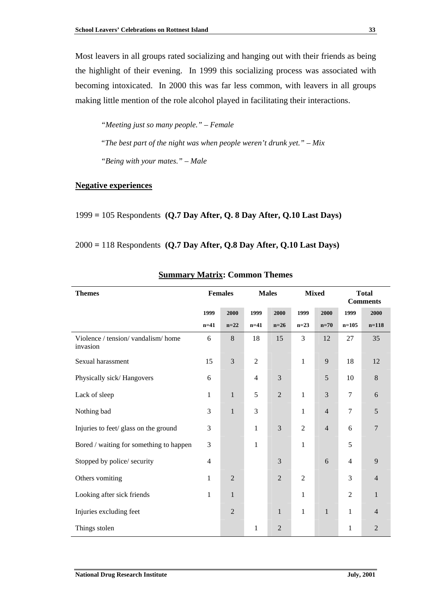Most leavers in all groups rated socializing and hanging out with their friends as being the highlight of their evening. In 1999 this socializing process was associated with becoming intoxicated. In 2000 this was far less common, with leavers in all groups making little mention of the role alcohol played in facilitating their interactions.

*"Meeting just so many people." – Female*

*"The best part of the night was when people weren't drunk yet." – Mix* 

*"Being with your mates." – Male*

### **Negative experiences**

1999 **=** 105 Respondents **(Q.7 Day After, Q. 8 Day After, Q.10 Last Days)**

2000 **=** 118 Respondents **(Q.7 Day After, Q.8 Day After, Q.10 Last Days)** 

| <b>Themes</b>                                   |                | <b>Females</b> | <b>Males</b>   |                | <b>Mixed</b>   |                | <b>Total</b><br><b>Comments</b> |                |
|-------------------------------------------------|----------------|----------------|----------------|----------------|----------------|----------------|---------------------------------|----------------|
|                                                 | 1999           | 2000           | 1999           | 2000           | 1999           | 2000           | 1999                            | 2000           |
|                                                 | $n=41$         | $n=22$         | $n=41$         | $n=26$         | $n=23$         | $n=70$         | $n = 105$                       | $n = 118$      |
| Violence / tension/ vandalism/ home<br>invasion | 6              | $8\,$          | 18             | 15             | 3              | 12             | 27                              | 35             |
| Sexual harassment                               | 15             | $\overline{3}$ | $\overline{2}$ |                | $\mathbf{1}$   | 9              | 18                              | 12             |
| Physically sick/Hangovers                       | 6              |                | $\overline{4}$ | 3              |                | 5              | 10                              | 8              |
| Lack of sleep                                   | 1              | $\mathbf{1}$   | 5              | $\overline{2}$ | $\mathbf{1}$   | 3              | $\tau$                          | 6              |
| Nothing bad                                     | 3              | $\mathbf{1}$   | 3              |                | 1              | $\overline{4}$ | $\overline{7}$                  | 5              |
| Injuries to feet/ glass on the ground           | 3              |                | $\mathbf{1}$   | 3              | $\overline{2}$ | $\overline{4}$ | 6                               | $\overline{7}$ |
| Bored / waiting for something to happen         | $\mathfrak{Z}$ |                | $\mathbf{1}$   |                | $\mathbf{1}$   |                | 5                               |                |
| Stopped by police/ security                     | 4              |                |                | 3              |                | 6              | $\overline{4}$                  | 9              |
| Others vomiting                                 | 1              | $\overline{2}$ |                | $\overline{2}$ | $\mathfrak{2}$ |                | 3                               | $\overline{4}$ |
| Looking after sick friends                      | 1              | $\mathbf{1}$   |                |                | $\mathbf{1}$   |                | $\overline{2}$                  | $\mathbf{1}$   |
| Injuries excluding feet                         |                | $\overline{2}$ |                | 1              | $\mathbf{1}$   | $\mathbf{1}$   | $\mathbf{1}$                    | $\overline{4}$ |
| Things stolen                                   |                |                | 1              | $\overline{2}$ |                |                | $\mathbf{1}$                    | $\overline{2}$ |

**Summary Matrix: Common Themes**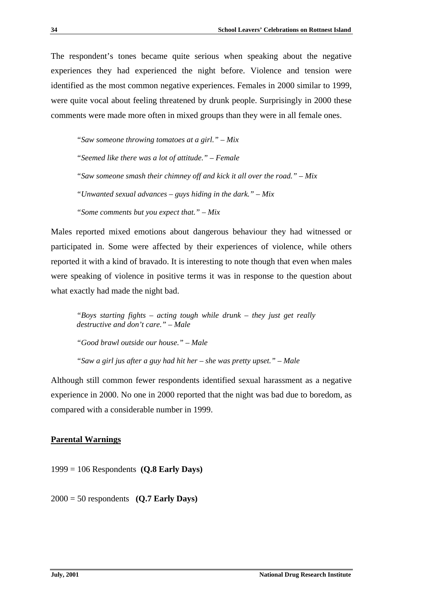The respondent's tones became quite serious when speaking about the negative experiences they had experienced the night before. Violence and tension were identified as the most common negative experiences. Females in 2000 similar to 1999, were quite vocal about feeling threatened by drunk people. Surprisingly in 2000 these comments were made more often in mixed groups than they were in all female ones.

*"Saw someone throwing tomatoes at a girl." – Mix "Seemed like there was a lot of attitude." – Female "Saw someone smash their chimney off and kick it all over the road." – Mix "Unwanted sexual advances – guys hiding in the dark." – Mix "Some comments but you expect that." – Mix* 

Males reported mixed emotions about dangerous behaviour they had witnessed or participated in. Some were affected by their experiences of violence, while others reported it with a kind of bravado. It is interesting to note though that even when males were speaking of violence in positive terms it was in response to the question about what exactly had made the night bad.

*"Boys starting fights – acting tough while drunk – they just get really destructive and don't care." – Male "Good brawl outside our house." – Male "Saw a girl jus after a guy had hit her – she was pretty upset." – Male* 

Although still common fewer respondents identified sexual harassment as a negative experience in 2000. No one in 2000 reported that the night was bad due to boredom, as compared with a considerable number in 1999.

### **Parental Warnings**

1999 = 106 Respondents **(Q.8 Early Days)** 

2000 = 50 respondents **(Q.7 Early Days)**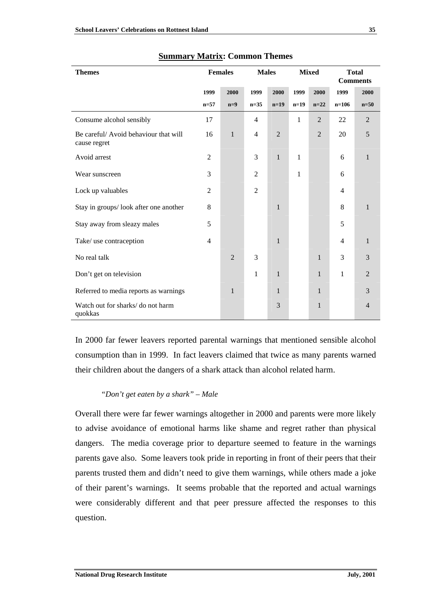| <b>Themes</b>                                         |                | <b>Females</b> | <b>Males</b>   |                | <b>Mixed</b> |                | <b>Total</b><br><b>Comments</b> |                |
|-------------------------------------------------------|----------------|----------------|----------------|----------------|--------------|----------------|---------------------------------|----------------|
|                                                       | 1999           | 2000           | 1999           | 2000           | 1999         | 2000           | 1999                            | 2000           |
|                                                       | $n=57$         | $n=9$          | $n=35$         | $n=19$         | $n=19$       | $n=22$         | $n = 106$                       | $n=50$         |
| Consume alcohol sensibly                              | 17             |                | $\overline{4}$ |                | 1            | $\overline{2}$ | 22                              | $\overline{2}$ |
| Be careful/ Avoid behaviour that will<br>cause regret | 16             | $\mathbf{1}$   | $\overline{4}$ | $\overline{2}$ |              | $\overline{2}$ | 20                              | 5              |
| Avoid arrest                                          | $\overline{2}$ |                | 3              | $\mathbf{1}$   | $\mathbf{1}$ |                | 6                               | 1              |
| Wear sunscreen                                        | 3              |                | 2              |                | $\mathbf{1}$ |                | 6                               |                |
| Lock up valuables                                     | $\overline{2}$ |                | $\overline{2}$ |                |              |                | $\overline{4}$                  |                |
| Stay in groups/look after one another                 | 8              |                |                | $\mathbf{1}$   |              |                | 8                               | $\mathbf{1}$   |
| Stay away from sleazy males                           | 5              |                |                |                |              |                | 5                               |                |
| Take/ use contraception                               | $\overline{4}$ |                |                | $\mathbf{1}$   |              |                | $\overline{4}$                  | $\mathbf{1}$   |
| No real talk                                          |                | $\overline{2}$ | 3              |                |              | 1              | 3                               | 3              |
| Don't get on television                               |                |                | $\mathbf{1}$   | $\mathbf{1}$   |              | 1              | $\mathbf{1}$                    | $\overline{2}$ |
| Referred to media reports as warnings                 |                | 1              |                | 1              |              | 1              |                                 | 3              |
| Watch out for sharks/ do not harm<br>quokkas          |                |                |                | 3              |              | 1              |                                 | $\overline{4}$ |

#### **Summary Matrix: Common Themes**

In 2000 far fewer leavers reported parental warnings that mentioned sensible alcohol consumption than in 1999. In fact leavers claimed that twice as many parents warned their children about the dangers of a shark attack than alcohol related harm.

#### *"Don't get eaten by a shark" – Male*

Overall there were far fewer warnings altogether in 2000 and parents were more likely to advise avoidance of emotional harms like shame and regret rather than physical dangers. The media coverage prior to departure seemed to feature in the warnings parents gave also. Some leavers took pride in reporting in front of their peers that their parents trusted them and didn't need to give them warnings, while others made a joke of their parent's warnings. It seems probable that the reported and actual warnings were considerably different and that peer pressure affected the responses to this question.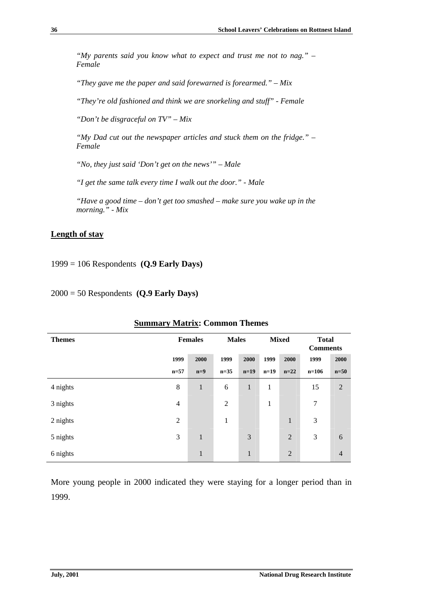*"My parents said you know what to expect and trust me not to nag." – Female* 

*"They gave me the paper and said forewarned is forearmed." – Mix* 

*"They're old fashioned and think we are snorkeling and stuff" - Female* 

*"Don't be disgraceful on TV" – Mix* 

*"My Dad cut out the newspaper articles and stuck them on the fridge." – Female* 

*"No, they just said 'Don't get on the news'" – Male* 

*"I get the same talk every time I walk out the door." - Male* 

*"Have a good time – don't get too smashed – make sure you wake up in the morning." - Mix* 

# **Length of stay**

1999 = 106 Respondents **(Q.9 Early Days)** 

2000 = 50 Respondents **(Q.9 Early Days)** 

| <b>Themes</b> | <b>Females</b> |              | <b>Males</b> |              | <b>Mixed</b> |                | <b>Total</b><br><b>Comments</b> |                |
|---------------|----------------|--------------|--------------|--------------|--------------|----------------|---------------------------------|----------------|
|               | 1999           | 2000         | 1999         | 2000         | 1999         | 2000           | 1999                            | 2000           |
|               | $n=57$         | $n=9$        | $n=35$       | $n=19$       | $n=19$       | $n=22$         | $n=106$                         | $n=50$         |
| 4 nights      | $\,$ 8 $\,$    | $\mathbf{1}$ | $\sqrt{6}$   | $\mathbf{1}$ | 1            |                | 15                              | $\overline{2}$ |
| 3 nights      | 4              |              | 2            |              | 1            |                | 7                               |                |
| 2 nights      | $\overline{2}$ |              | $\mathbf{1}$ |              |              | $\mathbf{1}$   | 3                               |                |
| 5 nights      | 3              | $\mathbf{1}$ |              | 3            |              | $\overline{2}$ | 3                               | 6              |
| 6 nights      |                | 1            |              | $\mathbf{1}$ |              | $\overline{2}$ |                                 | $\overline{4}$ |

# **Summary Matrix: Common Themes**

More young people in 2000 indicated they were staying for a longer period than in 1999.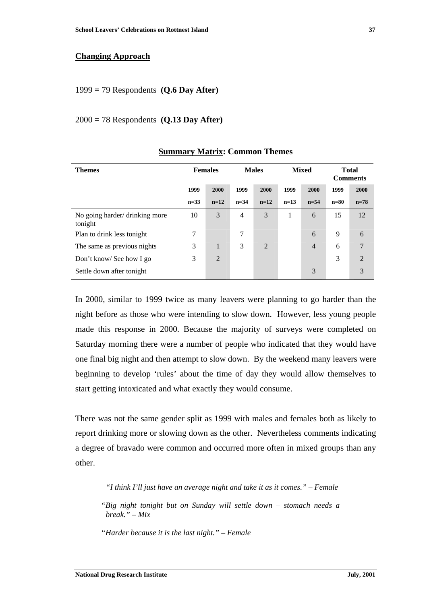#### **Changing Approach**

#### 1999 **=** 79 Respondents **(Q.6 Day After)**

#### 2000 **=** 78 Respondents **(Q.13 Day After)**

| <b>Themes</b>                             | <b>Females</b> |        | <b>Males</b>   |        | <b>Mixed</b> |                | <b>Total</b><br><b>Comments</b> |                |
|-------------------------------------------|----------------|--------|----------------|--------|--------------|----------------|---------------------------------|----------------|
|                                           | 1999           | 2000   | 1999           | 2000   | 1999         | 2000           | 1999                            | 2000           |
|                                           | $n=33$         | $n=12$ | $n = 34$       | $n=12$ | $n=13$       | $n=54$         | $n=80$                          | $n=78$         |
| No going harder/ drinking more<br>tonight | 10             | 3      | $\overline{4}$ | 3      |              | 6              | 15                              | 12             |
| Plan to drink less tonight                | 7              |        | 7              |        |              | 6              | 9                               | 6              |
| The same as previous nights               | 3              | 1      | 3              | 2      |              | $\overline{4}$ | 6                               | 7              |
| Don't know/ See how I go                  | 3              | 2      |                |        |              |                | 3                               | $\overline{2}$ |
| Settle down after tonight                 |                |        |                |        |              | 3              |                                 | 3              |

#### **Summary Matrix: Common Themes**

In 2000, similar to 1999 twice as many leavers were planning to go harder than the night before as those who were intending to slow down. However, less young people made this response in 2000. Because the majority of surveys were completed on Saturday morning there were a number of people who indicated that they would have one final big night and then attempt to slow down. By the weekend many leavers were beginning to develop 'rules' about the time of day they would allow themselves to start getting intoxicated and what exactly they would consume.

There was not the same gender split as 1999 with males and females both as likely to report drinking more or slowing down as the other. Nevertheless comments indicating a degree of bravado were common and occurred more often in mixed groups than any other.

*"I think I'll just have an average night and take it as it comes." – Female* 

*"Big night tonight but on Sunday will settle down – stomach needs a break." – Mix* 

*"Harder because it is the last night." – Female*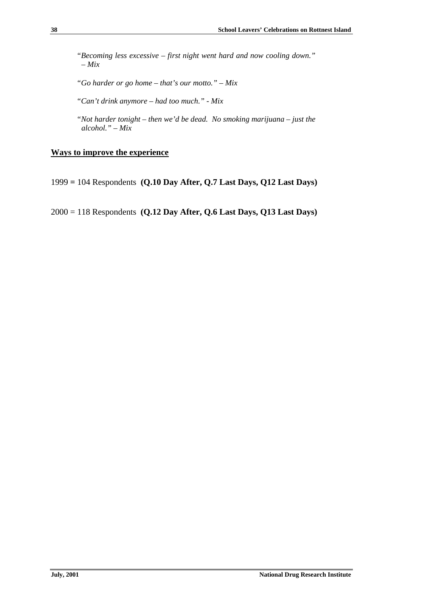- *"Becoming less excessive first night went hard and now cooling down." – Mix*
- *"Go harder or go home that's our motto." Mix*
- *"Can't drink anymore had too much." Mix*
- *"Not harder tonight then we'd be dead. No smoking marijuana just the alcohol." – Mix*

#### **Ways to improve the experience**

- 1999 **=** 104 Respondents **(Q.10 Day After, Q.7 Last Days, Q12 Last Days)**
- 2000 = 118 Respondents **(Q.12 Day After, Q.6 Last Days, Q13 Last Days)**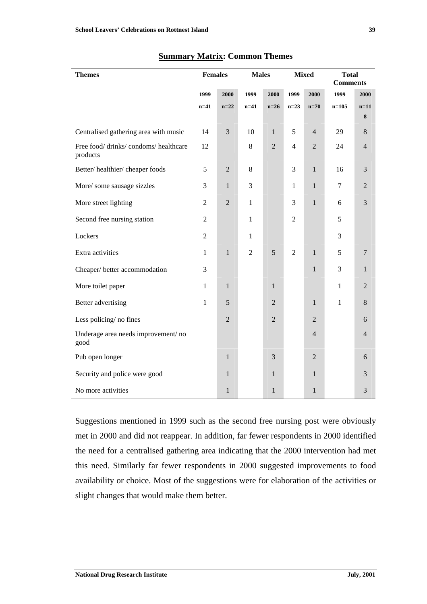| <b>Themes</b>                                   | <b>Females</b> |                | <b>Males</b>   |                |                | <b>Mixed</b>   | <b>Total</b><br><b>Comments</b> |                |
|-------------------------------------------------|----------------|----------------|----------------|----------------|----------------|----------------|---------------------------------|----------------|
|                                                 | 1999           | 2000           | 1999           | 2000           | 1999           | 2000           | 1999                            | 2000           |
|                                                 | $n=41$         | $n=22$         | $n=41$         | $n=26$         | $n=23$         | $n=70$         | $n = 105$                       | $n=11$<br>8    |
| Centralised gathering area with music           | 14             | 3              | 10             | $\mathbf{1}$   | 5              | $\overline{4}$ | 29                              | 8              |
| Free food/drinks/condoms/healthcare<br>products | 12             |                | $\,8$          | $\mathbf{2}$   | $\overline{4}$ | $\overline{2}$ | 24                              | $\overline{4}$ |
| Better/healthier/cheaper foods                  | 5              | $\overline{2}$ | $\,8$          |                | 3              | $\mathbf{1}$   | 16                              | 3              |
| More/ some sausage sizzles                      | 3              | $\mathbf{1}$   | 3              |                | $\mathbf{1}$   | $\mathbf{1}$   | $\tau$                          | $\overline{2}$ |
| More street lighting                            | $\overline{2}$ | $\mathbf{2}$   | 1              |                | 3              | $\mathbf{1}$   | 6                               | 3              |
| Second free nursing station                     | $\overline{2}$ |                | 1              |                | $\overline{2}$ |                | 5                               |                |
| Lockers                                         | $\overline{2}$ |                | 1              |                |                |                | 3                               |                |
| Extra activities                                | $\mathbf{1}$   | $\mathbf 1$    | $\overline{2}$ | 5              | $\overline{2}$ | $\mathbf{1}$   | 5                               | $\overline{7}$ |
| Cheaper/ better accommodation                   | 3              |                |                |                |                | $\mathbf{1}$   | 3                               | $\mathbf{1}$   |
| More toilet paper                               | 1              | $\mathbf{1}$   |                | $\mathbf{1}$   |                |                | 1                               | $\overline{2}$ |
| Better advertising                              | 1              | 5              |                | $\overline{2}$ |                | $\mathbf{1}$   | $\mathbf{1}$                    | 8              |
| Less policing/no fines                          |                | $\overline{2}$ |                | $\overline{2}$ |                | 2              |                                 | 6              |
| Underage area needs improvement/no<br>good      |                |                |                |                |                | $\overline{4}$ |                                 | $\overline{4}$ |
| Pub open longer                                 |                | $\mathbf{1}$   |                | 3              |                | $\overline{2}$ |                                 | 6              |
| Security and police were good                   |                | $\mathbf{1}$   |                | $\mathbf{1}$   |                | $\mathbf{1}$   |                                 | 3              |
| No more activities                              |                | $\mathbf{1}$   |                | $\mathbf{1}$   |                | $\mathbf{1}$   |                                 | 3              |

| <b>Summary Matrix: Common Themes</b> |  |  |  |
|--------------------------------------|--|--|--|
|--------------------------------------|--|--|--|

Suggestions mentioned in 1999 such as the second free nursing post were obviously met in 2000 and did not reappear. In addition, far fewer respondents in 2000 identified the need for a centralised gathering area indicating that the 2000 intervention had met this need. Similarly far fewer respondents in 2000 suggested improvements to food availability or choice. Most of the suggestions were for elaboration of the activities or slight changes that would make them better.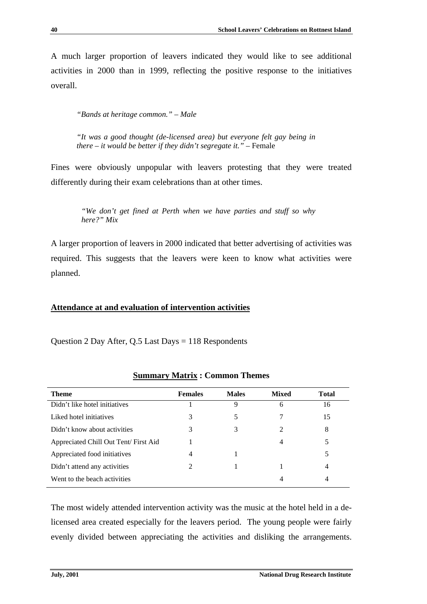A much larger proportion of leavers indicated they would like to see additional activities in 2000 than in 1999, reflecting the positive response to the initiatives overall.

*"Bands at heritage common." – Male* 

*"It was a good thought (de-licensed area) but everyone felt gay being in there – it would be better if they didn't segregate it."* – Female

Fines were obviously unpopular with leavers protesting that they were treated differently during their exam celebrations than at other times.

> *"We don't get fined at Perth when we have parties and stuff so why here?" Mix*

A larger proportion of leavers in 2000 indicated that better advertising of activities was required. This suggests that the leavers were keen to know what activities were planned.

## **Attendance at and evaluation of intervention activities**

Question 2 Day After,  $0.5$  Last Days = 118 Respondents

| <b>Theme</b>                         | <b>Females</b> | <b>Males</b> | <b>Mixed</b> | <b>Total</b> |
|--------------------------------------|----------------|--------------|--------------|--------------|
| Didn't like hotel initiatives        |                | 9            | 6            | 16           |
| Liked hotel initiatives              | 3              | 5            |              | 15           |
| Didn't know about activities         | 3              | 3            | 2            | 8            |
| Appreciated Chill Out Tent/First Aid |                |              | 4            |              |
| Appreciated food initiatives         | 4              |              |              | 5            |
| Didn't attend any activities         | 2              |              |              | 4            |
| Went to the beach activities         |                |              | 4            |              |

### **Summary Matrix : Common Themes**

The most widely attended intervention activity was the music at the hotel held in a delicensed area created especially for the leavers period. The young people were fairly evenly divided between appreciating the activities and disliking the arrangements.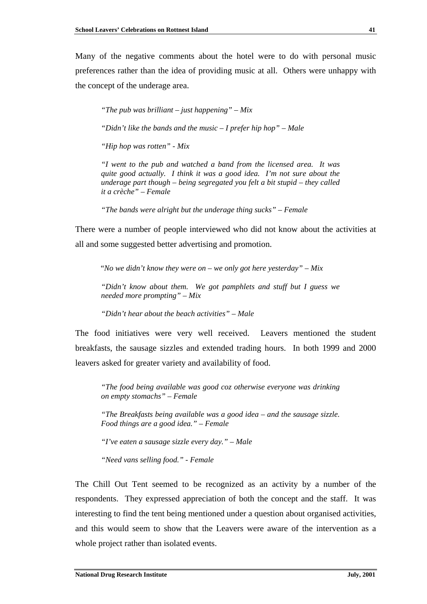Many of the negative comments about the hotel were to do with personal music preferences rather than the idea of providing music at all. Others were unhappy with the concept of the underage area.

*"The pub was brilliant – just happening" – Mix* 

*"Didn't like the bands and the music – I prefer hip hop" – Male* 

*"Hip hop was rotten" - Mix* 

*"I went to the pub and watched a band from the licensed area. It was quite good actually. I think it was a good idea. I'm not sure about the underage part though – being segregated you felt a bit stupid – they called it a crèche" – Female* 

*"The bands were alright but the underage thing sucks" – Female*

There were a number of people interviewed who did not know about the activities at all and some suggested better advertising and promotion.

"*No we didn't know they were on – we only got here yesterday" – Mix* 

*"Didn't know about them. We got pamphlets and stuff but I guess we needed more prompting" – Mix* 

*"Didn't hear about the beach activities" – Male*

The food initiatives were very well received. Leavers mentioned the student breakfasts, the sausage sizzles and extended trading hours. In both 1999 and 2000 leavers asked for greater variety and availability of food.

*"The food being available was good coz otherwise everyone was drinking on empty stomachs" – Female* 

*"The Breakfasts being available was a good idea – and the sausage sizzle. Food things are a good idea." – Female*

*"I've eaten a sausage sizzle every day." – Male* 

*"Need vans selling food." - Female* 

The Chill Out Tent seemed to be recognized as an activity by a number of the respondents. They expressed appreciation of both the concept and the staff. It was interesting to find the tent being mentioned under a question about organised activities, and this would seem to show that the Leavers were aware of the intervention as a whole project rather than isolated events.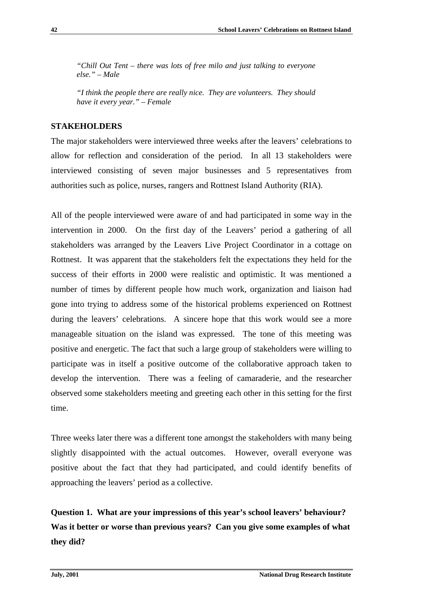*"Chill Out Tent – there was lots of free milo and just talking to everyone else." – Male*

*"I think the people there are really nice. They are volunteers. They should have it every year." – Female*

## **STAKEHOLDERS**

The major stakeholders were interviewed three weeks after the leavers' celebrations to allow for reflection and consideration of the period. In all 13 stakeholders were interviewed consisting of seven major businesses and 5 representatives from authorities such as police, nurses, rangers and Rottnest Island Authority (RIA).

All of the people interviewed were aware of and had participated in some way in the intervention in 2000. On the first day of the Leavers' period a gathering of all stakeholders was arranged by the Leavers Live Project Coordinator in a cottage on Rottnest. It was apparent that the stakeholders felt the expectations they held for the success of their efforts in 2000 were realistic and optimistic. It was mentioned a number of times by different people how much work, organization and liaison had gone into trying to address some of the historical problems experienced on Rottnest during the leavers' celebrations. A sincere hope that this work would see a more manageable situation on the island was expressed. The tone of this meeting was positive and energetic. The fact that such a large group of stakeholders were willing to participate was in itself a positive outcome of the collaborative approach taken to develop the intervention. There was a feeling of camaraderie, and the researcher observed some stakeholders meeting and greeting each other in this setting for the first time.

Three weeks later there was a different tone amongst the stakeholders with many being slightly disappointed with the actual outcomes. However, overall everyone was positive about the fact that they had participated, and could identify benefits of approaching the leavers' period as a collective.

**Question 1. What are your impressions of this year's school leavers' behaviour? Was it better or worse than previous years? Can you give some examples of what they did?**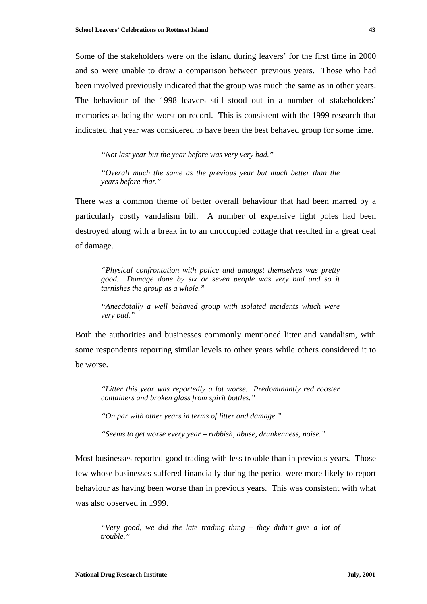Some of the stakeholders were on the island during leavers' for the first time in 2000 and so were unable to draw a comparison between previous years. Those who had been involved previously indicated that the group was much the same as in other years. The behaviour of the 1998 leavers still stood out in a number of stakeholders' memories as being the worst on record. This is consistent with the 1999 research that indicated that year was considered to have been the best behaved group for some time.

*"Not last year but the year before was very very bad."* 

*"Overall much the same as the previous year but much better than the years before that."* 

There was a common theme of better overall behaviour that had been marred by a particularly costly vandalism bill. A number of expensive light poles had been destroyed along with a break in to an unoccupied cottage that resulted in a great deal of damage.

*"Physical confrontation with police and amongst themselves was pretty good. Damage done by six or seven people was very bad and so it tarnishes the group as a whole."* 

*"Anecdotally a well behaved group with isolated incidents which were very bad."* 

Both the authorities and businesses commonly mentioned litter and vandalism, with some respondents reporting similar levels to other years while others considered it to be worse.

*"Litter this year was reportedly a lot worse. Predominantly red rooster containers and broken glass from spirit bottles."* 

*"On par with other years in terms of litter and damage."* 

*"Seems to get worse every year – rubbish, abuse, drunkenness, noise."*

Most businesses reported good trading with less trouble than in previous years. Those few whose businesses suffered financially during the period were more likely to report behaviour as having been worse than in previous years. This was consistent with what was also observed in 1999.

*"Very good, we did the late trading thing – they didn't give a lot of trouble."*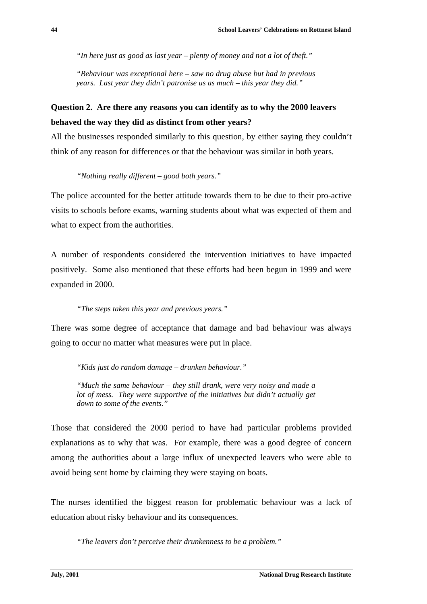*"In here just as good as last year – plenty of money and not a lot of theft."* 

*"Behaviour was exceptional here – saw no drug abuse but had in previous years. Last year they didn't patronise us as much – this year they did."* 

# **Question 2. Are there any reasons you can identify as to why the 2000 leavers behaved the way they did as distinct from other years?**

All the businesses responded similarly to this question, by either saying they couldn't think of any reason for differences or that the behaviour was similar in both years.

*"Nothing really different – good both years."* 

The police accounted for the better attitude towards them to be due to their pro-active visits to schools before exams, warning students about what was expected of them and what to expect from the authorities.

A number of respondents considered the intervention initiatives to have impacted positively. Some also mentioned that these efforts had been begun in 1999 and were expanded in 2000.

#### *"The steps taken this year and previous years."*

There was some degree of acceptance that damage and bad behaviour was always going to occur no matter what measures were put in place.

*"Kids just do random damage – drunken behaviour."* 

*"Much the same behaviour – they still drank, were very noisy and made a lot of mess. They were supportive of the initiatives but didn't actually get down to some of the events."* 

Those that considered the 2000 period to have had particular problems provided explanations as to why that was. For example, there was a good degree of concern among the authorities about a large influx of unexpected leavers who were able to avoid being sent home by claiming they were staying on boats.

The nurses identified the biggest reason for problematic behaviour was a lack of education about risky behaviour and its consequences.

*"The leavers don't perceive their drunkenness to be a problem."*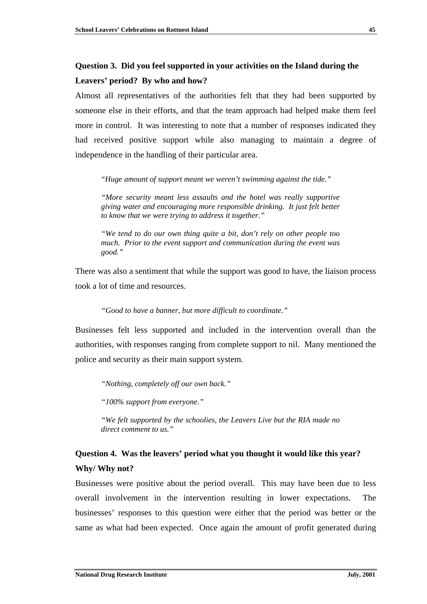# **Question 3. Did you feel supported in your activities on the Island during the Leavers' period? By who and how?**

Almost all representatives of the authorities felt that they had been supported by someone else in their efforts, and that the team approach had helped make them feel more in control. It was interesting to note that a number of responses indicated they had received positive support while also managing to maintain a degree of independence in the handling of their particular area.

*"Huge amount of support meant we weren't swimming against the tide."* 

*"More security meant less assaults and the hotel was really supportive giving water and encouraging more responsible drinking. It just felt better to know that we were trying to address it together."* 

*"We tend to do our own thing quite a bit, don't rely on other people too much. Prior to the event support and communication during the event was good."* 

There was also a sentiment that while the support was good to have, the liaison process took a lot of time and resources.

*"Good to have a banner, but more difficult to coordinate."* 

Businesses felt less supported and included in the intervention overall than the authorities, with responses ranging from complete support to nil. Many mentioned the police and security as their main support system.

*"Nothing, completely off our own back."* 

*"100% support from everyone."* 

*"We felt supported by the schoolies, the Leavers Live but the RIA made no direct comment to us."* 

# **Question 4. Was the leavers' period what you thought it would like this year? Why/ Why not?**

Businesses were positive about the period overall. This may have been due to less overall involvement in the intervention resulting in lower expectations. The businesses' responses to this question were either that the period was better or the same as what had been expected. Once again the amount of profit generated during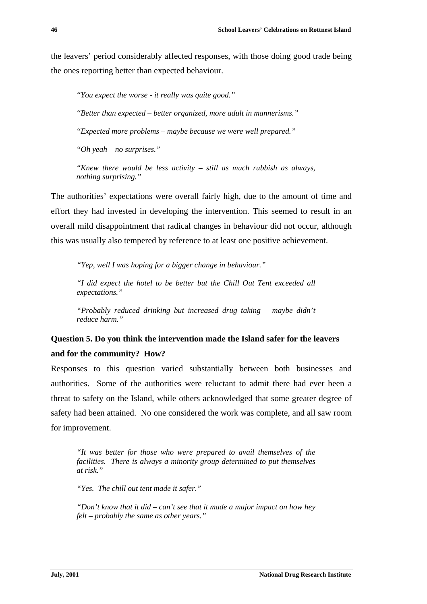the leavers' period considerably affected responses, with those doing good trade being the ones reporting better than expected behaviour.

*"You expect the worse - it really was quite good." "Better than expected – better organized, more adult in mannerisms." "Expected more problems – maybe because we were well prepared." "Oh yeah – no surprises."*

*"Knew there would be less activity – still as much rubbish as always, nothing surprising."* 

The authorities' expectations were overall fairly high, due to the amount of time and effort they had invested in developing the intervention. This seemed to result in an overall mild disappointment that radical changes in behaviour did not occur, although this was usually also tempered by reference to at least one positive achievement.

*"Yep, well I was hoping for a bigger change in behaviour."* 

*"I did expect the hotel to be better but the Chill Out Tent exceeded all expectations."* 

*"Probably reduced drinking but increased drug taking – maybe didn't reduce harm."* 

# **Question 5. Do you think the intervention made the Island safer for the leavers and for the community? How?**

Responses to this question varied substantially between both businesses and authorities. Some of the authorities were reluctant to admit there had ever been a threat to safety on the Island, while others acknowledged that some greater degree of safety had been attained. No one considered the work was complete, and all saw room for improvement.

*"It was better for those who were prepared to avail themselves of the facilities. There is always a minority group determined to put themselves at risk."* 

*"Yes. The chill out tent made it safer."* 

*"Don't know that it did – can't see that it made a major impact on how hey felt – probably the same as other years."*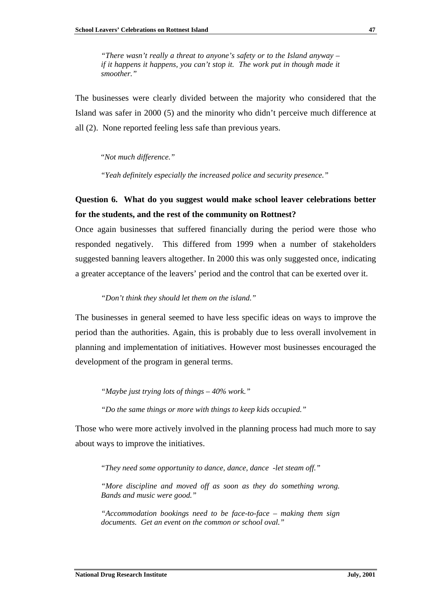*"There wasn't really a threat to anyone's safety or to the Island anyway – if it happens it happens, you can't stop it. The work put in though made it smoother."* 

The businesses were clearly divided between the majority who considered that the Island was safer in 2000 (5) and the minority who didn't perceive much difference at all (2). None reported feeling less safe than previous years.

"*Not much difference."* 

*"Yeah definitely especially the increased police and security presence."*

# **Question 6. What do you suggest would make school leaver celebrations better for the students, and the rest of the community on Rottnest?**

Once again businesses that suffered financially during the period were those who responded negatively. This differed from 1999 when a number of stakeholders suggested banning leavers altogether. In 2000 this was only suggested once, indicating a greater acceptance of the leavers' period and the control that can be exerted over it.

*"Don't think they should let them on the island."* 

The businesses in general seemed to have less specific ideas on ways to improve the period than the authorities. Again, this is probably due to less overall involvement in planning and implementation of initiatives. However most businesses encouraged the development of the program in general terms.

*"Maybe just trying lots of things – 40% work."* 

*"Do the same things or more with things to keep kids occupied."* 

Those who were more actively involved in the planning process had much more to say about ways to improve the initiatives.

*"They need some opportunity to dance, dance, dance -let steam off."* 

*"More discipline and moved off as soon as they do something wrong. Bands and music were good."* 

*"Accommodation bookings need to be face-to-face – making them sign documents. Get an event on the common or school oval."*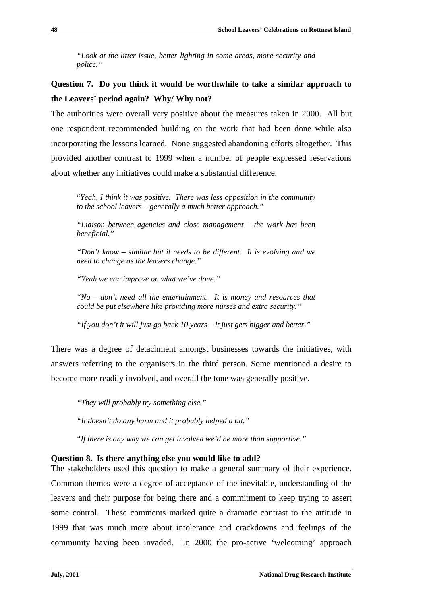*"Look at the litter issue, better lighting in some areas, more security and police."* 

# **Question 7. Do you think it would be worthwhile to take a similar approach to the Leavers' period again? Why/ Why not?**

The authorities were overall very positive about the measures taken in 2000. All but one respondent recommended building on the work that had been done while also incorporating the lessons learned. None suggested abandoning efforts altogether. This provided another contrast to 1999 when a number of people expressed reservations about whether any initiatives could make a substantial difference.

"*Yeah, I think it was positive. There was less opposition in the community to the school leavers – generally a much better approach."* 

*"Liaison between agencies and close management – the work has been beneficial."* 

*"Don't know – similar but it needs to be different. It is evolving and we need to change as the leavers change."* 

*"Yeah we can improve on what we've done."* 

*"No – don't need all the entertainment. It is money and resources that could be put elsewhere like providing more nurses and extra security."* 

*"If you don't it will just go back 10 years – it just gets bigger and better."* 

There was a degree of detachment amongst businesses towards the initiatives, with answers referring to the organisers in the third person. Some mentioned a desire to become more readily involved, and overall the tone was generally positive.

*"They will probably try something else."* 

*"It doesn't do any harm and it probably helped a bit."* 

*"If there is any way we can get involved we'd be more than supportive."* 

#### **Question 8. Is there anything else you would like to add?**

The stakeholders used this question to make a general summary of their experience. Common themes were a degree of acceptance of the inevitable, understanding of the leavers and their purpose for being there and a commitment to keep trying to assert some control. These comments marked quite a dramatic contrast to the attitude in 1999 that was much more about intolerance and crackdowns and feelings of the community having been invaded. In 2000 the pro-active 'welcoming' approach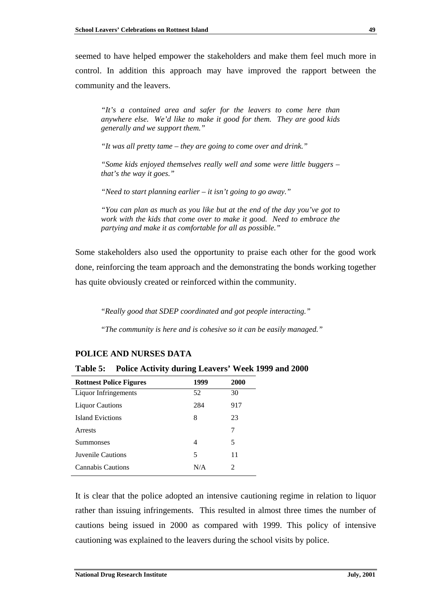seemed to have helped empower the stakeholders and make them feel much more in control. In addition this approach may have improved the rapport between the community and the leavers.

*"It's a contained area and safer for the leavers to come here than anywhere else. We'd like to make it good for them. They are good kids generally and we support them."* 

*"It was all pretty tame – they are going to come over and drink."* 

*"Some kids enjoyed themselves really well and some were little buggers – that's the way it goes."* 

*"Need to start planning earlier – it isn't going to go away."* 

*"You can plan as much as you like but at the end of the day you've got to work with the kids that come over to make it good. Need to embrace the partying and make it as comfortable for all as possible."* 

Some stakeholders also used the opportunity to praise each other for the good work done, reinforcing the team approach and the demonstrating the bonds working together has quite obviously created or reinforced within the community.

*"Really good that SDEP coordinated and got people interacting."*

*"The community is here and is cohesive so it can be easily managed."* 

| Table 5: Police Activity during Leavers' Week 1999 and 2000 |      |      |  |
|-------------------------------------------------------------|------|------|--|
| <b>Rottnest Police Figures</b>                              | 1999 | 2000 |  |
| Liquor Infringements                                        | 52   | 30   |  |
| <b>Liquor Cautions</b>                                      | 284  | 917  |  |
| <b>Island Evictions</b>                                     | 8    | 23   |  |
| Arrests                                                     |      | 7    |  |
| <b>Summonses</b>                                            | 4    | 5    |  |
| Juvenile Cautions                                           | 5    | 11   |  |
| <b>Cannabis Cautions</b>                                    | N/A  | 2    |  |
|                                                             |      |      |  |

## **POLICE AND NURSES DATA**

It is clear that the police adopted an intensive cautioning regime in relation to liquor rather than issuing infringements. This resulted in almost three times the number of cautions being issued in 2000 as compared with 1999. This policy of intensive cautioning was explained to the leavers during the school visits by police.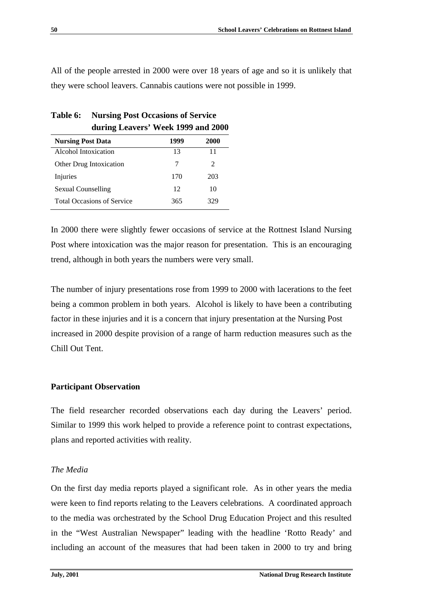All of the people arrested in 2000 were over 18 years of age and so it is unlikely that they were school leavers. Cannabis cautions were not possible in 1999.

| during Leavers' Week 1999 and 2000 |      |                             |  |
|------------------------------------|------|-----------------------------|--|
| <b>Nursing Post Data</b>           | 1999 | 2000                        |  |
| Alcohol Intoxication               | 13   | 11                          |  |
| Other Drug Intoxication            |      | $\mathcal{D}_{\mathcal{L}}$ |  |
| Injuries                           | 170  | 203                         |  |
| <b>Sexual Counselling</b>          | 12   | 10                          |  |
| <b>Total Occasions of Service</b>  | 365  | 329                         |  |

| <b>Table 6:</b> Nursing Post Occasions of Service |
|---------------------------------------------------|
| during Leavers' Week 1999 and 2000                |

In 2000 there were slightly fewer occasions of service at the Rottnest Island Nursing Post where intoxication was the major reason for presentation. This is an encouraging trend, although in both years the numbers were very small.

The number of injury presentations rose from 1999 to 2000 with lacerations to the feet being a common problem in both years. Alcohol is likely to have been a contributing factor in these injuries and it is a concern that injury presentation at the Nursing Post increased in 2000 despite provision of a range of harm reduction measures such as the Chill Out Tent.

# **Participant Observation**

The field researcher recorded observations each day during the Leavers' period. Similar to 1999 this work helped to provide a reference point to contrast expectations, plans and reported activities with reality.

## *The Media*

On the first day media reports played a significant role. As in other years the media were keen to find reports relating to the Leavers celebrations. A coordinated approach to the media was orchestrated by the School Drug Education Project and this resulted in the "West Australian Newspaper" leading with the headline 'Rotto Ready' and including an account of the measures that had been taken in 2000 to try and bring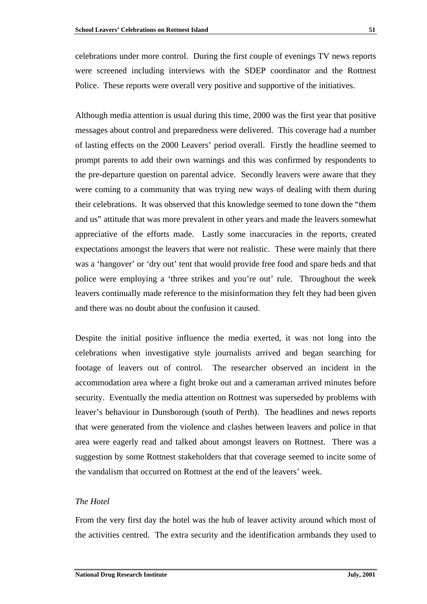celebrations under more control. During the first couple of evenings TV news reports were screened including interviews with the SDEP coordinator and the Rottnest Police. These reports were overall very positive and supportive of the initiatives.

Although media attention is usual during this time, 2000 was the first year that positive messages about control and preparedness were delivered. This coverage had a number of lasting effects on the 2000 Leavers' period overall. Firstly the headline seemed to prompt parents to add their own warnings and this was confirmed by respondents to the pre-departure question on parental advice. Secondly leavers were aware that they were coming to a community that was trying new ways of dealing with them during their celebrations. It was observed that this knowledge seemed to tone down the "them and us" attitude that was more prevalent in other years and made the leavers somewhat appreciative of the efforts made. Lastly some inaccuracies in the reports, created expectations amongst the leavers that were not realistic. These were mainly that there was a 'hangover' or 'dry out' tent that would provide free food and spare beds and that police were employing a 'three strikes and you're out' rule. Throughout the week leavers continually made reference to the misinformation they felt they had been given and there was no doubt about the confusion it caused.

Despite the initial positive influence the media exerted, it was not long into the celebrations when investigative style journalists arrived and began searching for footage of leavers out of control. The researcher observed an incident in the accommodation area where a fight broke out and a cameraman arrived minutes before security. Eventually the media attention on Rottnest was superseded by problems with leaver's behaviour in Dunsborough (south of Perth). The headlines and news reports that were generated from the violence and clashes between leavers and police in that area were eagerly read and talked about amongst leavers on Rottnest. There was a suggestion by some Rottnest stakeholders that that coverage seemed to incite some of the vandalism that occurred on Rottnest at the end of the leavers' week.

## *The Hotel*

From the very first day the hotel was the hub of leaver activity around which most of the activities centred. The extra security and the identification armbands they used to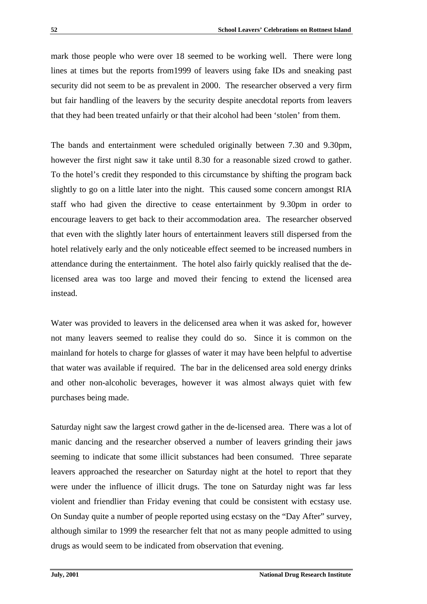mark those people who were over 18 seemed to be working well. There were long lines at times but the reports from1999 of leavers using fake IDs and sneaking past security did not seem to be as prevalent in 2000. The researcher observed a very firm but fair handling of the leavers by the security despite anecdotal reports from leavers that they had been treated unfairly or that their alcohol had been 'stolen' from them.

The bands and entertainment were scheduled originally between 7.30 and 9.30pm, however the first night saw it take until 8.30 for a reasonable sized crowd to gather. To the hotel's credit they responded to this circumstance by shifting the program back slightly to go on a little later into the night. This caused some concern amongst RIA staff who had given the directive to cease entertainment by 9.30pm in order to encourage leavers to get back to their accommodation area. The researcher observed that even with the slightly later hours of entertainment leavers still dispersed from the hotel relatively early and the only noticeable effect seemed to be increased numbers in attendance during the entertainment. The hotel also fairly quickly realised that the delicensed area was too large and moved their fencing to extend the licensed area instead.

Water was provided to leavers in the delicensed area when it was asked for, however not many leavers seemed to realise they could do so. Since it is common on the mainland for hotels to charge for glasses of water it may have been helpful to advertise that water was available if required. The bar in the delicensed area sold energy drinks and other non-alcoholic beverages, however it was almost always quiet with few purchases being made.

Saturday night saw the largest crowd gather in the de-licensed area. There was a lot of manic dancing and the researcher observed a number of leavers grinding their jaws seeming to indicate that some illicit substances had been consumed. Three separate leavers approached the researcher on Saturday night at the hotel to report that they were under the influence of illicit drugs. The tone on Saturday night was far less violent and friendlier than Friday evening that could be consistent with ecstasy use. On Sunday quite a number of people reported using ecstasy on the "Day After" survey, although similar to 1999 the researcher felt that not as many people admitted to using drugs as would seem to be indicated from observation that evening.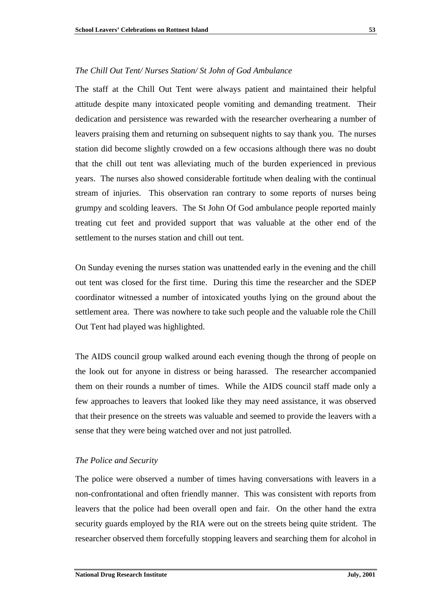#### *The Chill Out Tent/ Nurses Station/ St John of God Ambulance*

The staff at the Chill Out Tent were always patient and maintained their helpful attitude despite many intoxicated people vomiting and demanding treatment. Their dedication and persistence was rewarded with the researcher overhearing a number of leavers praising them and returning on subsequent nights to say thank you. The nurses station did become slightly crowded on a few occasions although there was no doubt that the chill out tent was alleviating much of the burden experienced in previous years. The nurses also showed considerable fortitude when dealing with the continual stream of injuries. This observation ran contrary to some reports of nurses being grumpy and scolding leavers. The St John Of God ambulance people reported mainly treating cut feet and provided support that was valuable at the other end of the settlement to the nurses station and chill out tent.

On Sunday evening the nurses station was unattended early in the evening and the chill out tent was closed for the first time. During this time the researcher and the SDEP coordinator witnessed a number of intoxicated youths lying on the ground about the settlement area. There was nowhere to take such people and the valuable role the Chill Out Tent had played was highlighted.

The AIDS council group walked around each evening though the throng of people on the look out for anyone in distress or being harassed. The researcher accompanied them on their rounds a number of times. While the AIDS council staff made only a few approaches to leavers that looked like they may need assistance, it was observed that their presence on the streets was valuable and seemed to provide the leavers with a sense that they were being watched over and not just patrolled.

#### *The Police and Security*

The police were observed a number of times having conversations with leavers in a non-confrontational and often friendly manner. This was consistent with reports from leavers that the police had been overall open and fair. On the other hand the extra security guards employed by the RIA were out on the streets being quite strident. The researcher observed them forcefully stopping leavers and searching them for alcohol in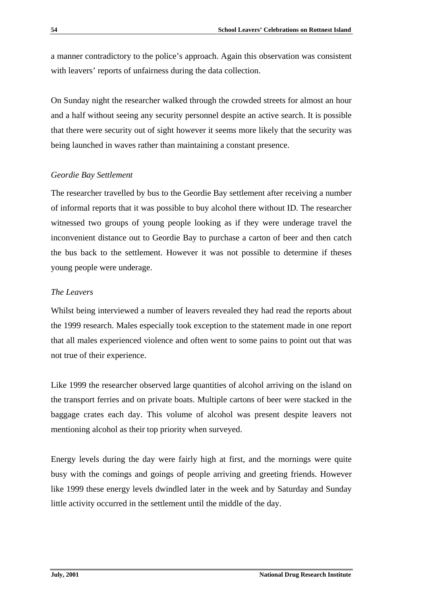a manner contradictory to the police's approach. Again this observation was consistent with leavers' reports of unfairness during the data collection.

On Sunday night the researcher walked through the crowded streets for almost an hour and a half without seeing any security personnel despite an active search. It is possible that there were security out of sight however it seems more likely that the security was being launched in waves rather than maintaining a constant presence.

### *Geordie Bay Settlement*

The researcher travelled by bus to the Geordie Bay settlement after receiving a number of informal reports that it was possible to buy alcohol there without ID. The researcher witnessed two groups of young people looking as if they were underage travel the inconvenient distance out to Geordie Bay to purchase a carton of beer and then catch the bus back to the settlement. However it was not possible to determine if theses young people were underage.

## *The Leavers*

Whilst being interviewed a number of leavers revealed they had read the reports about the 1999 research. Males especially took exception to the statement made in one report that all males experienced violence and often went to some pains to point out that was not true of their experience.

Like 1999 the researcher observed large quantities of alcohol arriving on the island on the transport ferries and on private boats. Multiple cartons of beer were stacked in the baggage crates each day. This volume of alcohol was present despite leavers not mentioning alcohol as their top priority when surveyed.

Energy levels during the day were fairly high at first, and the mornings were quite busy with the comings and goings of people arriving and greeting friends. However like 1999 these energy levels dwindled later in the week and by Saturday and Sunday little activity occurred in the settlement until the middle of the day.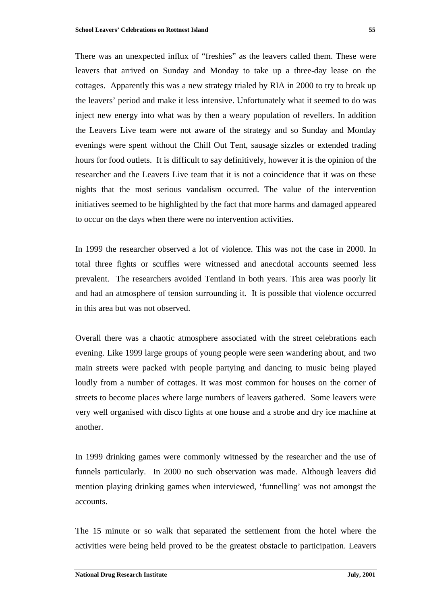There was an unexpected influx of "freshies" as the leavers called them. These were leavers that arrived on Sunday and Monday to take up a three-day lease on the cottages. Apparently this was a new strategy trialed by RIA in 2000 to try to break up the leavers' period and make it less intensive. Unfortunately what it seemed to do was inject new energy into what was by then a weary population of revellers. In addition the Leavers Live team were not aware of the strategy and so Sunday and Monday evenings were spent without the Chill Out Tent, sausage sizzles or extended trading hours for food outlets. It is difficult to say definitively, however it is the opinion of the researcher and the Leavers Live team that it is not a coincidence that it was on these nights that the most serious vandalism occurred. The value of the intervention initiatives seemed to be highlighted by the fact that more harms and damaged appeared to occur on the days when there were no intervention activities.

In 1999 the researcher observed a lot of violence. This was not the case in 2000. In total three fights or scuffles were witnessed and anecdotal accounts seemed less prevalent. The researchers avoided Tentland in both years. This area was poorly lit and had an atmosphere of tension surrounding it. It is possible that violence occurred in this area but was not observed.

Overall there was a chaotic atmosphere associated with the street celebrations each evening. Like 1999 large groups of young people were seen wandering about, and two main streets were packed with people partying and dancing to music being played loudly from a number of cottages. It was most common for houses on the corner of streets to become places where large numbers of leavers gathered. Some leavers were very well organised with disco lights at one house and a strobe and dry ice machine at another.

In 1999 drinking games were commonly witnessed by the researcher and the use of funnels particularly. In 2000 no such observation was made. Although leavers did mention playing drinking games when interviewed, 'funnelling' was not amongst the accounts.

The 15 minute or so walk that separated the settlement from the hotel where the activities were being held proved to be the greatest obstacle to participation. Leavers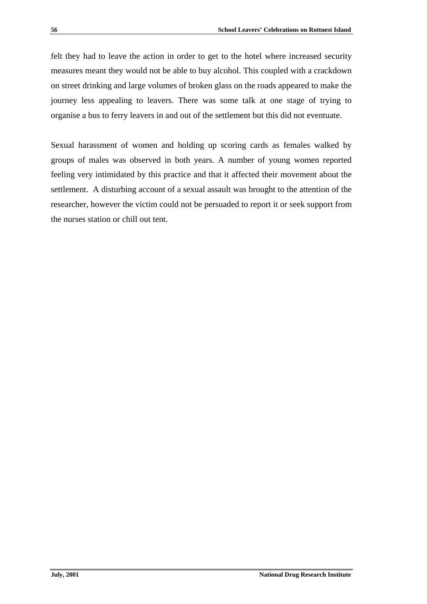felt they had to leave the action in order to get to the hotel where increased security measures meant they would not be able to buy alcohol. This coupled with a crackdown on street drinking and large volumes of broken glass on the roads appeared to make the journey less appealing to leavers. There was some talk at one stage of trying to organise a bus to ferry leavers in and out of the settlement but this did not eventuate.

Sexual harassment of women and holding up scoring cards as females walked by groups of males was observed in both years. A number of young women reported feeling very intimidated by this practice and that it affected their movement about the settlement. A disturbing account of a sexual assault was brought to the attention of the researcher, however the victim could not be persuaded to report it or seek support from the nurses station or chill out tent.

**July, 2001 National Drug Research Institute**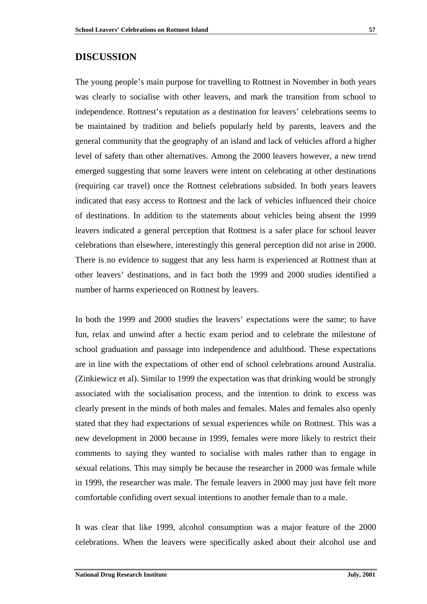# **DISCUSSION**

The young people's main purpose for travelling to Rottnest in November in both years was clearly to socialise with other leavers, and mark the transition from school to independence. Rottnest's reputation as a destination for leavers' celebrations seems to be maintained by tradition and beliefs popularly held by parents, leavers and the general community that the geography of an island and lack of vehicles afford a higher level of safety than other alternatives. Among the 2000 leavers however, a new trend emerged suggesting that some leavers were intent on celebrating at other destinations (requiring car travel) once the Rottnest celebrations subsided. In both years leavers indicated that easy access to Rottnest and the lack of vehicles influenced their choice of destinations. In addition to the statements about vehicles being absent the 1999 leavers indicated a general perception that Rottnest is a safer place for school leaver celebrations than elsewhere, interestingly this general perception did not arise in 2000. There is no evidence to suggest that any less harm is experienced at Rottnest than at other leavers' destinations, and in fact both the 1999 and 2000 studies identified a number of harms experienced on Rottnest by leavers.

In both the 1999 and 2000 studies the leavers' expectations were the same; to have fun, relax and unwind after a hectic exam period and to celebrate the milestone of school graduation and passage into independence and adulthood. These expectations are in line with the expectations of other end of school celebrations around Australia. (Zinkiewicz et al). Similar to 1999 the expectation was that drinking would be strongly associated with the socialisation process, and the intention to drink to excess was clearly present in the minds of both males and females. Males and females also openly stated that they had expectations of sexual experiences while on Rottnest. This was a new development in 2000 because in 1999, females were more likely to restrict their comments to saying they wanted to socialise with males rather than to engage in sexual relations. This may simply be because the researcher in 2000 was female while in 1999, the researcher was male. The female leavers in 2000 may just have felt more comfortable confiding overt sexual intentions to another female than to a male.

It was clear that like 1999, alcohol consumption was a major feature of the 2000 celebrations. When the leavers were specifically asked about their alcohol use and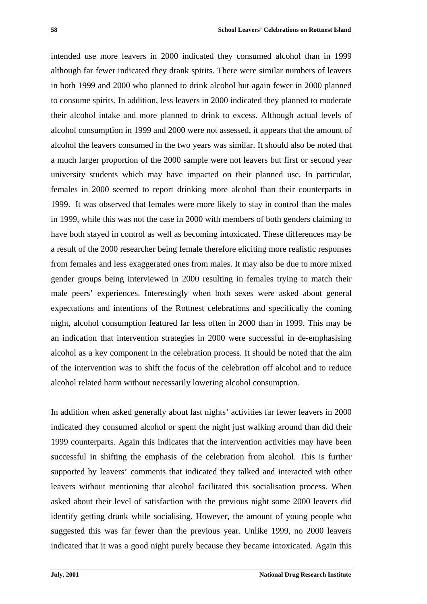intended use more leavers in 2000 indicated they consumed alcohol than in 1999 although far fewer indicated they drank spirits. There were similar numbers of leavers in both 1999 and 2000 who planned to drink alcohol but again fewer in 2000 planned to consume spirits. In addition, less leavers in 2000 indicated they planned to moderate their alcohol intake and more planned to drink to excess. Although actual levels of alcohol consumption in 1999 and 2000 were not assessed, it appears that the amount of alcohol the leavers consumed in the two years was similar. It should also be noted that a much larger proportion of the 2000 sample were not leavers but first or second year university students which may have impacted on their planned use. In particular, females in 2000 seemed to report drinking more alcohol than their counterparts in 1999. It was observed that females were more likely to stay in control than the males in 1999, while this was not the case in 2000 with members of both genders claiming to have both stayed in control as well as becoming intoxicated. These differences may be a result of the 2000 researcher being female therefore eliciting more realistic responses from females and less exaggerated ones from males. It may also be due to more mixed gender groups being interviewed in 2000 resulting in females trying to match their male peers' experiences. Interestingly when both sexes were asked about general expectations and intentions of the Rottnest celebrations and specifically the coming night, alcohol consumption featured far less often in 2000 than in 1999. This may be an indication that intervention strategies in 2000 were successful in de-emphasising alcohol as a key component in the celebration process. It should be noted that the aim of the intervention was to shift the focus of the celebration off alcohol and to reduce alcohol related harm without necessarily lowering alcohol consumption.

In addition when asked generally about last nights' activities far fewer leavers in 2000 indicated they consumed alcohol or spent the night just walking around than did their 1999 counterparts. Again this indicates that the intervention activities may have been successful in shifting the emphasis of the celebration from alcohol. This is further supported by leavers' comments that indicated they talked and interacted with other leavers without mentioning that alcohol facilitated this socialisation process. When asked about their level of satisfaction with the previous night some 2000 leavers did identify getting drunk while socialising. However, the amount of young people who suggested this was far fewer than the previous year. Unlike 1999, no 2000 leavers indicated that it was a good night purely because they became intoxicated. Again this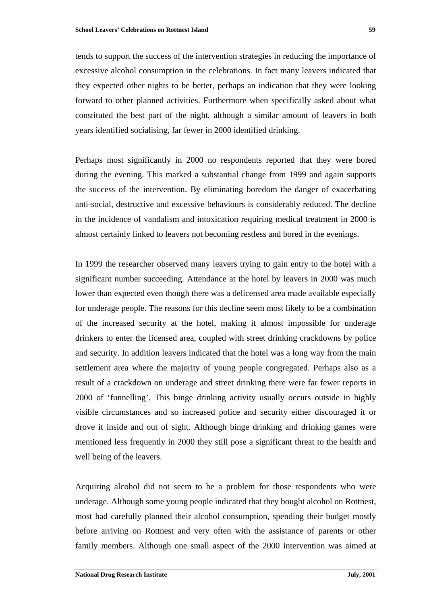tends to support the success of the intervention strategies in reducing the importance of excessive alcohol consumption in the celebrations. In fact many leavers indicated that they expected other nights to be better, perhaps an indication that they were looking forward to other planned activities. Furthermore when specifically asked about what constituted the best part of the night, although a similar amount of leavers in both years identified socialising, far fewer in 2000 identified drinking.

Perhaps most significantly in 2000 no respondents reported that they were bored during the evening. This marked a substantial change from 1999 and again supports the success of the intervention. By eliminating boredom the danger of exacerbating anti-social, destructive and excessive behaviours is considerably reduced. The decline in the incidence of vandalism and intoxication requiring medical treatment in 2000 is almost certainly linked to leavers not becoming restless and bored in the evenings.

In 1999 the researcher observed many leavers trying to gain entry to the hotel with a significant number succeeding. Attendance at the hotel by leavers in 2000 was much lower than expected even though there was a delicensed area made available especially for underage people. The reasons for this decline seem most likely to be a combination of the increased security at the hotel, making it almost impossible for underage drinkers to enter the licensed area, coupled with street drinking crackdowns by police and security. In addition leavers indicated that the hotel was a long way from the main settlement area where the majority of young people congregated. Perhaps also as a result of a crackdown on underage and street drinking there were far fewer reports in 2000 of 'funnelling'. This binge drinking activity usually occurs outside in highly visible circumstances and so increased police and security either discouraged it or drove it inside and out of sight. Although binge drinking and drinking games were mentioned less frequently in 2000 they still pose a significant threat to the health and well being of the leavers.

Acquiring alcohol did not seem to be a problem for those respondents who were underage. Although some young people indicated that they bought alcohol on Rottnest, most had carefully planned their alcohol consumption, spending their budget mostly before arriving on Rottnest and very often with the assistance of parents or other family members. Although one small aspect of the 2000 intervention was aimed at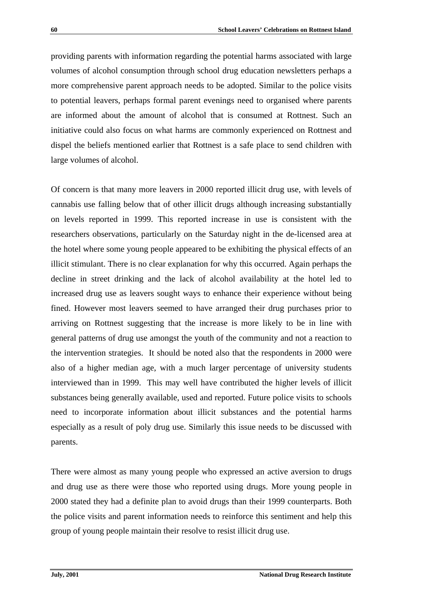providing parents with information regarding the potential harms associated with large volumes of alcohol consumption through school drug education newsletters perhaps a more comprehensive parent approach needs to be adopted. Similar to the police visits to potential leavers, perhaps formal parent evenings need to organised where parents are informed about the amount of alcohol that is consumed at Rottnest. Such an initiative could also focus on what harms are commonly experienced on Rottnest and dispel the beliefs mentioned earlier that Rottnest is a safe place to send children with large volumes of alcohol.

Of concern is that many more leavers in 2000 reported illicit drug use, with levels of cannabis use falling below that of other illicit drugs although increasing substantially on levels reported in 1999. This reported increase in use is consistent with the researchers observations, particularly on the Saturday night in the de-licensed area at the hotel where some young people appeared to be exhibiting the physical effects of an illicit stimulant. There is no clear explanation for why this occurred. Again perhaps the decline in street drinking and the lack of alcohol availability at the hotel led to increased drug use as leavers sought ways to enhance their experience without being fined. However most leavers seemed to have arranged their drug purchases prior to arriving on Rottnest suggesting that the increase is more likely to be in line with general patterns of drug use amongst the youth of the community and not a reaction to the intervention strategies. It should be noted also that the respondents in 2000 were also of a higher median age, with a much larger percentage of university students interviewed than in 1999. This may well have contributed the higher levels of illicit substances being generally available, used and reported. Future police visits to schools need to incorporate information about illicit substances and the potential harms especially as a result of poly drug use. Similarly this issue needs to be discussed with parents.

There were almost as many young people who expressed an active aversion to drugs and drug use as there were those who reported using drugs. More young people in 2000 stated they had a definite plan to avoid drugs than their 1999 counterparts. Both the police visits and parent information needs to reinforce this sentiment and help this group of young people maintain their resolve to resist illicit drug use.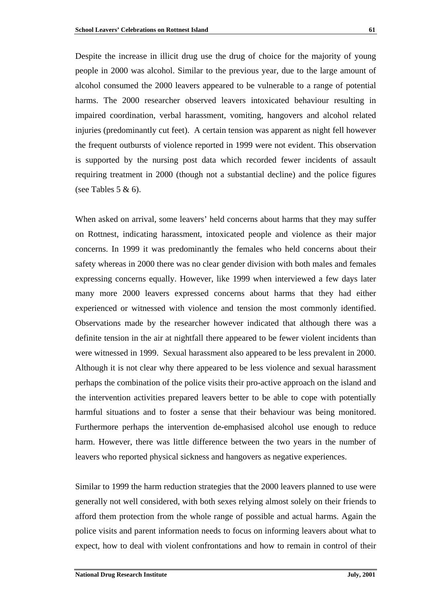Despite the increase in illicit drug use the drug of choice for the majority of young people in 2000 was alcohol. Similar to the previous year, due to the large amount of alcohol consumed the 2000 leavers appeared to be vulnerable to a range of potential harms. The 2000 researcher observed leavers intoxicated behaviour resulting in impaired coordination, verbal harassment, vomiting, hangovers and alcohol related injuries (predominantly cut feet). A certain tension was apparent as night fell however the frequent outbursts of violence reported in 1999 were not evident. This observation is supported by the nursing post data which recorded fewer incidents of assault requiring treatment in 2000 (though not a substantial decline) and the police figures (see Tables  $5 \& 6$ ).

When asked on arrival, some leavers' held concerns about harms that they may suffer on Rottnest, indicating harassment, intoxicated people and violence as their major concerns. In 1999 it was predominantly the females who held concerns about their safety whereas in 2000 there was no clear gender division with both males and females expressing concerns equally. However, like 1999 when interviewed a few days later many more 2000 leavers expressed concerns about harms that they had either experienced or witnessed with violence and tension the most commonly identified. Observations made by the researcher however indicated that although there was a definite tension in the air at nightfall there appeared to be fewer violent incidents than were witnessed in 1999. Sexual harassment also appeared to be less prevalent in 2000. Although it is not clear why there appeared to be less violence and sexual harassment perhaps the combination of the police visits their pro-active approach on the island and the intervention activities prepared leavers better to be able to cope with potentially harmful situations and to foster a sense that their behaviour was being monitored. Furthermore perhaps the intervention de-emphasised alcohol use enough to reduce harm. However, there was little difference between the two years in the number of leavers who reported physical sickness and hangovers as negative experiences.

Similar to 1999 the harm reduction strategies that the 2000 leavers planned to use were generally not well considered, with both sexes relying almost solely on their friends to afford them protection from the whole range of possible and actual harms. Again the police visits and parent information needs to focus on informing leavers about what to expect, how to deal with violent confrontations and how to remain in control of their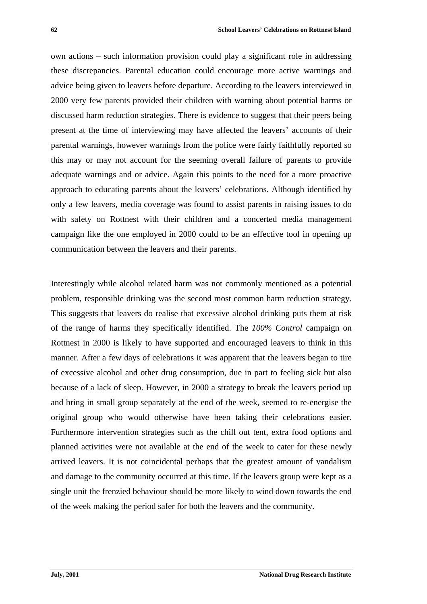own actions – such information provision could play a significant role in addressing these discrepancies. Parental education could encourage more active warnings and advice being given to leavers before departure. According to the leavers interviewed in 2000 very few parents provided their children with warning about potential harms or discussed harm reduction strategies. There is evidence to suggest that their peers being present at the time of interviewing may have affected the leavers' accounts of their parental warnings, however warnings from the police were fairly faithfully reported so this may or may not account for the seeming overall failure of parents to provide adequate warnings and or advice. Again this points to the need for a more proactive approach to educating parents about the leavers' celebrations. Although identified by only a few leavers, media coverage was found to assist parents in raising issues to do with safety on Rottnest with their children and a concerted media management campaign like the one employed in 2000 could to be an effective tool in opening up communication between the leavers and their parents.

Interestingly while alcohol related harm was not commonly mentioned as a potential problem, responsible drinking was the second most common harm reduction strategy. This suggests that leavers do realise that excessive alcohol drinking puts them at risk of the range of harms they specifically identified. The *100% Control* campaign on Rottnest in 2000 is likely to have supported and encouraged leavers to think in this manner. After a few days of celebrations it was apparent that the leavers began to tire of excessive alcohol and other drug consumption, due in part to feeling sick but also because of a lack of sleep. However, in 2000 a strategy to break the leavers period up and bring in small group separately at the end of the week, seemed to re-energise the original group who would otherwise have been taking their celebrations easier. Furthermore intervention strategies such as the chill out tent, extra food options and planned activities were not available at the end of the week to cater for these newly arrived leavers. It is not coincidental perhaps that the greatest amount of vandalism and damage to the community occurred at this time. If the leavers group were kept as a single unit the frenzied behaviour should be more likely to wind down towards the end of the week making the period safer for both the leavers and the community.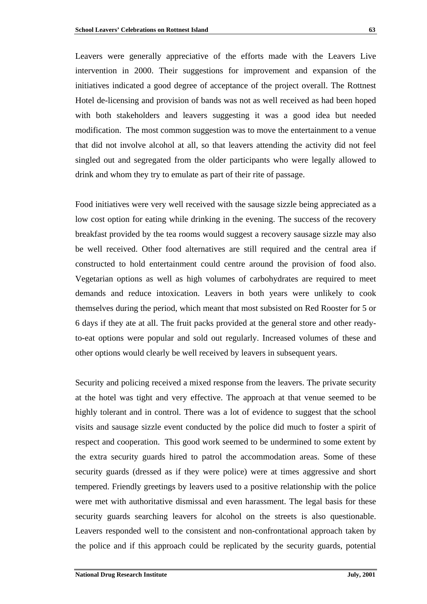Leavers were generally appreciative of the efforts made with the Leavers Live intervention in 2000. Their suggestions for improvement and expansion of the initiatives indicated a good degree of acceptance of the project overall. The Rottnest Hotel de-licensing and provision of bands was not as well received as had been hoped with both stakeholders and leavers suggesting it was a good idea but needed modification. The most common suggestion was to move the entertainment to a venue that did not involve alcohol at all, so that leavers attending the activity did not feel singled out and segregated from the older participants who were legally allowed to drink and whom they try to emulate as part of their rite of passage.

Food initiatives were very well received with the sausage sizzle being appreciated as a low cost option for eating while drinking in the evening. The success of the recovery breakfast provided by the tea rooms would suggest a recovery sausage sizzle may also be well received. Other food alternatives are still required and the central area if constructed to hold entertainment could centre around the provision of food also. Vegetarian options as well as high volumes of carbohydrates are required to meet demands and reduce intoxication. Leavers in both years were unlikely to cook themselves during the period, which meant that most subsisted on Red Rooster for 5 or 6 days if they ate at all. The fruit packs provided at the general store and other readyto-eat options were popular and sold out regularly. Increased volumes of these and other options would clearly be well received by leavers in subsequent years.

Security and policing received a mixed response from the leavers. The private security at the hotel was tight and very effective. The approach at that venue seemed to be highly tolerant and in control. There was a lot of evidence to suggest that the school visits and sausage sizzle event conducted by the police did much to foster a spirit of respect and cooperation. This good work seemed to be undermined to some extent by the extra security guards hired to patrol the accommodation areas. Some of these security guards (dressed as if they were police) were at times aggressive and short tempered. Friendly greetings by leavers used to a positive relationship with the police were met with authoritative dismissal and even harassment. The legal basis for these security guards searching leavers for alcohol on the streets is also questionable. Leavers responded well to the consistent and non-confrontational approach taken by the police and if this approach could be replicated by the security guards, potential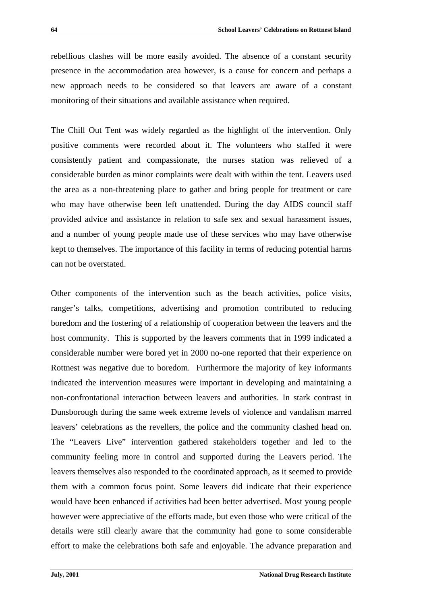rebellious clashes will be more easily avoided. The absence of a constant security presence in the accommodation area however, is a cause for concern and perhaps a new approach needs to be considered so that leavers are aware of a constant monitoring of their situations and available assistance when required.

The Chill Out Tent was widely regarded as the highlight of the intervention. Only positive comments were recorded about it. The volunteers who staffed it were consistently patient and compassionate, the nurses station was relieved of a considerable burden as minor complaints were dealt with within the tent. Leavers used the area as a non-threatening place to gather and bring people for treatment or care who may have otherwise been left unattended. During the day AIDS council staff provided advice and assistance in relation to safe sex and sexual harassment issues, and a number of young people made use of these services who may have otherwise kept to themselves. The importance of this facility in terms of reducing potential harms can not be overstated.

Other components of the intervention such as the beach activities, police visits, ranger's talks, competitions, advertising and promotion contributed to reducing boredom and the fostering of a relationship of cooperation between the leavers and the host community. This is supported by the leavers comments that in 1999 indicated a considerable number were bored yet in 2000 no-one reported that their experience on Rottnest was negative due to boredom. Furthermore the majority of key informants indicated the intervention measures were important in developing and maintaining a non-confrontational interaction between leavers and authorities. In stark contrast in Dunsborough during the same week extreme levels of violence and vandalism marred leavers' celebrations as the revellers, the police and the community clashed head on. The "Leavers Live" intervention gathered stakeholders together and led to the community feeling more in control and supported during the Leavers period. The leavers themselves also responded to the coordinated approach, as it seemed to provide them with a common focus point. Some leavers did indicate that their experience would have been enhanced if activities had been better advertised. Most young people however were appreciative of the efforts made, but even those who were critical of the details were still clearly aware that the community had gone to some considerable effort to make the celebrations both safe and enjoyable. The advance preparation and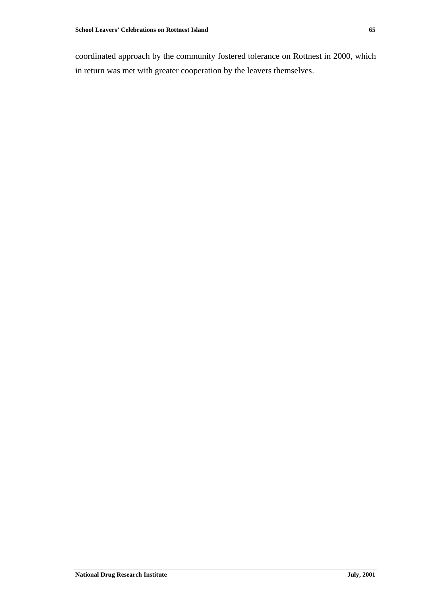coordinated approach by the community fostered tolerance on Rottnest in 2000, which in return was met with greater cooperation by the leavers themselves.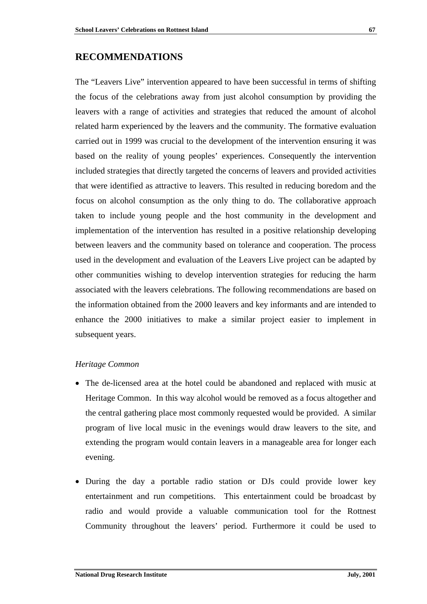The "Leavers Live" intervention appeared to have been successful in terms of shifting the focus of the celebrations away from just alcohol consumption by providing the leavers with a range of activities and strategies that reduced the amount of alcohol related harm experienced by the leavers and the community. The formative evaluation carried out in 1999 was crucial to the development of the intervention ensuring it was based on the reality of young peoples' experiences. Consequently the intervention included strategies that directly targeted the concerns of leavers and provided activities that were identified as attractive to leavers. This resulted in reducing boredom and the focus on alcohol consumption as the only thing to do. The collaborative approach taken to include young people and the host community in the development and implementation of the intervention has resulted in a positive relationship developing between leavers and the community based on tolerance and cooperation. The process used in the development and evaluation of the Leavers Live project can be adapted by other communities wishing to develop intervention strategies for reducing the harm associated with the leavers celebrations. The following recommendations are based on the information obtained from the 2000 leavers and key informants and are intended to enhance the 2000 initiatives to make a similar project easier to implement in subsequent years.

#### *Heritage Common*

- The de-licensed area at the hotel could be abandoned and replaced with music at Heritage Common. In this way alcohol would be removed as a focus altogether and the central gathering place most commonly requested would be provided. A similar program of live local music in the evenings would draw leavers to the site, and extending the program would contain leavers in a manageable area for longer each evening.
- During the day a portable radio station or DJs could provide lower key entertainment and run competitions. This entertainment could be broadcast by radio and would provide a valuable communication tool for the Rottnest Community throughout the leavers' period. Furthermore it could be used to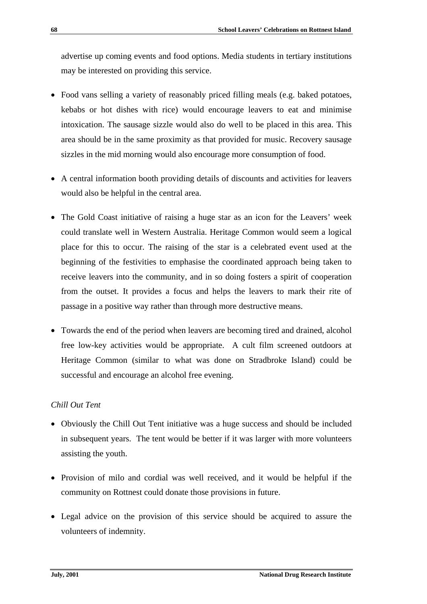advertise up coming events and food options. Media students in tertiary institutions may be interested on providing this service.

- Food vans selling a variety of reasonably priced filling meals (e.g. baked potatoes, kebabs or hot dishes with rice) would encourage leavers to eat and minimise intoxication. The sausage sizzle would also do well to be placed in this area. This area should be in the same proximity as that provided for music. Recovery sausage sizzles in the mid morning would also encourage more consumption of food.
- A central information booth providing details of discounts and activities for leavers would also be helpful in the central area.
- The Gold Coast initiative of raising a huge star as an icon for the Leavers' week could translate well in Western Australia. Heritage Common would seem a logical place for this to occur. The raising of the star is a celebrated event used at the beginning of the festivities to emphasise the coordinated approach being taken to receive leavers into the community, and in so doing fosters a spirit of cooperation from the outset. It provides a focus and helps the leavers to mark their rite of passage in a positive way rather than through more destructive means.
- Towards the end of the period when leavers are becoming tired and drained, alcohol free low-key activities would be appropriate. A cult film screened outdoors at Heritage Common (similar to what was done on Stradbroke Island) could be successful and encourage an alcohol free evening.

### *Chill Out Tent*

- Obviously the Chill Out Tent initiative was a huge success and should be included in subsequent years. The tent would be better if it was larger with more volunteers assisting the youth.
- Provision of milo and cordial was well received, and it would be helpful if the community on Rottnest could donate those provisions in future.
- Legal advice on the provision of this service should be acquired to assure the volunteers of indemnity.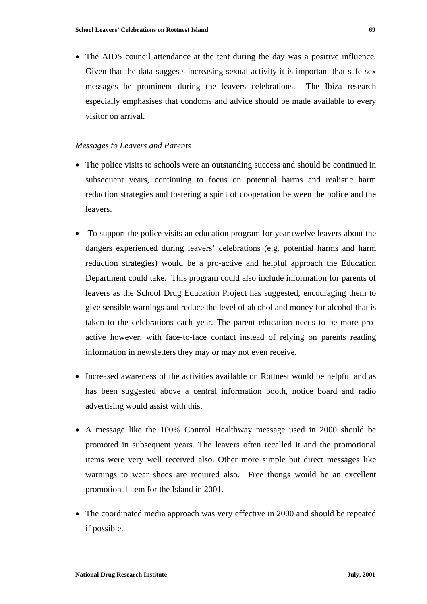• The AIDS council attendance at the tent during the day was a positive influence. Given that the data suggests increasing sexual activity it is important that safe sex messages be prominent during the leavers celebrations. The Ibiza research especially emphasises that condoms and advice should be made available to every visitor on arrival.

### *Messages to Leavers and Parents*

- The police visits to schools were an outstanding success and should be continued in subsequent years, continuing to focus on potential harms and realistic harm reduction strategies and fostering a spirit of cooperation between the police and the leavers.
- To support the police visits an education program for year twelve leavers about the dangers experienced during leavers' celebrations (e.g. potential harms and harm reduction strategies) would be a pro-active and helpful approach the Education Department could take. This program could also include information for parents of leavers as the School Drug Education Project has suggested, encouraging them to give sensible warnings and reduce the level of alcohol and money for alcohol that is taken to the celebrations each year. The parent education needs to be more proactive however, with face-to-face contact instead of relying on parents reading information in newsletters they may or may not even receive.
- Increased awareness of the activities available on Rottnest would be helpful and as has been suggested above a central information booth, notice board and radio advertising would assist with this.
- A message like the 100% Control Healthway message used in 2000 should be promoted in subsequent years. The leavers often recalled it and the promotional items were very well received also. Other more simple but direct messages like warnings to wear shoes are required also. Free thongs would be an excellent promotional item for the Island in 2001.
- The coordinated media approach was very effective in 2000 and should be repeated if possible.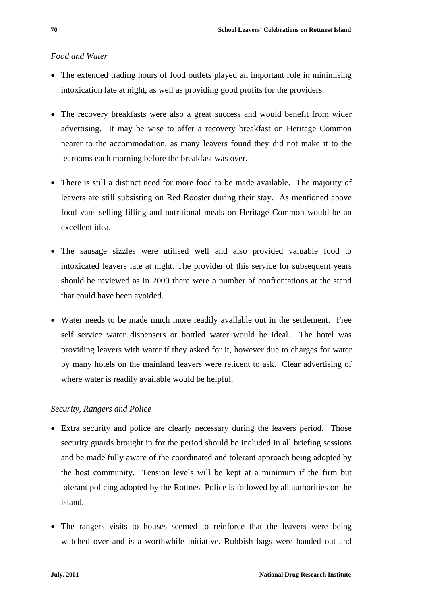### *Food and Water*

- The extended trading hours of food outlets played an important role in minimising intoxication late at night, as well as providing good profits for the providers.
- The recovery breakfasts were also a great success and would benefit from wider advertising. It may be wise to offer a recovery breakfast on Heritage Common nearer to the accommodation, as many leavers found they did not make it to the tearooms each morning before the breakfast was over.
- There is still a distinct need for more food to be made available. The majority of leavers are still subsisting on Red Rooster during their stay. As mentioned above food vans selling filling and nutritional meals on Heritage Common would be an excellent idea.
- The sausage sizzles were utilised well and also provided valuable food to intoxicated leavers late at night. The provider of this service for subsequent years should be reviewed as in 2000 there were a number of confrontations at the stand that could have been avoided.
- Water needs to be made much more readily available out in the settlement. Free self service water dispensers or bottled water would be ideal. The hotel was providing leavers with water if they asked for it, however due to charges for water by many hotels on the mainland leavers were reticent to ask. Clear advertising of where water is readily available would be helpful.

### *Security, Rangers and Police*

- Extra security and police are clearly necessary during the leavers period. Those security guards brought in for the period should be included in all briefing sessions and be made fully aware of the coordinated and tolerant approach being adopted by the host community. Tension levels will be kept at a minimum if the firm but tolerant policing adopted by the Rottnest Police is followed by all authorities on the island.
- The rangers visits to houses seemed to reinforce that the leavers were being watched over and is a worthwhile initiative. Rubbish bags were handed out and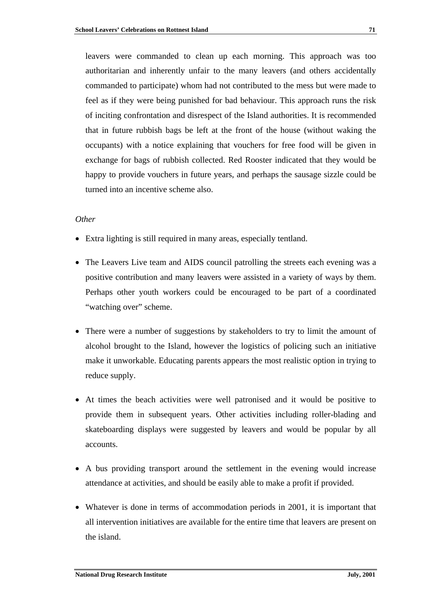leavers were commanded to clean up each morning. This approach was too authoritarian and inherently unfair to the many leavers (and others accidentally commanded to participate) whom had not contributed to the mess but were made to feel as if they were being punished for bad behaviour. This approach runs the risk of inciting confrontation and disrespect of the Island authorities. It is recommended that in future rubbish bags be left at the front of the house (without waking the occupants) with a notice explaining that vouchers for free food will be given in exchange for bags of rubbish collected. Red Rooster indicated that they would be happy to provide vouchers in future years, and perhaps the sausage sizzle could be turned into an incentive scheme also.

#### *Other*

- Extra lighting is still required in many areas, especially tentland.
- The Leavers Live team and AIDS council patrolling the streets each evening was a positive contribution and many leavers were assisted in a variety of ways by them. Perhaps other youth workers could be encouraged to be part of a coordinated "watching over" scheme.
- There were a number of suggestions by stakeholders to try to limit the amount of alcohol brought to the Island, however the logistics of policing such an initiative make it unworkable. Educating parents appears the most realistic option in trying to reduce supply.
- At times the beach activities were well patronised and it would be positive to provide them in subsequent years. Other activities including roller-blading and skateboarding displays were suggested by leavers and would be popular by all accounts.
- A bus providing transport around the settlement in the evening would increase attendance at activities, and should be easily able to make a profit if provided.
- Whatever is done in terms of accommodation periods in 2001, it is important that all intervention initiatives are available for the entire time that leavers are present on the island.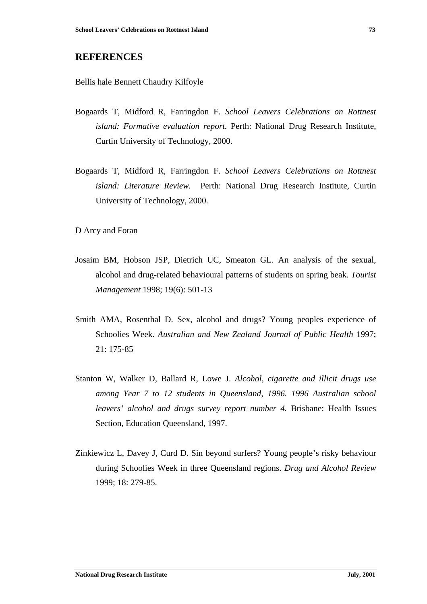### **REFERENCES**

Bellis hale Bennett Chaudry Kilfoyle

- Bogaards T, Midford R, Farringdon F. *School Leavers Celebrations on Rottnest island: Formative evaluation report.* Perth: National Drug Research Institute, Curtin University of Technology, 2000.
- Bogaards T, Midford R, Farringdon F. *School Leavers Celebrations on Rottnest island: Literature Review.* Perth: National Drug Research Institute, Curtin University of Technology, 2000.

D Arcy and Foran

- Josaim BM, Hobson JSP, Dietrich UC, Smeaton GL. An analysis of the sexual, alcohol and drug-related behavioural patterns of students on spring beak. *Tourist Management* 1998; 19(6): 501-13
- Smith AMA, Rosenthal D. Sex, alcohol and drugs? Young peoples experience of Schoolies Week. *Australian and New Zealand Journal of Public Health* 1997; 21: 175-85
- Stanton W, Walker D, Ballard R, Lowe J. *Alcohol, cigarette and illicit drugs use among Year 7 to 12 students in Queensland, 1996. 1996 Australian school leavers' alcohol and drugs survey report number 4.* Brisbane: Health Issues Section, Education Queensland, 1997.
- Zinkiewicz L, Davey J, Curd D. Sin beyond surfers? Young people's risky behaviour during Schoolies Week in three Queensland regions. *Drug and Alcohol Review*  1999; 18: 279-85.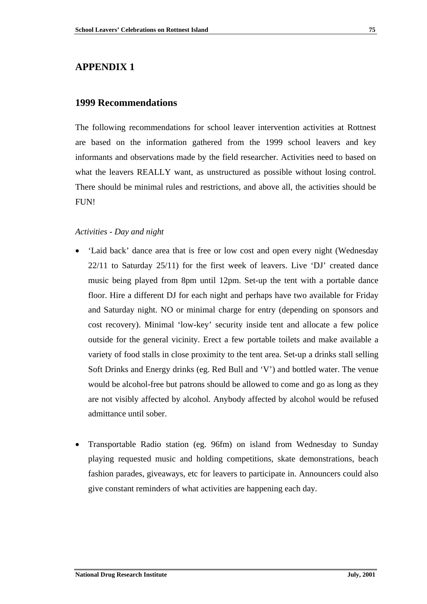### **1999 Recommendations**

The following recommendations for school leaver intervention activities at Rottnest are based on the information gathered from the 1999 school leavers and key informants and observations made by the field researcher. Activities need to based on what the leavers REALLY want, as unstructured as possible without losing control. There should be minimal rules and restrictions, and above all, the activities should be FUN!

### *Activities - Day and night*

- 'Laid back' dance area that is free or low cost and open every night (Wednesday 22/11 to Saturday 25/11) for the first week of leavers. Live 'DJ' created dance music being played from 8pm until 12pm. Set-up the tent with a portable dance floor. Hire a different DJ for each night and perhaps have two available for Friday and Saturday night. NO or minimal charge for entry (depending on sponsors and cost recovery). Minimal 'low-key' security inside tent and allocate a few police outside for the general vicinity. Erect a few portable toilets and make available a variety of food stalls in close proximity to the tent area. Set-up a drinks stall selling Soft Drinks and Energy drinks (eg. Red Bull and 'V') and bottled water. The venue would be alcohol-free but patrons should be allowed to come and go as long as they are not visibly affected by alcohol. Anybody affected by alcohol would be refused admittance until sober.
- Transportable Radio station (eg. 96fm) on island from Wednesday to Sunday playing requested music and holding competitions, skate demonstrations, beach fashion parades, giveaways, etc for leavers to participate in. Announcers could also give constant reminders of what activities are happening each day.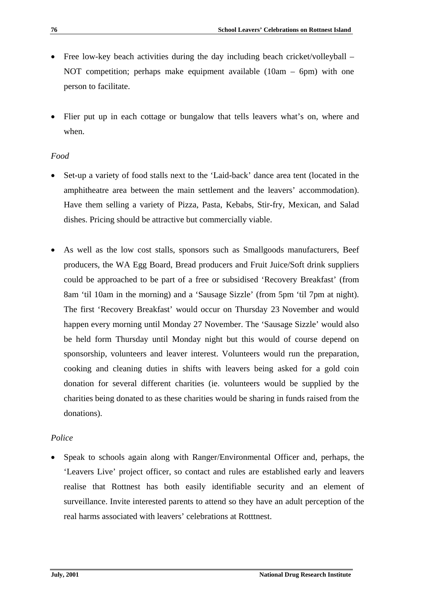- Free low-key beach activities during the day including beach cricket/volleyball NOT competition; perhaps make equipment available (10am – 6pm) with one person to facilitate.
- Flier put up in each cottage or bungalow that tells leavers what's on, where and when.

### *Food*

- Set-up a variety of food stalls next to the 'Laid-back' dance area tent (located in the amphitheatre area between the main settlement and the leavers' accommodation). Have them selling a variety of Pizza, Pasta, Kebabs, Stir-fry, Mexican, and Salad dishes. Pricing should be attractive but commercially viable.
- As well as the low cost stalls, sponsors such as Smallgoods manufacturers, Beef producers, the WA Egg Board, Bread producers and Fruit Juice/Soft drink suppliers could be approached to be part of a free or subsidised 'Recovery Breakfast' (from 8am 'til 10am in the morning) and a 'Sausage Sizzle' (from 5pm 'til 7pm at night). The first 'Recovery Breakfast' would occur on Thursday 23 November and would happen every morning until Monday 27 November. The 'Sausage Sizzle' would also be held form Thursday until Monday night but this would of course depend on sponsorship, volunteers and leaver interest. Volunteers would run the preparation, cooking and cleaning duties in shifts with leavers being asked for a gold coin donation for several different charities (ie. volunteers would be supplied by the charities being donated to as these charities would be sharing in funds raised from the donations).

### *Police*

• Speak to schools again along with Ranger/Environmental Officer and, perhaps, the 'Leavers Live' project officer, so contact and rules are established early and leavers realise that Rottnest has both easily identifiable security and an element of surveillance. Invite interested parents to attend so they have an adult perception of the real harms associated with leavers' celebrations at Rotttnest.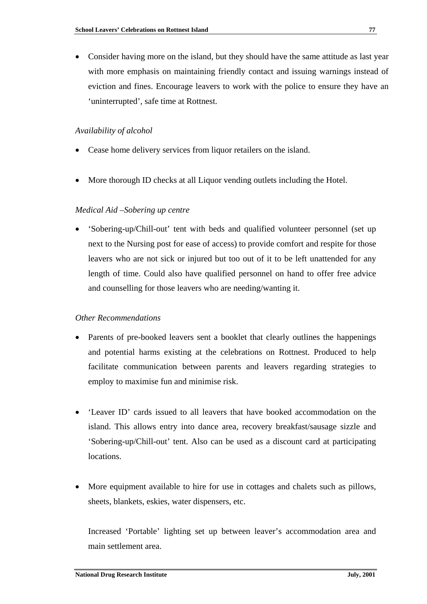• Consider having more on the island, but they should have the same attitude as last year with more emphasis on maintaining friendly contact and issuing warnings instead of eviction and fines. Encourage leavers to work with the police to ensure they have an 'uninterrupted', safe time at Rottnest.

### *Availability of alcohol*

- Cease home delivery services from liquor retailers on the island.
- More thorough ID checks at all Liquor vending outlets including the Hotel.

### *Medical Aid –Sobering up centre*

• 'Sobering-up/Chill-out' tent with beds and qualified volunteer personnel (set up next to the Nursing post for ease of access) to provide comfort and respite for those leavers who are not sick or injured but too out of it to be left unattended for any length of time. Could also have qualified personnel on hand to offer free advice and counselling for those leavers who are needing/wanting it.

### *Other Recommendations*

- Parents of pre-booked leavers sent a booklet that clearly outlines the happenings and potential harms existing at the celebrations on Rottnest. Produced to help facilitate communication between parents and leavers regarding strategies to employ to maximise fun and minimise risk.
- 'Leaver ID' cards issued to all leavers that have booked accommodation on the island. This allows entry into dance area, recovery breakfast/sausage sizzle and 'Sobering-up/Chill-out' tent. Also can be used as a discount card at participating locations.
- More equipment available to hire for use in cottages and chalets such as pillows, sheets, blankets, eskies, water dispensers, etc.

Increased 'Portable' lighting set up between leaver's accommodation area and main settlement area.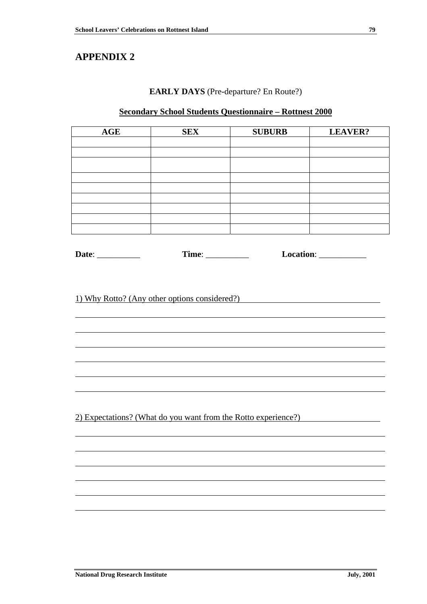## **EARLY DAYS** (Pre-departure? En Route?)

## **Secondary School Students Questionnaire – Rottnest 2000**

| AGE | <b>SEX</b> | <b>SUBURB</b> | <b>LEAVER?</b> |
|-----|------------|---------------|----------------|
|     |            |               |                |
|     |            |               |                |
|     |            |               |                |
|     |            |               |                |
|     |            |               |                |
|     |            |               |                |
|     |            |               |                |
|     |            |               |                |
|     |            |               |                |
|     |            |               |                |

| Date:<br>`ıme: | <b>Location</b> : |
|----------------|-------------------|
|----------------|-------------------|

1) Why Rotto? (Any other options considered?)

2) Expectations? (What do you want from the Rotto experience?)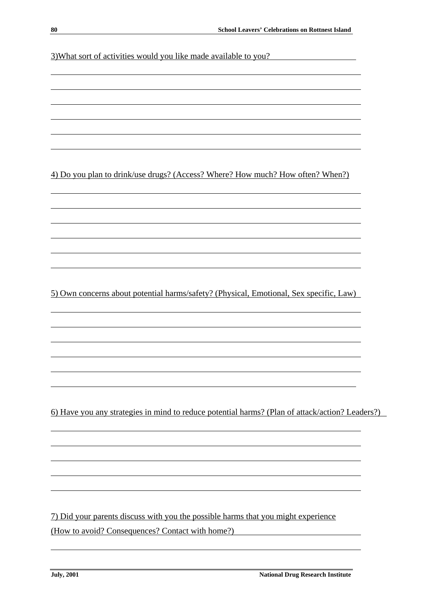### 3)What sort of activities would you like made available to you?

4) Do you plan to drink/use drugs? (Access? Where? How much? How often? When?)

5) Own concerns about potential harms/safety? (Physical, Emotional, Sex specific, Law)

6) Have you any strategies in mind to reduce potential harms? (Plan of attack/action? Leaders?)

7) Did your parents discuss with you the possible harms that you might experience (How to avoid? Consequences? Contact with home?)

l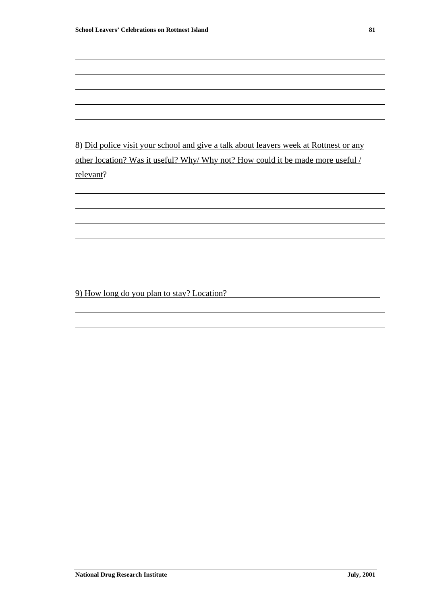8) Did police visit your school and give a talk about leavers week at Rottnest or any other location? Was it useful? Why/ Why not? How could it be made more useful / relevant?

9) How long do you plan to stay? Location?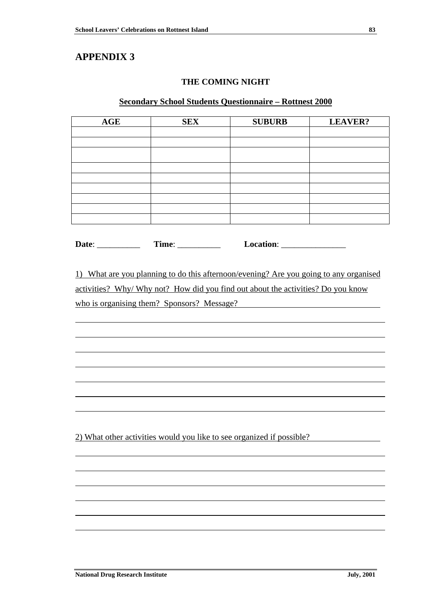### **THE COMING NIGHT**

### **Secondary School Students Questionnaire – Rottnest 2000**

| <b>AGE</b> | <b>SEX</b> | <b>SUBURB</b> | <b>LEAVER?</b> |
|------------|------------|---------------|----------------|
|            |            |               |                |
|            |            |               |                |
|            |            |               |                |
|            |            |               |                |
|            |            |               |                |
|            |            |               |                |
|            |            |               |                |
|            |            |               |                |
|            |            |               |                |

**Date**: \_\_\_\_\_\_\_\_\_\_\_ **Time**: \_\_\_\_\_\_\_\_\_\_ **Location**: \_\_\_\_\_\_\_\_\_\_\_\_\_\_\_

1) What are you planning to do this afternoon/evening? Are you going to any organised activities? Why/ Why not? How did you find out about the activities? Do you know who is organising them? Sponsors? Message?

2) What other activities would you like to see organized if possible?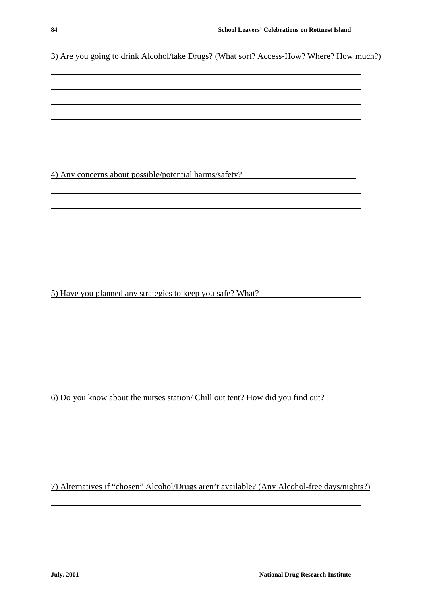### 3) Are you going to drink Alcohol/take Drugs? (What sort? Access-How? Where? How much?)

4) Any concerns about possible/potential harms/safety?

5) Have you planned any strategies to keep you safe? What?

6) Do you know about the nurses station/ Chill out tent? How did you find out?

7) Alternatives if "chosen" Alcohol/Drugs aren't available? (Any Alcohol-free days/nights?)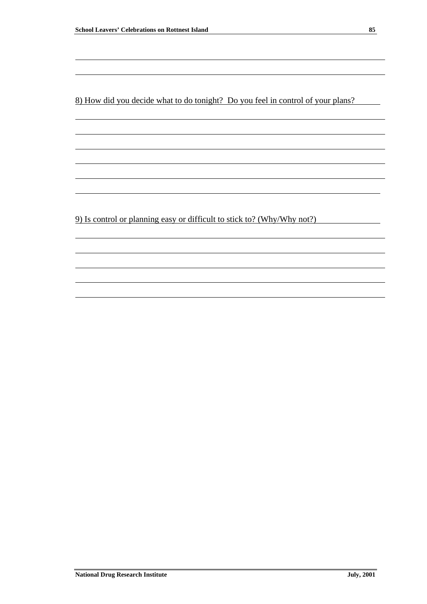l

8) How did you decide what to do tonight? Do you feel in control of your plans?

9) Is control or planning easy or difficult to stick to? (Why/Why not?)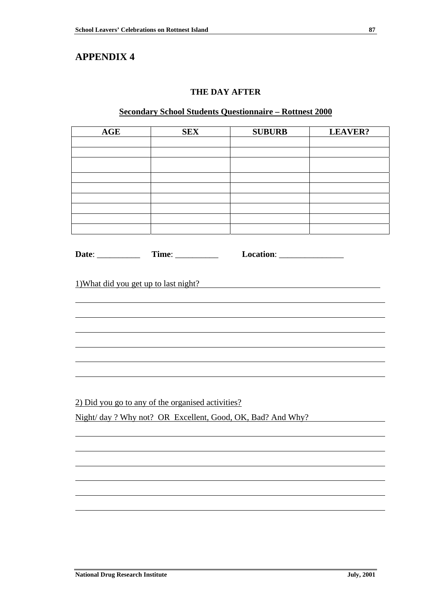### **THE DAY AFTER**

## **Secondary School Students Questionnaire – Rottnest 2000**

| <b>AGE</b>                                        | <b>SEX</b> | <b>SUBURB</b>                                               | <b>LEAVER?</b> |
|---------------------------------------------------|------------|-------------------------------------------------------------|----------------|
|                                                   |            |                                                             |                |
|                                                   |            |                                                             |                |
|                                                   |            |                                                             |                |
|                                                   |            |                                                             |                |
|                                                   |            |                                                             |                |
|                                                   |            |                                                             |                |
|                                                   |            |                                                             |                |
|                                                   |            |                                                             |                |
| Date: $\qquad \qquad$                             |            |                                                             |                |
|                                                   |            |                                                             |                |
|                                                   |            |                                                             |                |
|                                                   |            | 1) What did you get up to last night?                       |                |
|                                                   |            |                                                             |                |
|                                                   |            |                                                             |                |
|                                                   |            |                                                             |                |
|                                                   |            |                                                             |                |
|                                                   |            |                                                             |                |
|                                                   |            |                                                             |                |
|                                                   |            |                                                             |                |
|                                                   |            |                                                             |                |
| 2) Did you go to any of the organised activities? |            |                                                             |                |
|                                                   |            | Night/ day ? Why not? OR Excellent, Good, OK, Bad? And Why? |                |
|                                                   |            |                                                             |                |
|                                                   |            |                                                             |                |
|                                                   |            |                                                             |                |
|                                                   |            |                                                             |                |
|                                                   |            |                                                             |                |
|                                                   |            |                                                             |                |
|                                                   |            |                                                             |                |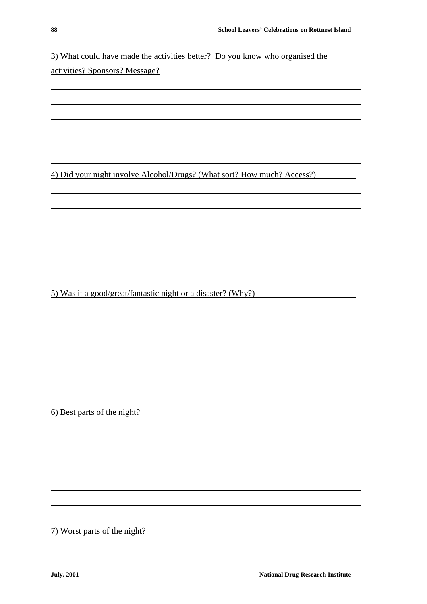3) What could have made the activities better? Do you know who organised the activities? Sponsors? Message?

4) Did your night involve Alcohol/Drugs? (What sort? How much? Access?)

5) Was it a good/great/fantastic night or a disaster? (Why?)

6) Best parts of the night?

7) Worst parts of the night?

l

l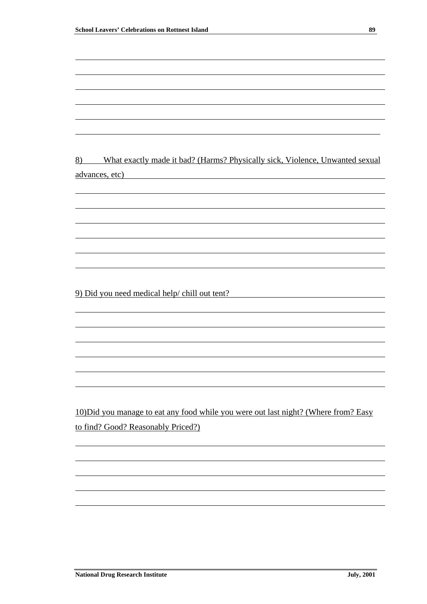| What exactly made it bad? (Harms? Physically sick, Violence, Unwanted sexual<br>8)  |
|-------------------------------------------------------------------------------------|
|                                                                                     |
| advances, etc)                                                                      |
|                                                                                     |
|                                                                                     |
|                                                                                     |
|                                                                                     |
|                                                                                     |
|                                                                                     |
|                                                                                     |
|                                                                                     |
|                                                                                     |
| 9) Did you need medical help/chill out tent?                                        |
|                                                                                     |
|                                                                                     |
|                                                                                     |
|                                                                                     |
|                                                                                     |
|                                                                                     |
|                                                                                     |
|                                                                                     |
|                                                                                     |
| 10) Did you manage to eat any food while you were out last night? (Where from? Easy |
| to find? Good? Reasonably Priced?)                                                  |
|                                                                                     |
|                                                                                     |
|                                                                                     |
|                                                                                     |
|                                                                                     |
|                                                                                     |
|                                                                                     |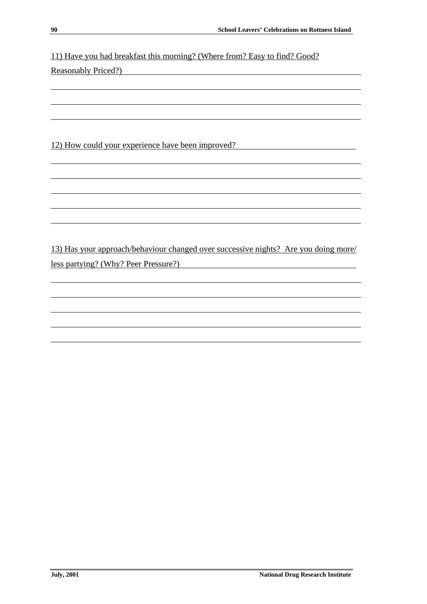11) Have you had breakfast this morning? (Where from? Easy to find? Good?

Reasonably Priced?)

12) How could your experience have been improved?

13) Has your approach/behaviour changed over successive nights? Are you doing more/ less partying? (Why? Peer Pressure?)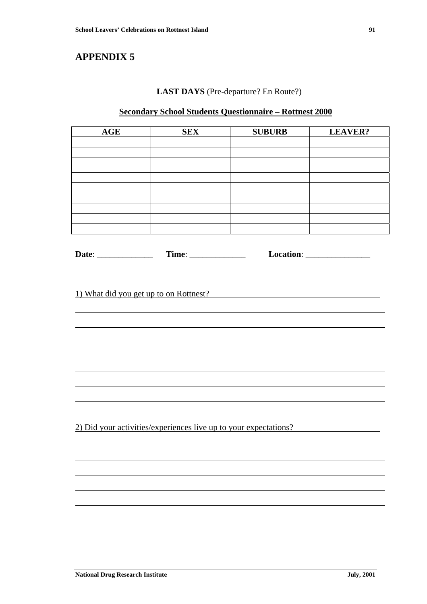## **LAST DAYS** (Pre-departure? En Route?)

## **Secondary School Students Questionnaire – Rottnest 2000**

| <b>AGE</b> | <b>SEX</b> | <b>SUBURB</b>                                                    | <b>LEAVER?</b> |
|------------|------------|------------------------------------------------------------------|----------------|
|            |            |                                                                  |                |
|            |            |                                                                  |                |
|            |            |                                                                  |                |
|            |            |                                                                  |                |
|            |            |                                                                  |                |
|            |            |                                                                  |                |
|            |            |                                                                  |                |
|            |            |                                                                  |                |
|            |            |                                                                  |                |
|            |            |                                                                  |                |
|            |            |                                                                  |                |
|            |            | 1) What did you get up to on Rottnest?                           |                |
|            |            |                                                                  |                |
|            |            |                                                                  |                |
|            |            |                                                                  |                |
|            |            |                                                                  |                |
|            |            |                                                                  |                |
|            |            |                                                                  |                |
|            |            |                                                                  |                |
|            |            |                                                                  |                |
|            |            |                                                                  |                |
|            |            |                                                                  |                |
|            |            | 2) Did your activities/experiences live up to your expectations? |                |
|            |            |                                                                  |                |
|            |            |                                                                  |                |
|            |            |                                                                  |                |
|            |            |                                                                  |                |
|            |            |                                                                  |                |
|            |            |                                                                  |                |
|            |            |                                                                  |                |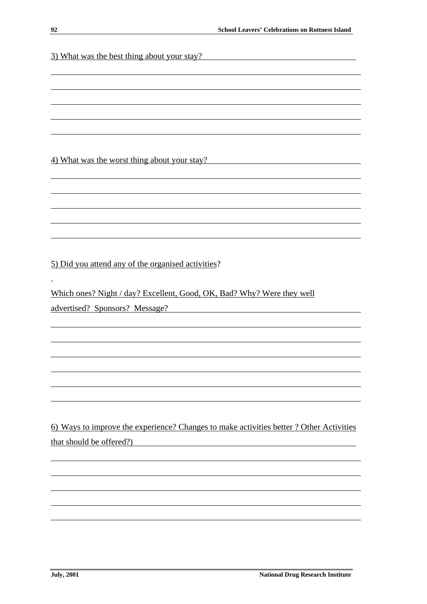| 3) What was the best thing about your stay?                                                              |
|----------------------------------------------------------------------------------------------------------|
|                                                                                                          |
|                                                                                                          |
|                                                                                                          |
|                                                                                                          |
|                                                                                                          |
| 4) What was the worst thing about your stay?                                                             |
|                                                                                                          |
|                                                                                                          |
|                                                                                                          |
|                                                                                                          |
|                                                                                                          |
| 5) Did you attend any of the organised activities?                                                       |
| Which ones? Night / day? Excellent, Good, OK, Bad? Why? Were they well<br>advertised? Sponsors? Message? |
|                                                                                                          |
|                                                                                                          |
|                                                                                                          |
|                                                                                                          |
|                                                                                                          |
|                                                                                                          |
|                                                                                                          |
| 6) Ways to improve the experience? Changes to make activities better ? Other Activities                  |
| that should be offered?)<br><u> 1980 - Andrea Station Barbara, amerikan personal (h. 1980)</u>           |
|                                                                                                          |
|                                                                                                          |
|                                                                                                          |
|                                                                                                          |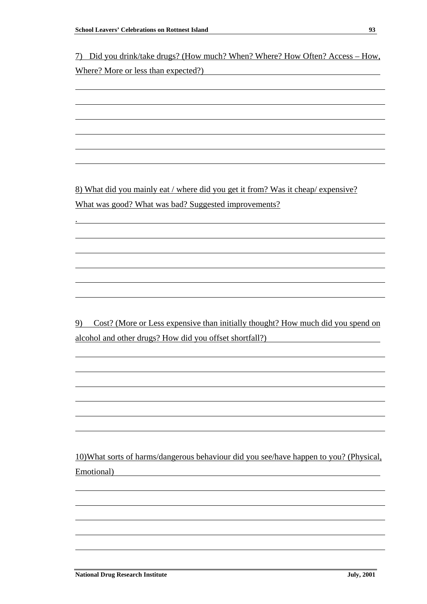.

7) Did you drink/take drugs? (How much? When? Where? How Often? Access – How, Where? More or less than expected?)

8) What did you mainly eat / where did you get it from? Was it cheap/ expensive? What was good? What was bad? Suggested improvements?

9) Cost? (More or Less expensive than initially thought? How much did you spend on alcohol and other drugs? How did you offset shortfall?)

10)What sorts of harms/dangerous behaviour did you see/have happen to you? (Physical, Emotional)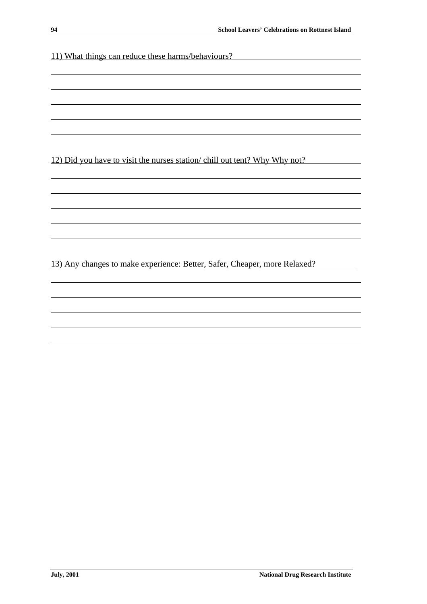## 11) What things can reduce these harms/behaviours?

12) Did you have to visit the nurses station/ chill out tent? Why Why not?

13) Any changes to make experience: Better, Safer, Cheaper, more Relaxed?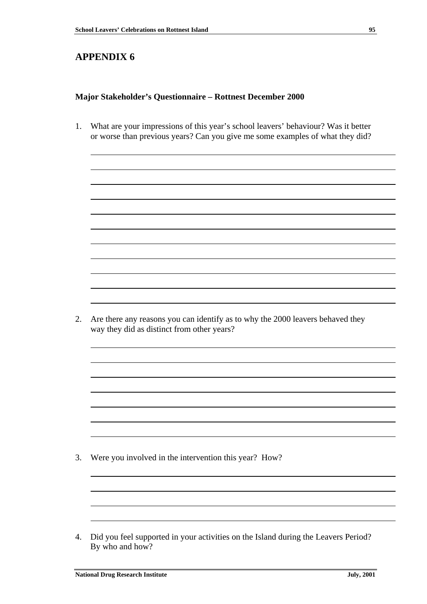### **Major Stakeholder's Questionnaire – Rottnest December 2000**

1. What are your impressions of this year's school leavers' behaviour? Was it better or worse than previous years? Can you give me some examples of what they did?

2. Are there any reasons you can identify as to why the 2000 leavers behaved they way they did as distinct from other years?

3. Were you involved in the intervention this year? How?

4. Did you feel supported in your activities on the Island during the Leavers Period? By who and how?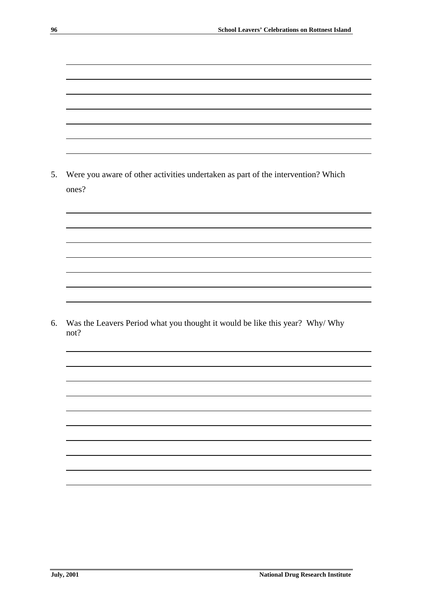5. Were you aware of other activities undertaken as part of the intervention? Which ones? 6. Was the Leavers Period what you thought it would be like this year? Why/ Why not?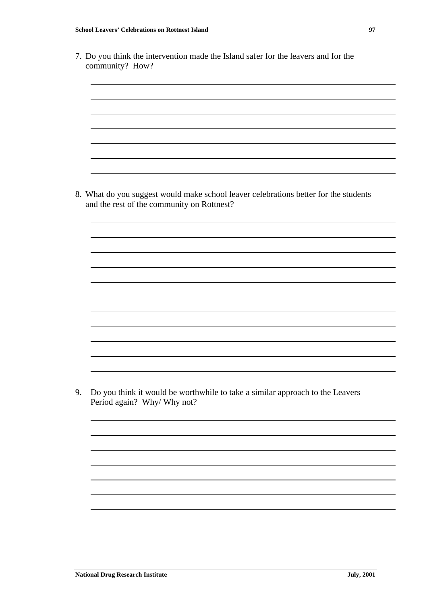|                 | 7. Do you think the intervention made the Island safer for the leavers and for the |  |  |  |
|-----------------|------------------------------------------------------------------------------------|--|--|--|
| community? How? |                                                                                    |  |  |  |

8. What do you suggest would make school leaver celebrations better for the students and the rest of the community on Rottnest?

9. Do you think it would be worthwhile to take a similar approach to the Leavers Period again? Why/ Why not?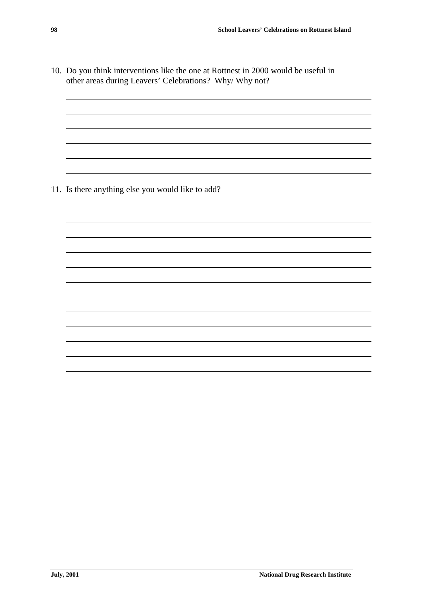10. Do you think interventions like the one at Rottnest in 2000 would be useful in other areas during Leavers' Celebrations? Why/ Why not?

11. Is there anything else you would like to add?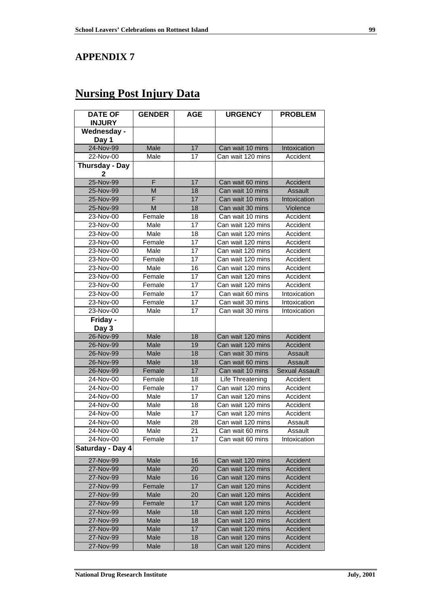## **APPENDIX 7**

## **Nursing Post Injury Data**

| <b>DATE OF</b><br><b>INJURY</b> | <b>GENDER</b> | <b>AGE</b> | <b>URGENCY</b>    | <b>PROBLEM</b>        |
|---------------------------------|---------------|------------|-------------------|-----------------------|
| Wednesday -<br>Day 1            |               |            |                   |                       |
| 24-Nov-99                       | Male          | 17         | Can wait 10 mins  | Intoxication          |
| 22-Nov-00                       | Male          | 17         | Can wait 120 mins | Accident              |
| Thursday - Day<br>2             |               |            |                   |                       |
| 25-Nov-99                       | F             | 17         | Can wait 60 mins  | Accident              |
| 25-Nov-99                       | M             | 18         | Can wait 10 mins  | Assault               |
| 25-Nov-99                       | F             | 17         | Can wait 10 mins  | Intoxication          |
| 25-Nov-99                       | M             | 18         | Can wait 30 mins  | Violence              |
| 23-Nov-00                       | Female        | 18         | Can wait 10 mins  | Accident              |
| 23-Nov-00                       | Male          | 17         | Can wait 120 mins | Accident              |
| 23-Nov-00                       | Male          | 18         | Can wait 120 mins | Accident              |
| 23-Nov-00                       | Female        | 17         | Can wait 120 mins | Accident              |
| 23-Nov-00                       | Male          | 17         | Can wait 120 mins | Accident              |
| 23-Nov-00                       | Female        | 17         | Can wait 120 mins | Accident              |
| 23-Nov-00                       | Male          | 16         | Can wait 120 mins | Accident              |
| 23-Nov-00                       | Female        | 17         | Can wait 120 mins | Accident              |
| 23-Nov-00                       | Female        | 17         | Can wait 120 mins | Accident              |
| 23-Nov-00                       | Female        | 17         | Can wait 60 mins  | Intoxication          |
| 23-Nov-00                       | Female        | 17         | Can wait 30 mins  | Intoxication          |
| 23-Nov-00                       | Male          | 17         | Can wait 30 mins  | Intoxication          |
| Friday -                        |               |            |                   |                       |
| Day 3                           |               |            |                   |                       |
| 26-Nov-99                       | Male          | 18         | Can wait 120 mins | Accident              |
| 26-Nov-99                       | Male          | 19         | Can wait 120 mins | Accident              |
| 26-Nov-99                       | Male          | 18         | Can wait 30 mins  | Assault               |
| 26-Nov-99                       | Male          | 18         | Can wait 60 mins  | Assault               |
| 26-Nov-99                       | Female        | 17         | Can wait 10 mins  | <b>Sexual Assault</b> |
| 24-Nov-00                       | Female        | 18         | Life Threatening  | Accident              |
| 24-Nov-00                       | Female        | 17         | Can wait 120 mins | Accident              |
| 24-Nov-00                       | Male          | 17         | Can wait 120 mins | Accident              |
| 24-Nov-00                       | Male          | 18         | Can wait 120 mins | Accident              |
| 24-Nov-00                       | Male          | 17         | Can wait 120 mins | Accident              |
| 24-Nov-00                       | Male          | 28         | Can wait 120 mins | Assault               |
| 24-Nov-00                       | Male          | 21         | Can wait 60 mins  | Assault               |
| 24-Nov-00                       | Female        | 17         | Can wait 60 mins  | Intoxication          |
| Saturday - Day 4                |               |            |                   |                       |
| 27-Nov-99                       | Male          | 16         | Can wait 120 mins | Accident              |
| 27-Nov-99                       | Male          | 20         | Can wait 120 mins | Accident              |
| 27-Nov-99                       | Male          | 16         | Can wait 120 mins | Accident              |
| 27-Nov-99                       | Female        | 17         | Can wait 120 mins | Accident              |
| 27-Nov-99                       | Male          | 20         | Can wait 120 mins | Accident              |
| 27-Nov-99                       | Female        | 17         | Can wait 120 mins | Accident              |
| 27-Nov-99                       | Male          | 18         | Can wait 120 mins | Accident              |
| 27-Nov-99                       | Male          | 18         | Can wait 120 mins | Accident              |
| 27-Nov-99                       | Male          | 17         | Can wait 120 mins | Accident              |
| 27-Nov-99                       | Male          | 18         | Can wait 120 mins | Accident              |
| 27-Nov-99                       | Male          | 18         | Can wait 120 mins | Accident              |